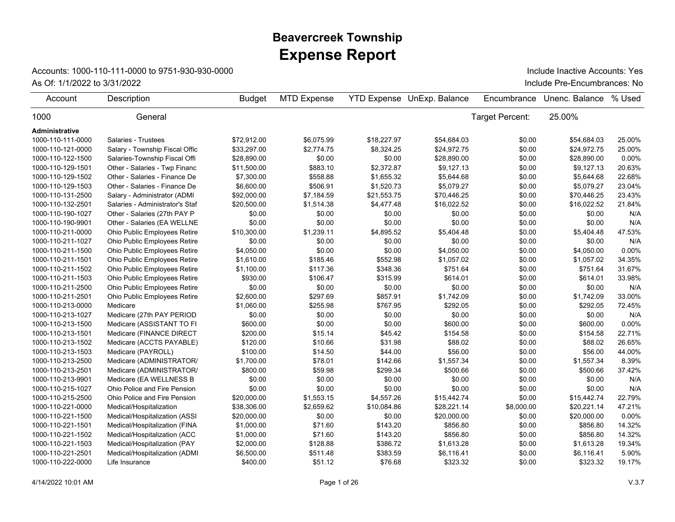## **Expense Report Beavercreek Township**

## Accounts: 1000-110-111-0000 to 9751-930-930-0000

As Of: 1/1/2022 to 3/31/2022 Include Pre-Encumbrances: No Include Inactive Accounts: Yes

| Account               | Description                     | <b>Budget</b> | <b>MTD Expense</b> |             | <b>YTD Expense UnExp. Balance</b> | Encumbrance     | Unenc. Balance | % Used |
|-----------------------|---------------------------------|---------------|--------------------|-------------|-----------------------------------|-----------------|----------------|--------|
| 1000                  | General                         |               |                    |             |                                   | Target Percent: | 25.00%         |        |
| <b>Administrative</b> |                                 |               |                    |             |                                   |                 |                |        |
| 1000-110-111-0000     | Salaries - Trustees             | \$72.912.00   | \$6,075.99         | \$18,227.97 | \$54,684.03                       | \$0.00          | \$54,684.03    | 25.00% |
| 1000-110-121-0000     | Salary - Township Fiscal Offic  | \$33,297.00   | \$2,774.75         | \$8,324.25  | \$24,972.75                       | \$0.00          | \$24,972.75    | 25.00% |
| 1000-110-122-1500     | Salaries-Township Fiscal Offi   | \$28,890.00   | \$0.00             | \$0.00      | \$28,890.00                       | \$0.00          | \$28,890.00    | 0.00%  |
| 1000-110-129-1501     | Other - Salaries - Twp Financ   | \$11,500.00   | \$883.10           | \$2,372.87  | \$9,127.13                        | \$0.00          | \$9,127.13     | 20.63% |
| 1000-110-129-1502     | Other - Salaries - Finance De   | \$7,300.00    | \$558.88           | \$1,655.32  | \$5,644.68                        | \$0.00          | \$5,644.68     | 22.68% |
| 1000-110-129-1503     | Other - Salaries - Finance De   | \$6,600.00    | \$506.91           | \$1,520.73  | \$5,079.27                        | \$0.00          | \$5,079.27     | 23.04% |
| 1000-110-131-2500     | Salary - Administrator (ADMI    | \$92,000.00   | \$7,184.59         | \$21,553.75 | \$70,446.25                       | \$0.00          | \$70,446.25    | 23.43% |
| 1000-110-132-2501     | Salaries - Administrator's Staf | \$20,500.00   | \$1,514.38         | \$4,477.48  | \$16,022.52                       | \$0.00          | \$16,022.52    | 21.84% |
| 1000-110-190-1027     | Other - Salaries (27th PAY P    | \$0.00        | \$0.00             | \$0.00      | \$0.00                            | \$0.00          | \$0.00         | N/A    |
| 1000-110-190-9901     | Other - Salaries (EA WELLNE     | \$0.00        | \$0.00             | \$0.00      | \$0.00                            | \$0.00          | \$0.00         | N/A    |
| 1000-110-211-0000     | Ohio Public Employees Retire    | \$10,300.00   | \$1,239.11         | \$4,895.52  | \$5,404.48                        | \$0.00          | \$5,404.48     | 47.53% |
| 1000-110-211-1027     | Ohio Public Employees Retire    | \$0.00        | \$0.00             | \$0.00      | \$0.00                            | \$0.00          | \$0.00         | N/A    |
| 1000-110-211-1500     | Ohio Public Employees Retire    | \$4,050.00    | \$0.00             | \$0.00      | \$4,050.00                        | \$0.00          | \$4,050.00     | 0.00%  |
| 1000-110-211-1501     | Ohio Public Employees Retire    | \$1,610.00    | \$185.46           | \$552.98    | \$1,057.02                        | \$0.00          | \$1,057.02     | 34.35% |
| 1000-110-211-1502     | Ohio Public Employees Retire    | \$1,100.00    | \$117.36           | \$348.36    | \$751.64                          | \$0.00          | \$751.64       | 31.67% |
| 1000-110-211-1503     | Ohio Public Employees Retire    | \$930.00      | \$106.47           | \$315.99    | \$614.01                          | \$0.00          | \$614.01       | 33.98% |
| 1000-110-211-2500     | Ohio Public Employees Retire    | \$0.00        | \$0.00             | \$0.00      | \$0.00                            | \$0.00          | \$0.00         | N/A    |
| 1000-110-211-2501     | Ohio Public Employees Retire    | \$2,600.00    | \$297.69           | \$857.91    | \$1,742.09                        | \$0.00          | \$1,742.09     | 33.00% |
| 1000-110-213-0000     | Medicare                        | \$1,060.00    | \$255.98           | \$767.95    | \$292.05                          | \$0.00          | \$292.05       | 72.45% |
| 1000-110-213-1027     | Medicare (27th PAY PERIOD       | \$0.00        | \$0.00             | \$0.00      | \$0.00                            | \$0.00          | \$0.00         | N/A    |
| 1000-110-213-1500     | Medicare (ASSISTANT TO FI       | \$600.00      | \$0.00             | \$0.00      | \$600.00                          | \$0.00          | \$600.00       | 0.00%  |
| 1000-110-213-1501     | Medicare (FINANCE DIRECT        | \$200.00      | \$15.14            | \$45.42     | \$154.58                          | \$0.00          | \$154.58       | 22.71% |
| 1000-110-213-1502     | Medicare (ACCTS PAYABLE)        | \$120.00      | \$10.66            | \$31.98     | \$88.02                           | \$0.00          | \$88.02        | 26.65% |
| 1000-110-213-1503     | Medicare (PAYROLL)              | \$100.00      | \$14.50            | \$44.00     | \$56.00                           | \$0.00          | \$56.00        | 44.00% |
| 1000-110-213-2500     | Medicare (ADMINISTRATOR/        | \$1,700.00    | \$78.01            | \$142.66    | \$1,557.34                        | \$0.00          | \$1,557.34     | 8.39%  |
| 1000-110-213-2501     | Medicare (ADMINISTRATOR/        | \$800.00      | \$59.98            | \$299.34    | \$500.66                          | \$0.00          | \$500.66       | 37.42% |
| 1000-110-213-9901     | Medicare (EA WELLNESS B         | \$0.00        | \$0.00             | \$0.00      | \$0.00                            | \$0.00          | \$0.00         | N/A    |
| 1000-110-215-1027     | Ohio Police and Fire Pension    | \$0.00        | \$0.00             | \$0.00      | \$0.00                            | \$0.00          | \$0.00         | N/A    |
| 1000-110-215-2500     | Ohio Police and Fire Pension    | \$20,000.00   | \$1,553.15         | \$4,557.26  | \$15,442.74                       | \$0.00          | \$15,442.74    | 22.79% |
| 1000-110-221-0000     | Medical/Hospitalization         | \$38,306.00   | \$2,659.62         | \$10,084.86 | \$28,221.14                       | \$8,000.00      | \$20,221.14    | 47.21% |
| 1000-110-221-1500     | Medical/Hospitalization (ASSI   | \$20,000.00   | \$0.00             | \$0.00      | \$20,000.00                       | \$0.00          | \$20,000.00    | 0.00%  |
| 1000-110-221-1501     | Medical/Hospitalization (FINA   | \$1,000.00    | \$71.60            | \$143.20    | \$856.80                          | \$0.00          | \$856.80       | 14.32% |
| 1000-110-221-1502     | Medical/Hospitalization (ACC    | \$1,000.00    | \$71.60            | \$143.20    | \$856.80                          | \$0.00          | \$856.80       | 14.32% |
| 1000-110-221-1503     | Medical/Hospitalization (PAY    | \$2,000.00    | \$128.88           | \$386.72    | \$1,613.28                        | \$0.00          | \$1,613.28     | 19.34% |
| 1000-110-221-2501     | Medical/Hospitalization (ADMI   | \$6,500.00    | \$511.48           | \$383.59    | \$6,116.41                        | \$0.00          | \$6,116.41     | 5.90%  |
| 1000-110-222-0000     | Life Insurance                  | \$400.00      | \$51.12            | \$76.68     | \$323.32                          | \$0.00          | \$323.32       | 19.17% |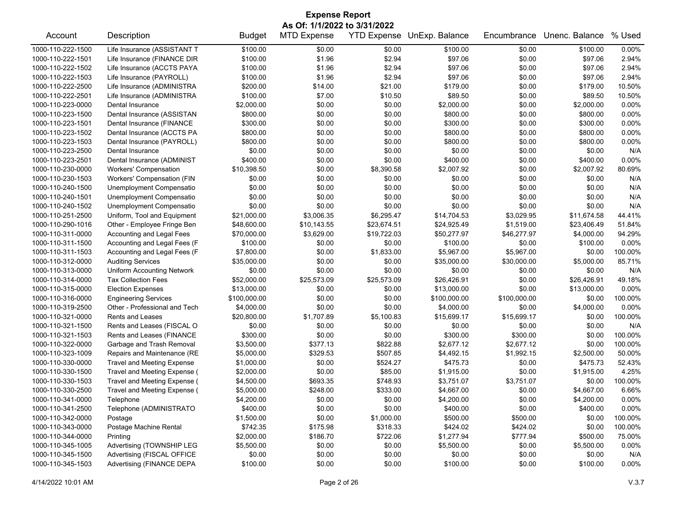| <b>Expense Report</b> |                                   |                          |                              |             |                            |              |                |          |  |  |
|-----------------------|-----------------------------------|--------------------------|------------------------------|-------------|----------------------------|--------------|----------------|----------|--|--|
|                       |                                   |                          | As Of: 1/1/2022 to 3/31/2022 |             |                            |              |                |          |  |  |
| Account               | Description                       | <b>Budget</b>            | <b>MTD Expense</b>           |             | YTD Expense UnExp. Balance | Encumbrance  | Unenc. Balance | % Used   |  |  |
| 1000-110-222-1500     | Life Insurance (ASSISTANT T       | \$100.00                 | \$0.00                       | \$0.00      | \$100.00                   | \$0.00       | \$100.00       | 0.00%    |  |  |
| 1000-110-222-1501     | Life Insurance (FINANCE DIR       | \$100.00                 | \$1.96                       | \$2.94      | \$97.06                    | \$0.00       | \$97.06        | 2.94%    |  |  |
| 1000-110-222-1502     | Life Insurance (ACCTS PAYA        | \$100.00                 | \$1.96                       | \$2.94      | \$97.06                    | \$0.00       | \$97.06        | 2.94%    |  |  |
| 1000-110-222-1503     | Life Insurance (PAYROLL)          | \$100.00                 | \$1.96                       | \$2.94      | \$97.06                    | \$0.00       | \$97.06        | 2.94%    |  |  |
| 1000-110-222-2500     | Life Insurance (ADMINISTRA        | \$200.00                 | \$14.00                      | \$21.00     | \$179.00                   | \$0.00       | \$179.00       | 10.50%   |  |  |
| 1000-110-222-2501     | Life Insurance (ADMINISTRA        | \$100.00                 | \$7.00                       | \$10.50     | \$89.50                    | \$0.00       | \$89.50        | 10.50%   |  |  |
| 1000-110-223-0000     | Dental Insurance                  | \$2,000.00               | \$0.00                       | \$0.00      | \$2,000.00                 | \$0.00       | \$2,000.00     | 0.00%    |  |  |
| 1000-110-223-1500     | Dental Insurance (ASSISTAN        | \$800.00                 | \$0.00                       | \$0.00      | \$800.00                   | \$0.00       | \$800.00       | 0.00%    |  |  |
| 1000-110-223-1501     | Dental Insurance (FINANCE         | \$300.00                 | \$0.00                       | \$0.00      | \$300.00                   | \$0.00       | \$300.00       | 0.00%    |  |  |
| 1000-110-223-1502     | Dental Insurance (ACCTS PA        | \$800.00                 | \$0.00                       | \$0.00      | \$800.00                   | \$0.00       | \$800.00       | 0.00%    |  |  |
| 1000-110-223-1503     | Dental Insurance (PAYROLL)        | \$800.00                 | \$0.00                       | \$0.00      | \$800.00                   | \$0.00       | \$800.00       | 0.00%    |  |  |
| 1000-110-223-2500     | Dental Insurance                  | \$0.00                   | \$0.00                       | \$0.00      | \$0.00                     | \$0.00       | \$0.00         | N/A      |  |  |
| 1000-110-223-2501     | Dental Insurance (ADMINIST        | \$400.00                 | \$0.00                       | \$0.00      | \$400.00                   | \$0.00       | \$400.00       | 0.00%    |  |  |
| 1000-110-230-0000     | <b>Workers' Compensation</b>      | \$10,398.50              | \$0.00                       | \$8,390.58  | \$2,007.92                 | \$0.00       | \$2,007.92     | 80.69%   |  |  |
| 1000-110-230-1503     | Workers' Compensation (FIN        | \$0.00                   | \$0.00                       | \$0.00      | \$0.00                     | \$0.00       | \$0.00         | N/A      |  |  |
| 1000-110-240-1500     | Unemployment Compensatio          | \$0.00                   | \$0.00                       | \$0.00      | \$0.00                     | \$0.00       | \$0.00         | N/A      |  |  |
| 1000-110-240-1501     | Unemployment Compensatio          | \$0.00                   | \$0.00                       | \$0.00      | \$0.00                     | \$0.00       | \$0.00         | N/A      |  |  |
| 1000-110-240-1502     | Unemployment Compensatio          | \$0.00                   | \$0.00                       | \$0.00      | \$0.00                     | \$0.00       | \$0.00         | N/A      |  |  |
| 1000-110-251-2500     | Uniform, Tool and Equipment       | \$21,000.00              | \$3,006.35                   | \$6,295.47  | \$14,704.53                | \$3,029.95   | \$11,674.58    | 44.41%   |  |  |
| 1000-110-290-1016     | Other - Employee Fringe Ben       | \$48,600.00              | \$10,143.55                  | \$23,674.51 | \$24,925.49                | \$1,519.00   | \$23,406.49    | 51.84%   |  |  |
| 1000-110-311-0000     | Accounting and Legal Fees         | \$70,000.00              | \$3,629.00                   | \$19,722.03 | \$50,277.97                | \$46,277.97  | \$4,000.00     | 94.29%   |  |  |
| 1000-110-311-1500     | Accounting and Legal Fees (F      | \$100.00                 | \$0.00                       | \$0.00      | \$100.00                   | \$0.00       | \$100.00       | 0.00%    |  |  |
| 1000-110-311-1503     | Accounting and Legal Fees (F      | \$7,800.00               | \$0.00                       | \$1,833.00  | \$5,967.00                 | \$5,967.00   | \$0.00         | 100.00%  |  |  |
| 1000-110-312-0000     | <b>Auditing Services</b>          | \$35,000.00              | \$0.00                       | \$0.00      | \$35,000.00                | \$30,000.00  | \$5,000.00     | 85.71%   |  |  |
| 1000-110-313-0000     | <b>Uniform Accounting Network</b> | \$0.00                   | \$0.00                       | \$0.00      | \$0.00                     | \$0.00       | \$0.00         | N/A      |  |  |
| 1000-110-314-0000     | <b>Tax Collection Fees</b>        | \$52,000.00              | \$25,573.09                  | \$25,573.09 | \$26,426.91                | \$0.00       | \$26,426.91    | 49.18%   |  |  |
| 1000-110-315-0000     | <b>Election Expenses</b>          | \$13,000.00              | \$0.00                       | \$0.00      | \$13,000.00                | \$0.00       | \$13,000.00    | 0.00%    |  |  |
| 1000-110-316-0000     | <b>Engineering Services</b>       | \$100,000.00             | \$0.00                       | \$0.00      | \$100,000.00               | \$100,000.00 | \$0.00         | 100.00%  |  |  |
| 1000-110-319-2500     | Other - Professional and Tech     | \$4,000.00               | \$0.00                       | \$0.00      | \$4,000.00                 | \$0.00       | \$4,000.00     | 0.00%    |  |  |
| 1000-110-321-0000     | <b>Rents and Leases</b>           | \$20,800.00              | \$1,707.89                   | \$5,100.83  | \$15,699.17                | \$15,699.17  | \$0.00         | 100.00%  |  |  |
| 1000-110-321-1500     | Rents and Leases (FISCAL O        | \$0.00                   | \$0.00                       | \$0.00      | \$0.00                     | \$0.00       | \$0.00         | N/A      |  |  |
| 1000-110-321-1503     | Rents and Leases (FINANCE         | \$300.00                 | \$0.00                       | \$0.00      | \$300.00                   | \$300.00     | \$0.00         | 100.00%  |  |  |
| 1000-110-322-0000     | Garbage and Trash Removal         | \$3,500.00               | \$377.13                     | \$822.88    | \$2,677.12                 | \$2,677.12   | \$0.00         | 100.00%  |  |  |
| 1000-110-323-1009     | Repairs and Maintenance (RE       | \$5,000.00               | \$329.53                     | \$507.85    | \$4,492.15                 | \$1,992.15   | \$2,500.00     | 50.00%   |  |  |
| 1000-110-330-0000     |                                   | \$1,000.00               | \$0.00                       | \$524.27    | \$475.73                   | \$0.00       | \$475.73       | 52.43%   |  |  |
| 1000-110-330-1500     | <b>Travel and Meeting Expense</b> |                          | \$0.00                       | \$85.00     | \$1,915.00                 | \$0.00       | \$1,915.00     | 4.25%    |  |  |
| 1000-110-330-1503     | Travel and Meeting Expense (      | \$2,000.00<br>\$4,500.00 | \$693.35                     | \$748.93    | \$3,751.07                 | \$3,751.07   | \$0.00         | 100.00%  |  |  |
|                       | Travel and Meeting Expense (      | \$5,000.00               |                              |             |                            |              |                |          |  |  |
| 1000-110-330-2500     | Travel and Meeting Expense (      |                          | \$248.00                     | \$333.00    | \$4,667.00                 | \$0.00       | \$4,667.00     | 6.66%    |  |  |
| 1000-110-341-0000     | Telephone                         | \$4,200.00               | \$0.00                       | \$0.00      | \$4,200.00                 | \$0.00       | \$4,200.00     | 0.00%    |  |  |
| 1000-110-341-2500     | Telephone (ADMINISTRATO           | \$400.00                 | \$0.00                       | \$0.00      | \$400.00                   | \$0.00       | \$400.00       | 0.00%    |  |  |
| 1000-110-342-0000     | Postage                           | \$1,500.00               | \$0.00                       | \$1,000.00  | \$500.00                   | \$500.00     | \$0.00         | 100.00%  |  |  |
| 1000-110-343-0000     | Postage Machine Rental            | \$742.35                 | \$175.98                     | \$318.33    | \$424.02                   | \$424.02     | \$0.00         | 100.00%  |  |  |
| 1000-110-344-0000     | Printing                          | \$2,000.00               | \$186.70                     | \$722.06    | \$1,277.94                 | \$777.94     | \$500.00       | 75.00%   |  |  |
| 1000-110-345-1005     | Advertising (TOWNSHIP LEG         | \$5,500.00               | \$0.00                       | \$0.00      | \$5,500.00                 | \$0.00       | \$5,500.00     | 0.00%    |  |  |
| 1000-110-345-1500     | Advertising (FISCAL OFFICE        | \$0.00                   | \$0.00                       | \$0.00      | \$0.00                     | \$0.00       | \$0.00         | N/A      |  |  |
| 1000-110-345-1503     | Advertising (FINANCE DEPA         | \$100.00                 | \$0.00                       | \$0.00      | \$100.00                   | \$0.00       | \$100.00       | $0.00\%$ |  |  |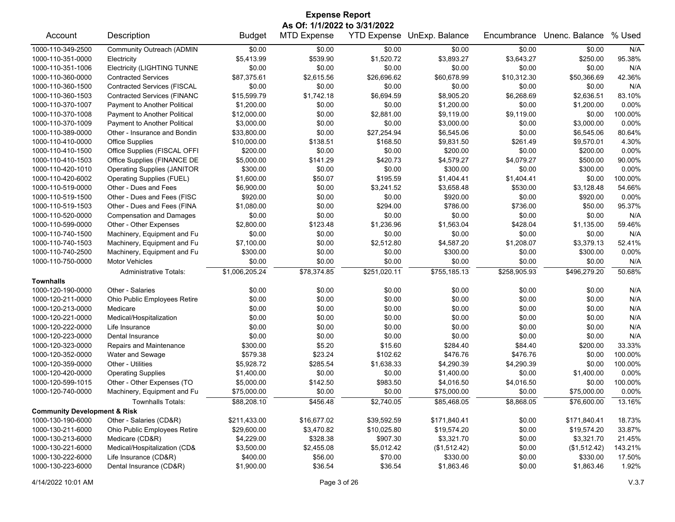| <b>Expense Report</b>                   |                                    |                |                              |                    |                |              |                |          |  |
|-----------------------------------------|------------------------------------|----------------|------------------------------|--------------------|----------------|--------------|----------------|----------|--|
|                                         |                                    |                | As Of: 1/1/2022 to 3/31/2022 |                    |                |              |                |          |  |
| Account                                 | Description                        | <b>Budget</b>  | <b>MTD Expense</b>           | <b>YTD Expense</b> | UnExp. Balance | Encumbrance  | Unenc. Balance | % Used   |  |
| 1000-110-349-2500                       | Community Outreach (ADMIN          | \$0.00         | \$0.00                       | \$0.00             | \$0.00         | \$0.00       | \$0.00         | N/A      |  |
| 1000-110-351-0000                       | Electricity                        | \$5,413.99     | \$539.90                     | \$1,520.72         | \$3,893.27     | \$3,643.27   | \$250.00       | 95.38%   |  |
| 1000-110-351-1006                       | <b>Electricity (LIGHTING TUNNE</b> | \$0.00         | \$0.00                       | \$0.00             | \$0.00         | \$0.00       | \$0.00         | N/A      |  |
| 1000-110-360-0000                       | <b>Contracted Services</b>         | \$87,375.61    | \$2,615.56                   | \$26,696.62        | \$60,678.99    | \$10,312.30  | \$50,366.69    | 42.36%   |  |
| 1000-110-360-1500                       | <b>Contracted Services (FISCAL</b> | \$0.00         | \$0.00                       | \$0.00             | \$0.00         | \$0.00       | \$0.00         | N/A      |  |
| 1000-110-360-1503                       | <b>Contracted Services (FINANC</b> | \$15,599.79    | \$1,742.18                   | \$6,694.59         | \$8,905.20     | \$6,268.69   | \$2,636.51     | 83.10%   |  |
| 1000-110-370-1007                       | Payment to Another Political       | \$1,200.00     | \$0.00                       | \$0.00             | \$1,200.00     | \$0.00       | \$1,200.00     | $0.00\%$ |  |
| 1000-110-370-1008                       | Payment to Another Political       | \$12,000.00    | \$0.00                       | \$2,881.00         | \$9,119.00     | \$9,119.00   | \$0.00         | 100.00%  |  |
| 1000-110-370-1009                       | Payment to Another Political       | \$3,000.00     | \$0.00                       | \$0.00             | \$3,000.00     | \$0.00       | \$3,000.00     | 0.00%    |  |
| 1000-110-389-0000                       | Other - Insurance and Bondin       | \$33,800.00    | \$0.00                       | \$27,254.94        | \$6,545.06     | \$0.00       | \$6,545.06     | 80.64%   |  |
| 1000-110-410-0000                       | <b>Office Supplies</b>             | \$10,000.00    | \$138.51                     | \$168.50           | \$9,831.50     | \$261.49     | \$9,570.01     | 4.30%    |  |
| 1000-110-410-1500                       | Office Supplies (FISCAL OFFI       | \$200.00       | \$0.00                       | \$0.00             | \$200.00       | \$0.00       | \$200.00       | 0.00%    |  |
| 1000-110-410-1503                       | Office Supplies (FINANCE DE        | \$5,000.00     | \$141.29                     | \$420.73           | \$4,579.27     | \$4,079.27   | \$500.00       | 90.00%   |  |
| 1000-110-420-1010                       | <b>Operating Supplies (JANITOR</b> | \$300.00       | \$0.00                       | \$0.00             | \$300.00       | \$0.00       | \$300.00       | 0.00%    |  |
| 1000-110-420-6002                       | Operating Supplies (FUEL)          | \$1,600.00     | \$50.07                      | \$195.59           | \$1,404.41     | \$1,404.41   | \$0.00         | 100.00%  |  |
| 1000-110-519-0000                       | Other - Dues and Fees              | \$6,900.00     | \$0.00                       | \$3,241.52         | \$3,658.48     | \$530.00     | \$3,128.48     | 54.66%   |  |
| 1000-110-519-1500                       | Other - Dues and Fees (FISC        | \$920.00       | \$0.00                       | \$0.00             | \$920.00       | \$0.00       | \$920.00       | 0.00%    |  |
| 1000-110-519-1503                       | Other - Dues and Fees (FINA        | \$1,080.00     | \$0.00                       | \$294.00           | \$786.00       | \$736.00     | \$50.00        | 95.37%   |  |
| 1000-110-520-0000                       | <b>Compensation and Damages</b>    | \$0.00         | \$0.00                       | \$0.00             | \$0.00         | \$0.00       | \$0.00         | N/A      |  |
| 1000-110-599-0000                       | Other - Other Expenses             | \$2,800.00     | \$123.48                     | \$1,236.96         | \$1,563.04     | \$428.04     | \$1,135.00     | 59.46%   |  |
| 1000-110-740-1500                       | Machinery, Equipment and Fu        | \$0.00         | \$0.00                       | \$0.00             | \$0.00         | \$0.00       | \$0.00         | N/A      |  |
| 1000-110-740-1503                       | Machinery, Equipment and Fu        | \$7,100.00     | \$0.00                       | \$2,512.80         | \$4,587.20     | \$1,208.07   | \$3,379.13     | 52.41%   |  |
| 1000-110-740-2500                       | Machinery, Equipment and Fu        | \$300.00       | \$0.00                       | \$0.00             | \$300.00       | \$0.00       | \$300.00       | 0.00%    |  |
| 1000-110-750-0000                       | <b>Motor Vehicles</b>              | \$0.00         | \$0.00                       | \$0.00             | \$0.00         | \$0.00       | \$0.00         | N/A      |  |
|                                         | <b>Administrative Totals:</b>      | \$1,006,205.24 | \$78,374.85                  | \$251,020.11       | \$755,185.13   | \$258,905.93 | \$496,279.20   | 50.68%   |  |
| <b>Townhalls</b>                        |                                    |                |                              |                    |                |              |                |          |  |
| 1000-120-190-0000                       | Other - Salaries                   | \$0.00         | \$0.00                       | \$0.00             | \$0.00         | \$0.00       | \$0.00         | N/A      |  |
| 1000-120-211-0000                       | Ohio Public Employees Retire       | \$0.00         | \$0.00                       | \$0.00             | \$0.00         | \$0.00       | \$0.00         | N/A      |  |
| 1000-120-213-0000                       | Medicare                           | \$0.00         | \$0.00                       | \$0.00             | \$0.00         | \$0.00       | \$0.00         | N/A      |  |
| 1000-120-221-0000                       | Medical/Hospitalization            | \$0.00         | \$0.00                       | \$0.00             | \$0.00         | \$0.00       | \$0.00         | N/A      |  |
| 1000-120-222-0000                       | Life Insurance                     | \$0.00         | \$0.00                       | \$0.00             | \$0.00         | \$0.00       | \$0.00         | N/A      |  |
| 1000-120-223-0000                       | Dental Insurance                   | \$0.00         | \$0.00                       | \$0.00             | \$0.00         | \$0.00       | \$0.00         | N/A      |  |
| 1000-120-323-0000                       | Repairs and Maintenance            | \$300.00       | \$5.20                       | \$15.60            | \$284.40       | \$84.40      | \$200.00       | 33.33%   |  |
| 1000-120-352-0000                       | Water and Sewage                   | \$579.38       | \$23.24                      | \$102.62           | \$476.76       | \$476.76     | \$0.00         | 100.00%  |  |
| 1000-120-359-0000                       | Other - Utilities                  | \$5,928.72     | \$285.54                     | \$1,638.33         | \$4,290.39     | \$4,290.39   | \$0.00         | 100.00%  |  |
| 1000-120-420-0000                       | <b>Operating Supplies</b>          | \$1,400.00     | \$0.00                       | \$0.00             | \$1,400.00     | \$0.00       | \$1,400.00     | $0.00\%$ |  |
| 1000-120-599-1015                       | Other - Other Expenses (TO         | \$5,000.00     | \$142.50                     | \$983.50           | \$4,016.50     | \$4,016.50   | \$0.00         | 100.00%  |  |
| 1000-120-740-0000                       | Machinery, Equipment and Fu        | \$75,000.00    | \$0.00                       | \$0.00             | \$75,000.00    | \$0.00       | \$75,000.00    | $0.00\%$ |  |
|                                         | <b>Townhalls Totals:</b>           | \$88,208.10    | \$456.48                     | \$2,740.05         | \$85,468.05    | \$8,868.05   | \$76,600.00    | 13.16%   |  |
| <b>Community Development &amp; Risk</b> |                                    |                |                              |                    |                |              |                |          |  |
| 1000-130-190-6000                       | Other - Salaries (CD&R)            | \$211,433.00   | \$16,677.02                  | \$39,592.59        | \$171,840.41   | \$0.00       | \$171,840.41   | 18.73%   |  |
| 1000-130-211-6000                       | Ohio Public Employees Retire       | \$29,600.00    | \$3,470.82                   | \$10,025.80        | \$19,574.20    | \$0.00       | \$19,574.20    | 33.87%   |  |
| 1000-130-213-6000                       | Medicare (CD&R)                    | \$4,229.00     | \$328.38                     | \$907.30           | \$3,321.70     | \$0.00       | \$3,321.70     | 21.45%   |  |
| 1000-130-221-6000                       | Medical/Hospitalization (CD&       | \$3,500.00     | \$2,455.08                   | \$5,012.42         | (\$1,512.42)   | \$0.00       | (\$1,512.42)   | 143.21%  |  |
| 1000-130-222-6000                       | Life Insurance (CD&R)              | \$400.00       | \$56.00                      | \$70.00            | \$330.00       | \$0.00       | \$330.00       | 17.50%   |  |
| 1000-130-223-6000                       | Dental Insurance (CD&R)            | \$1,900.00     | \$36.54                      | \$36.54            | \$1,863.46     | \$0.00       | \$1,863.46     | 1.92%    |  |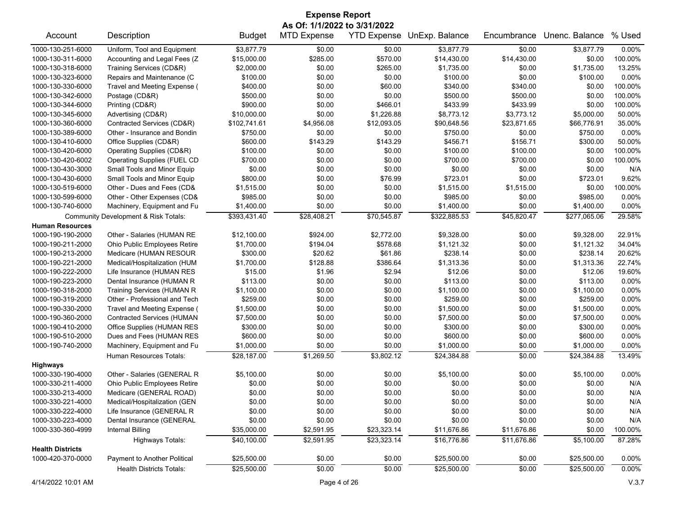| <b>Expense Report</b>                                                                                                             |                                   |               |                              |             |                            |             |                |          |  |
|-----------------------------------------------------------------------------------------------------------------------------------|-----------------------------------|---------------|------------------------------|-------------|----------------------------|-------------|----------------|----------|--|
|                                                                                                                                   |                                   |               | As Of: 1/1/2022 to 3/31/2022 |             |                            |             |                |          |  |
| Account                                                                                                                           | Description                       | <b>Budget</b> | <b>MTD Expense</b>           |             | YTD Expense UnExp. Balance | Encumbrance | Unenc. Balance | % Used   |  |
| 1000-130-251-6000                                                                                                                 | Uniform, Tool and Equipment       | \$3,877.79    | \$0.00                       | \$0.00      | \$3,877.79                 | \$0.00      | \$3,877.79     | 0.00%    |  |
| 1000-130-311-6000                                                                                                                 | Accounting and Legal Fees (Z      | \$15,000.00   | \$285.00                     | \$570.00    | \$14,430.00                | \$14,430.00 | \$0.00         | 100.00%  |  |
| 1000-130-318-6000                                                                                                                 | Training Services (CD&R)          | \$2,000.00    | \$0.00                       | \$265.00    | \$1,735.00                 | \$0.00      | \$1,735.00     | 13.25%   |  |
| 1000-130-323-6000                                                                                                                 | Repairs and Maintenance (C        | \$100.00      | \$0.00                       | \$0.00      | \$100.00                   | \$0.00      | \$100.00       | 0.00%    |  |
| 1000-130-330-6000                                                                                                                 | Travel and Meeting Expense (      | \$400.00      | \$0.00                       | \$60.00     | \$340.00                   | \$340.00    | \$0.00         | 100.00%  |  |
| 1000-130-342-6000                                                                                                                 | Postage (CD&R)                    | \$500.00      | \$0.00                       | \$0.00      | \$500.00                   | \$500.00    | \$0.00         | 100.00%  |  |
| 1000-130-344-6000                                                                                                                 | Printing (CD&R)                   | \$900.00      | \$0.00                       | \$466.01    | \$433.99                   | \$433.99    | \$0.00         | 100.00%  |  |
| 1000-130-345-6000                                                                                                                 | Advertising (CD&R)                | \$10,000.00   | \$0.00                       | \$1,226.88  | \$8,773.12                 | \$3,773.12  | \$5,000.00     | 50.00%   |  |
| 1000-130-360-6000                                                                                                                 | Contracted Services (CD&R)        | \$102,741.61  | \$4,956.08                   | \$12,093.05 | \$90,648.56                | \$23,871.65 | \$66,776.91    | 35.00%   |  |
| 1000-130-389-6000                                                                                                                 | Other - Insurance and Bondin      | \$750.00      | \$0.00                       | \$0.00      | \$750.00                   | \$0.00      | \$750.00       | $0.00\%$ |  |
| 1000-130-410-6000                                                                                                                 | Office Supplies (CD&R)            | \$600.00      | \$143.29                     | \$143.29    | \$456.71                   | \$156.71    | \$300.00       | 50.00%   |  |
| 1000-130-420-6000                                                                                                                 | Operating Supplies (CD&R)         | \$100.00      | \$0.00                       | \$0.00      | \$100.00                   | \$100.00    | \$0.00         | 100.00%  |  |
| 1000-130-420-6002                                                                                                                 | Operating Supplies (FUEL CD       | \$700.00      | \$0.00                       | \$0.00      | \$700.00                   | \$700.00    | \$0.00         | 100.00%  |  |
| 1000-130-430-3000                                                                                                                 | Small Tools and Minor Equip       | \$0.00        | \$0.00                       | \$0.00      | \$0.00                     | \$0.00      | \$0.00         | N/A      |  |
| 1000-130-430-6000                                                                                                                 | Small Tools and Minor Equip       | \$800.00      | \$0.00                       | \$76.99     | \$723.01                   | \$0.00      | \$723.01       | 9.62%    |  |
| 1000-130-519-6000                                                                                                                 | Other - Dues and Fees (CD&        | \$1,515.00    | \$0.00                       | \$0.00      | \$1,515.00                 | \$1,515.00  | \$0.00         | 100.00%  |  |
| 1000-130-599-6000                                                                                                                 | Other - Other Expenses (CD&       | \$985.00      | \$0.00                       | \$0.00      | \$985.00                   | \$0.00      | \$985.00       | 0.00%    |  |
| 1000-130-740-6000                                                                                                                 | Machinery, Equipment and Fu       | \$1,400.00    | \$0.00                       | \$0.00      | \$1,400.00                 | \$0.00      | \$1,400.00     | 0.00%    |  |
| \$393,431.40<br>\$28,408.21<br>\$70,545.87<br>\$322,885.53<br>\$45,820.47<br>\$277,065.06<br>Community Development & Risk Totals: |                                   |               |                              |             |                            |             |                | 29.58%   |  |
| <b>Human Resources</b>                                                                                                            |                                   |               |                              |             |                            |             |                |          |  |
| 1000-190-190-2000                                                                                                                 | Other - Salaries (HUMAN RE        | \$12,100.00   | \$924.00                     | \$2,772.00  | \$9,328.00                 | \$0.00      | \$9,328.00     | 22.91%   |  |
| 1000-190-211-2000                                                                                                                 | Ohio Public Employees Retire      | \$1,700.00    | \$194.04                     | \$578.68    | \$1,121.32                 | \$0.00      | \$1,121.32     | 34.04%   |  |
| 1000-190-213-2000                                                                                                                 | Medicare (HUMAN RESOUR            | \$300.00      | \$20.62                      | \$61.86     | \$238.14                   | \$0.00      | \$238.14       | 20.62%   |  |
| 1000-190-221-2000                                                                                                                 | Medical/Hospitalization (HUM      | \$1,700.00    | \$128.88                     | \$386.64    | \$1,313.36                 | \$0.00      | \$1,313.36     | 22.74%   |  |
| 1000-190-222-2000                                                                                                                 | Life Insurance (HUMAN RES         | \$15.00       | \$1.96                       | \$2.94      | \$12.06                    | \$0.00      | \$12.06        | 19.60%   |  |
| 1000-190-223-2000                                                                                                                 | Dental Insurance (HUMAN R         | \$113.00      | \$0.00                       | \$0.00      | \$113.00                   | \$0.00      | \$113.00       | 0.00%    |  |
| 1000-190-318-2000                                                                                                                 | Training Services (HUMAN R        | \$1,100.00    | \$0.00                       | \$0.00      | \$1,100.00                 | \$0.00      | \$1,100.00     | 0.00%    |  |
| 1000-190-319-2000                                                                                                                 | Other - Professional and Tech     | \$259.00      | \$0.00                       | \$0.00      | \$259.00                   | \$0.00      | \$259.00       | 0.00%    |  |
| 1000-190-330-2000                                                                                                                 | Travel and Meeting Expense (      | \$1,500.00    | \$0.00                       | \$0.00      | \$1,500.00                 | \$0.00      | \$1,500.00     | 0.00%    |  |
| 1000-190-360-2000                                                                                                                 | <b>Contracted Services (HUMAN</b> | \$7,500.00    | \$0.00                       | \$0.00      | \$7,500.00                 | \$0.00      | \$7,500.00     | 0.00%    |  |
| 1000-190-410-2000                                                                                                                 | Office Supplies (HUMAN RES        | \$300.00      | \$0.00                       | \$0.00      | \$300.00                   | \$0.00      | \$300.00       | 0.00%    |  |
| 1000-190-510-2000                                                                                                                 | Dues and Fees (HUMAN RES          | \$600.00      | \$0.00                       | \$0.00      | \$600.00                   | \$0.00      | \$600.00       | 0.00%    |  |
| 1000-190-740-2000                                                                                                                 | Machinery, Equipment and Fu       | \$1,000.00    | \$0.00                       | \$0.00      | \$1,000.00                 | \$0.00      | \$1,000.00     | 0.00%    |  |
|                                                                                                                                   | Human Resources Totals:           | \$28,187.00   | \$1,269.50                   | \$3,802.12  | \$24,384.88                | \$0.00      | \$24.384.88    | 13.49%   |  |
| <b>Highways</b>                                                                                                                   |                                   |               |                              |             |                            |             |                |          |  |
| 1000-330-190-4000                                                                                                                 | Other - Salaries (GENERAL R       | \$5,100.00    | \$0.00                       | \$0.00      | \$5,100.00                 | \$0.00      | \$5,100.00     | 0.00%    |  |
| 1000-330-211-4000                                                                                                                 | Ohio Public Employees Retire      | \$0.00        | \$0.00                       | \$0.00      | \$0.00                     | \$0.00      | \$0.00         | N/A      |  |
| 1000-330-213-4000                                                                                                                 | Medicare (GENERAL ROAD)           | \$0.00        | \$0.00                       | \$0.00      | \$0.00                     | \$0.00      | \$0.00         | N/A      |  |
| 1000-330-221-4000                                                                                                                 | Medical/Hospitalization (GEN      | \$0.00        | \$0.00                       | \$0.00      | \$0.00                     | \$0.00      | \$0.00         | N/A      |  |
| 1000-330-222-4000                                                                                                                 | Life Insurance (GENERAL R         | \$0.00        | \$0.00                       | \$0.00      | \$0.00                     | \$0.00      | \$0.00         | N/A      |  |
| 1000-330-223-4000                                                                                                                 | Dental Insurance (GENERAL         | \$0.00        | \$0.00                       | \$0.00      | \$0.00                     | \$0.00      | \$0.00         | N/A      |  |
| 1000-330-360-4999                                                                                                                 | <b>Internal Billing</b>           | \$35,000.00   | \$2,591.95                   | \$23,323.14 | \$11,676.86                | \$11,676.86 | \$0.00         | 100.00%  |  |
|                                                                                                                                   | <b>Highways Totals:</b>           | \$40,100.00   | \$2,591.95                   | \$23,323.14 | \$16,776.86                | \$11,676.86 | \$5,100.00     | 87.28%   |  |
| <b>Health Districts</b>                                                                                                           |                                   |               |                              |             |                            |             |                |          |  |
| 1000-420-370-0000                                                                                                                 | Payment to Another Political      | \$25,500.00   | \$0.00                       | \$0.00      | \$25,500.00                | \$0.00      | \$25,500.00    | 0.00%    |  |
|                                                                                                                                   | <b>Health Districts Totals:</b>   | \$25,500.00   | \$0.00                       | \$0.00      | \$25,500.00                | \$0.00      | \$25,500.00    | 0.00%    |  |
|                                                                                                                                   |                                   |               |                              |             |                            |             |                |          |  |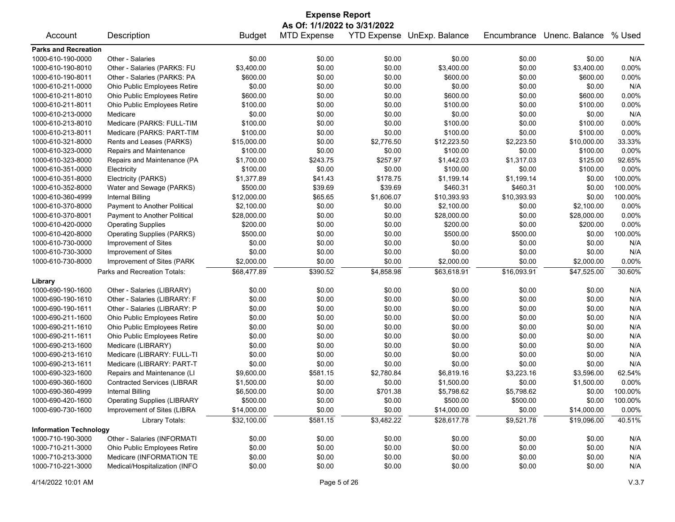| <b>Expense Report</b><br>As Of: 1/1/2022 to 3/31/2022 |                                    |               |                    |            |                            |             |                |         |
|-------------------------------------------------------|------------------------------------|---------------|--------------------|------------|----------------------------|-------------|----------------|---------|
| Account                                               | Description                        | <b>Budget</b> | <b>MTD Expense</b> |            | YTD Expense UnExp. Balance | Encumbrance | Unenc. Balance | % Used  |
| <b>Parks and Recreation</b>                           |                                    |               |                    |            |                            |             |                |         |
| 1000-610-190-0000                                     | Other - Salaries                   | \$0.00        | \$0.00             | \$0.00     | \$0.00                     | \$0.00      | \$0.00         | N/A     |
| 1000-610-190-8010                                     | Other - Salaries (PARKS: FU        | \$3,400.00    | \$0.00             | \$0.00     | \$3,400.00                 | \$0.00      | \$3,400.00     | 0.00%   |
| 1000-610-190-8011                                     | Other - Salaries (PARKS: PA        | \$600.00      | \$0.00             | \$0.00     | \$600.00                   | \$0.00      | \$600.00       | 0.00%   |
| 1000-610-211-0000                                     | Ohio Public Employees Retire       | \$0.00        | \$0.00             | \$0.00     | \$0.00                     | \$0.00      | \$0.00         | N/A     |
| 1000-610-211-8010                                     | Ohio Public Employees Retire       | \$600.00      | \$0.00             | \$0.00     | \$600.00                   | \$0.00      | \$600.00       | 0.00%   |
| 1000-610-211-8011                                     | Ohio Public Employees Retire       | \$100.00      | \$0.00             | \$0.00     | \$100.00                   | \$0.00      | \$100.00       | 0.00%   |
| 1000-610-213-0000                                     | Medicare                           | \$0.00        | \$0.00             | \$0.00     | \$0.00                     | \$0.00      | \$0.00         | N/A     |
| 1000-610-213-8010                                     | Medicare (PARKS: FULL-TIM          | \$100.00      | \$0.00             | \$0.00     | \$100.00                   | \$0.00      | \$100.00       | 0.00%   |
| 1000-610-213-8011                                     | Medicare (PARKS: PART-TIM          | \$100.00      | \$0.00             | \$0.00     | \$100.00                   | \$0.00      | \$100.00       | 0.00%   |
| 1000-610-321-8000                                     | Rents and Leases (PARKS)           | \$15,000.00   | \$0.00             | \$2,776.50 | \$12,223.50                | \$2,223.50  | \$10,000.00    | 33.33%  |
| 1000-610-323-0000                                     | Repairs and Maintenance            | \$100.00      | \$0.00             | \$0.00     | \$100.00                   | \$0.00      | \$100.00       | 0.00%   |
| 1000-610-323-8000                                     | Repairs and Maintenance (PA        | \$1,700.00    | \$243.75           | \$257.97   | \$1,442.03                 | \$1,317.03  | \$125.00       | 92.65%  |
| 1000-610-351-0000                                     | Electricity                        | \$100.00      | \$0.00             | \$0.00     | \$100.00                   | \$0.00      | \$100.00       | 0.00%   |
| 1000-610-351-8000                                     | Electricity (PARKS)                | \$1,377.89    | \$41.43            | \$178.75   | \$1,199.14                 | \$1,199.14  | \$0.00         | 100.00% |
| 1000-610-352-8000                                     | Water and Sewage (PARKS)           | \$500.00      | \$39.69            | \$39.69    | \$460.31                   | \$460.31    | \$0.00         | 100.00% |
| 1000-610-360-4999                                     | Internal Billing                   | \$12,000.00   | \$65.65            | \$1,606.07 | \$10,393.93                | \$10,393.93 | \$0.00         | 100.00% |
| 1000-610-370-8000                                     | Payment to Another Political       | \$2,100.00    | \$0.00             | \$0.00     | \$2,100.00                 | \$0.00      | \$2,100.00     | 0.00%   |
| 1000-610-370-8001                                     | Payment to Another Political       | \$28,000.00   | \$0.00             | \$0.00     | \$28,000.00                | \$0.00      | \$28,000.00    | 0.00%   |
| 1000-610-420-0000                                     | <b>Operating Supplies</b>          | \$200.00      | \$0.00             | \$0.00     | \$200.00                   | \$0.00      | \$200.00       | 0.00%   |
| 1000-610-420-8000                                     | <b>Operating Supplies (PARKS)</b>  | \$500.00      | \$0.00             | \$0.00     | \$500.00                   | \$500.00    | \$0.00         | 100.00% |
| 1000-610-730-0000                                     | Improvement of Sites               | \$0.00        | \$0.00             | \$0.00     | \$0.00                     | \$0.00      | \$0.00         | N/A     |
| 1000-610-730-3000                                     | Improvement of Sites               | \$0.00        | \$0.00             | \$0.00     | \$0.00                     | \$0.00      | \$0.00         | N/A     |
| 1000-610-730-8000                                     | Improvement of Sites (PARK         | \$2,000.00    | \$0.00             | \$0.00     | \$2,000.00                 | \$0.00      | \$2,000.00     | 0.00%   |
|                                                       | Parks and Recreation Totals:       | \$68,477.89   | \$390.52           | \$4,858.98 | \$63,618.91                | \$16,093.91 | \$47,525.00    | 30.60%  |
| Library                                               |                                    |               |                    |            |                            |             |                |         |
| 1000-690-190-1600                                     | Other - Salaries (LIBRARY)         | \$0.00        | \$0.00             | \$0.00     | \$0.00                     | \$0.00      | \$0.00         | N/A     |
| 1000-690-190-1610                                     | Other - Salaries (LIBRARY: F       | \$0.00        | \$0.00             | \$0.00     | \$0.00                     | \$0.00      | \$0.00         | N/A     |
| 1000-690-190-1611                                     | Other - Salaries (LIBRARY: P       | \$0.00        | \$0.00             | \$0.00     | \$0.00                     | \$0.00      | \$0.00         | N/A     |
| 1000-690-211-1600                                     | Ohio Public Employees Retire       | \$0.00        | \$0.00             | \$0.00     | \$0.00                     | \$0.00      | \$0.00         | N/A     |
| 1000-690-211-1610                                     | Ohio Public Employees Retire       | \$0.00        | \$0.00             | \$0.00     | \$0.00                     | \$0.00      | \$0.00         | N/A     |
| 1000-690-211-1611                                     | Ohio Public Employees Retire       | \$0.00        | \$0.00             | \$0.00     | \$0.00                     | \$0.00      | \$0.00         | N/A     |
| 1000-690-213-1600                                     | Medicare (LIBRARY)                 | \$0.00        | \$0.00             | \$0.00     | \$0.00                     | \$0.00      | \$0.00         | N/A     |
| 1000-690-213-1610                                     | Medicare (LIBRARY: FULL-TI         | \$0.00        | \$0.00             | \$0.00     | \$0.00                     | \$0.00      | \$0.00         | N/A     |
| 1000-690-213-1611                                     | Medicare (LIBRARY: PART-T          | \$0.00        | \$0.00             | \$0.00     | \$0.00                     | \$0.00      | \$0.00         | N/A     |
| 1000-690-323-1600                                     | Repairs and Maintenance (LI        | \$9,600.00    | \$581.15           | \$2,780.84 | \$6,819.16                 | \$3,223.16  | \$3,596.00     | 62.54%  |
| 1000-690-360-1600                                     | <b>Contracted Services (LIBRAR</b> | \$1,500.00    | \$0.00             | \$0.00     | \$1,500.00                 | \$0.00      | \$1,500.00     | 0.00%   |
| 1000-690-360-4999                                     | <b>Internal Billing</b>            | \$6,500.00    | \$0.00             | \$701.38   | \$5,798.62                 | \$5,798.62  | \$0.00         | 100.00% |
| 1000-690-420-1600                                     | <b>Operating Supplies (LIBRARY</b> | \$500.00      | \$0.00             | \$0.00     | \$500.00                   | \$500.00    | \$0.00         | 100.00% |
| 1000-690-730-1600                                     | Improvement of Sites (LIBRA        | \$14,000.00   | \$0.00             | \$0.00     | \$14,000.00                | \$0.00      | \$14,000.00    | 0.00%   |
|                                                       | Library Totals:                    | \$32,100.00   | \$581.15           | \$3,482.22 | \$28,617.78                | \$9,521.78  | \$19,096.00    | 40.51%  |
| <b>Information Technology</b>                         |                                    |               |                    |            |                            |             |                |         |
| 1000-710-190-3000                                     | Other - Salaries (INFORMATI        | \$0.00        | \$0.00             | \$0.00     | \$0.00                     | \$0.00      | \$0.00         | N/A     |
| 1000-710-211-3000                                     | Ohio Public Employees Retire       | \$0.00        | \$0.00             | \$0.00     | \$0.00                     | \$0.00      | \$0.00         | N/A     |
| 1000-710-213-3000                                     | Medicare (INFORMATION TE           | \$0.00        | \$0.00             | \$0.00     | \$0.00                     | \$0.00      | \$0.00         | N/A     |
| 1000-710-221-3000                                     | Medical/Hospitalization (INFO      | \$0.00        | \$0.00             | \$0.00     | \$0.00                     | \$0.00      | \$0.00         | N/A     |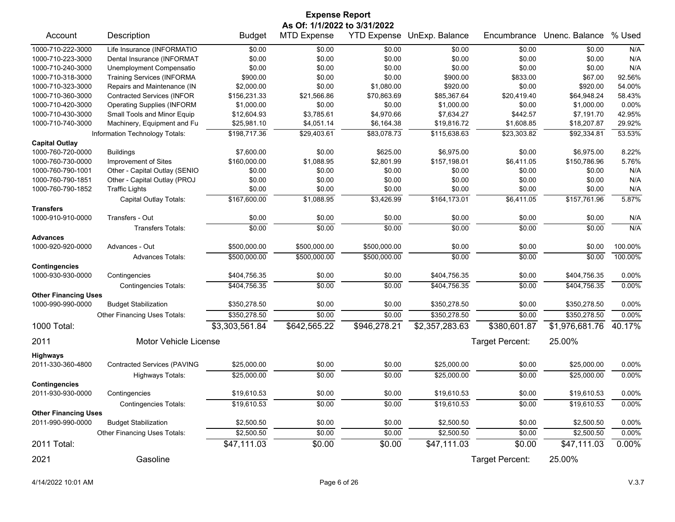| <b>Expense Report</b><br>As Of: 1/1/2022 to 3/31/2022 |                                    |                |                    |              |                                   |                 |                       |          |  |
|-------------------------------------------------------|------------------------------------|----------------|--------------------|--------------|-----------------------------------|-----------------|-----------------------|----------|--|
| Account                                               | Description                        | <b>Budget</b>  | <b>MTD Expense</b> |              | <b>YTD Expense UnExp. Balance</b> | Encumbrance     | Unenc. Balance % Used |          |  |
| 1000-710-222-3000                                     | Life Insurance (INFORMATIO         | \$0.00         | \$0.00             | \$0.00       | \$0.00                            | \$0.00          | \$0.00                | N/A      |  |
| 1000-710-223-3000                                     | Dental Insurance (INFORMAT         | \$0.00         | \$0.00             | \$0.00       | \$0.00                            | \$0.00          | \$0.00                | N/A      |  |
| 1000-710-240-3000                                     | Unemployment Compensatio           | \$0.00         | \$0.00             | \$0.00       | \$0.00                            | \$0.00          | \$0.00                | N/A      |  |
| 1000-710-318-3000                                     | <b>Training Services (INFORMA</b>  | \$900.00       | \$0.00             | \$0.00       | \$900.00                          | \$833.00        | \$67.00               | 92.56%   |  |
| 1000-710-323-3000                                     | Repairs and Maintenance (IN        | \$2,000.00     | \$0.00             | \$1,080.00   | \$920.00                          | \$0.00          | \$920.00              | 54.00%   |  |
| 1000-710-360-3000                                     | <b>Contracted Services (INFOR</b>  | \$156,231.33   | \$21,566.86        | \$70,863.69  | \$85,367.64                       | \$20,419.40     | \$64,948.24           | 58.43%   |  |
| 1000-710-420-3000                                     | <b>Operating Supplies (INFORM</b>  | \$1,000.00     | \$0.00             | \$0.00       | \$1,000.00                        | \$0.00          | \$1,000.00            | 0.00%    |  |
| 1000-710-430-3000                                     | Small Tools and Minor Equip        | \$12,604.93    | \$3,785.61         | \$4,970.66   | \$7,634.27                        | \$442.57        | \$7,191.70            | 42.95%   |  |
| 1000-710-740-3000                                     | Machinery, Equipment and Fu        | \$25,981.10    | \$4,051.14         | \$6,164.38   | \$19,816.72                       | \$1,608.85      | \$18,207.87           | 29.92%   |  |
| <b>Capital Outlay</b>                                 | Information Technology Totals:     | \$198,717.36   | \$29,403.61        | \$83,078.73  | \$115,638.63                      | \$23,303.82     | \$92,334.81           | 53.53%   |  |
| 1000-760-720-0000                                     | <b>Buildings</b>                   | \$7,600.00     | \$0.00             | \$625.00     | \$6,975.00                        | \$0.00          | \$6,975.00            | 8.22%    |  |
| 1000-760-730-0000                                     | Improvement of Sites               | \$160,000.00   | \$1,088.95         | \$2,801.99   | \$157,198.01                      | \$6,411.05      | \$150,786.96          | 5.76%    |  |
| 1000-760-790-1001                                     | Other - Capital Outlay (SENIO      | \$0.00         | \$0.00             | \$0.00       | \$0.00                            | \$0.00          | \$0.00                | N/A      |  |
| 1000-760-790-1851                                     | Other - Capital Outlay (PROJ       | \$0.00         | \$0.00             | \$0.00       | \$0.00                            | \$0.00          | \$0.00                | N/A      |  |
| 1000-760-790-1852                                     | <b>Traffic Lights</b>              | \$0.00         | \$0.00             | \$0.00       | \$0.00                            | \$0.00          | \$0.00                | N/A      |  |
|                                                       | Capital Outlay Totals:             | \$167,600.00   | \$1,088.95         | \$3,426.99   | \$164,173.01                      | \$6,411.05      | \$157,761.96          | 5.87%    |  |
| <b>Transfers</b>                                      |                                    |                |                    |              |                                   |                 |                       |          |  |
| 1000-910-910-0000                                     | Transfers - Out                    | \$0.00         | \$0.00             | \$0.00       | \$0.00                            | \$0.00          | \$0.00                | N/A      |  |
|                                                       | Transfers Totals:                  | \$0.00         | \$0.00             | \$0.00       | \$0.00                            | \$0.00          | \$0.00                | N/A      |  |
| <b>Advances</b>                                       |                                    |                |                    |              |                                   |                 |                       |          |  |
| 1000-920-920-0000                                     | Advances - Out                     | \$500,000.00   | \$500,000.00       | \$500,000.00 | \$0.00                            | \$0.00          | \$0.00                | 100.00%  |  |
|                                                       | <b>Advances Totals:</b>            | \$500,000.00   | \$500,000.00       | \$500,000.00 | \$0.00                            | \$0.00          | \$0.00                | 100.00%  |  |
| <b>Contingencies</b>                                  |                                    |                |                    |              |                                   |                 |                       |          |  |
| 1000-930-930-0000                                     | Contingencies                      | \$404,756.35   | \$0.00             | \$0.00       | \$404,756.35                      | \$0.00          | \$404,756.35          | 0.00%    |  |
|                                                       | <b>Contingencies Totals:</b>       | \$404,756.35   | \$0.00             | \$0.00       | \$404,756.35                      | \$0.00          | \$404,756.35          | 0.00%    |  |
| <b>Other Financing Uses</b>                           |                                    |                |                    |              |                                   |                 |                       |          |  |
| 1000-990-990-0000                                     | <b>Budget Stabilization</b>        | \$350,278.50   | \$0.00             | \$0.00       | \$350,278.50                      | \$0.00          | \$350,278.50          | 0.00%    |  |
|                                                       | Other Financing Uses Totals:       | \$350,278.50   | \$0.00             | \$0.00       | \$350,278.50                      | \$0.00          | \$350,278.50          | 0.00%    |  |
| 1000 Total:                                           |                                    | \$3,303,561.84 | \$642,565.22       | \$946,278.21 | \$2,357,283.63                    | \$380,601.87    | \$1,976,681.76        | 40.17%   |  |
| 2011                                                  | Motor Vehicle License              |                |                    |              |                                   | Target Percent: | 25.00%                |          |  |
| <b>Highways</b>                                       |                                    |                |                    |              |                                   |                 |                       |          |  |
| 2011-330-360-4800                                     | <b>Contracted Services (PAVING</b> | \$25,000.00    | \$0.00             | \$0.00       | \$25,000.00                       | \$0.00          | \$25,000.00           | 0.00%    |  |
|                                                       | Highways Totals:                   | \$25,000.00    | \$0.00             | \$0.00       | \$25,000.00                       | \$0.00          | \$25,000.00           | 0.00%    |  |
| <b>Contingencies</b>                                  |                                    |                |                    |              |                                   |                 |                       |          |  |
| 2011-930-930-0000                                     | Contingencies                      | \$19,610.53    | \$0.00             | \$0.00       | \$19,610.53                       | \$0.00          | \$19,610.53           | 0.00%    |  |
|                                                       | <b>Contingencies Totals:</b>       | \$19,610.53    | \$0.00             | \$0.00       | \$19,610.53                       | \$0.00          | \$19,610.53           | 0.00%    |  |
| <b>Other Financing Uses</b>                           |                                    |                |                    |              |                                   |                 |                       |          |  |
| 2011-990-990-0000                                     | <b>Budget Stabilization</b>        | \$2,500.50     | \$0.00             | \$0.00       | \$2,500.50                        | \$0.00          | \$2,500.50            | 0.00%    |  |
|                                                       | Other Financing Uses Totals:       | \$2,500.50     | \$0.00             | \$0.00       | \$2,500.50                        | \$0.00          | \$2,500.50            | $0.00\%$ |  |
| 2011 Total:                                           |                                    | \$47,111.03    | \$0.00             | \$0.00       | \$47,111.03                       | \$0.00          | \$47,111.03           | 0.00%    |  |
| 2021                                                  | Gasoline                           |                |                    |              |                                   | Target Percent: | 25.00%                |          |  |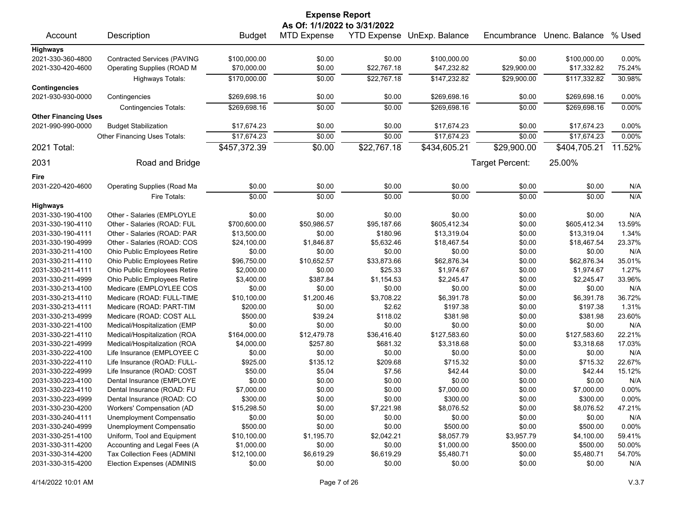| <b>Expense Report</b>       |                                    |               |                              |             |                            |                 |                |          |  |
|-----------------------------|------------------------------------|---------------|------------------------------|-------------|----------------------------|-----------------|----------------|----------|--|
|                             |                                    |               | As Of: 1/1/2022 to 3/31/2022 |             |                            |                 |                |          |  |
| Account                     | Description                        | <b>Budget</b> | <b>MTD Expense</b>           |             | YTD Expense UnExp. Balance | Encumbrance     | Unenc. Balance | % Used   |  |
| <b>Highways</b>             |                                    |               |                              |             |                            |                 |                |          |  |
| 2021-330-360-4800           | <b>Contracted Services (PAVING</b> | \$100,000.00  | \$0.00                       | \$0.00      | \$100,000.00               | \$0.00          | \$100,000.00   | $0.00\%$ |  |
| 2021-330-420-4600           | Operating Supplies (ROAD M         | \$70,000.00   | \$0.00                       | \$22,767.18 | \$47,232.82                | \$29,900.00     | \$17,332.82    | 75.24%   |  |
|                             | <b>Highways Totals:</b>            | \$170,000.00  | \$0.00                       | \$22,767.18 | \$147,232.82               | \$29,900.00     | \$117,332.82   | 30.98%   |  |
| <b>Contingencies</b>        |                                    |               |                              |             |                            |                 |                |          |  |
| 2021-930-930-0000           | Contingencies                      | \$269,698.16  | \$0.00                       | \$0.00      | \$269,698.16               | \$0.00          | \$269,698.16   | 0.00%    |  |
|                             | <b>Contingencies Totals:</b>       | \$269,698.16  | \$0.00                       | \$0.00      | \$269,698.16               | \$0.00          | \$269,698.16   | 0.00%    |  |
| <b>Other Financing Uses</b> |                                    |               |                              |             |                            |                 |                |          |  |
| 2021-990-990-0000           | <b>Budget Stabilization</b>        | \$17,674.23   | \$0.00                       | \$0.00      | \$17,674.23                | \$0.00          | \$17,674.23    | 0.00%    |  |
|                             | Other Financing Uses Totals:       | \$17,674.23   | \$0.00                       | \$0.00      | \$17,674.23                | \$0.00          | \$17,674.23    | 0.00%    |  |
| 2021 Total:                 |                                    | \$457,372.39  | \$0.00                       | \$22,767.18 | \$434,605.21               | \$29,900.00     | \$404,705.21   | 11.52%   |  |
| 2031                        | Road and Bridge                    |               |                              |             |                            | Target Percent: | 25.00%         |          |  |
| Fire                        |                                    |               |                              |             |                            |                 |                |          |  |
| 2031-220-420-4600           | Operating Supplies (Road Ma        | \$0.00        | \$0.00                       | \$0.00      | \$0.00                     | \$0.00          | \$0.00         | N/A      |  |
|                             | Fire Totals:                       | \$0.00        | \$0.00                       | \$0.00      | \$0.00                     | \$0.00          | \$0.00         | N/A      |  |
| <b>Highways</b>             |                                    |               |                              |             |                            |                 |                |          |  |
| 2031-330-190-4100           | Other - Salaries (EMPLOYLE         | \$0.00        | \$0.00                       | \$0.00      | \$0.00                     | \$0.00          | \$0.00         | N/A      |  |
| 2031-330-190-4110           | Other - Salaries (ROAD: FUL        | \$700,600.00  | \$50,986.57                  | \$95,187.66 | \$605,412.34               | \$0.00          | \$605,412.34   | 13.59%   |  |
| 2031-330-190-4111           | Other - Salaries (ROAD: PAR        | \$13,500.00   | \$0.00                       | \$180.96    | \$13,319.04                | \$0.00          | \$13,319.04    | 1.34%    |  |
| 2031-330-190-4999           | Other - Salaries (ROAD: COS        | \$24,100.00   | \$1,846.87                   | \$5,632.46  | \$18,467.54                | \$0.00          | \$18,467.54    | 23.37%   |  |
| 2031-330-211-4100           | Ohio Public Employees Retire       | \$0.00        | \$0.00                       | \$0.00      | \$0.00                     | \$0.00          | \$0.00         | N/A      |  |
| 2031-330-211-4110           | Ohio Public Employees Retire       | \$96,750.00   | \$10,652.57                  | \$33,873.66 | \$62,876.34                | \$0.00          | \$62,876.34    | 35.01%   |  |
| 2031-330-211-4111           | Ohio Public Employees Retire       | \$2,000.00    | \$0.00                       | \$25.33     | \$1,974.67                 | \$0.00          | \$1,974.67     | 1.27%    |  |
| 2031-330-211-4999           | Ohio Public Employees Retire       | \$3,400.00    | \$387.84                     | \$1,154.53  | \$2,245.47                 | \$0.00          | \$2,245.47     | 33.96%   |  |
| 2031-330-213-4100           | Medicare (EMPLOYLEE COS            | \$0.00        | \$0.00                       | \$0.00      | \$0.00                     | \$0.00          | \$0.00         | N/A      |  |
| 2031-330-213-4110           | Medicare (ROAD: FULL-TIME          | \$10,100.00   | \$1,200.46                   | \$3,708.22  | \$6,391.78                 | \$0.00          | \$6,391.78     | 36.72%   |  |
| 2031-330-213-4111           | Medicare (ROAD: PART-TIM           | \$200.00      | \$0.00                       | \$2.62      | \$197.38                   | \$0.00          | \$197.38       | 1.31%    |  |
| 2031-330-213-4999           | Medicare (ROAD: COST ALL           | \$500.00      | \$39.24                      | \$118.02    | \$381.98                   | \$0.00          | \$381.98       | 23.60%   |  |
| 2031-330-221-4100           | Medical/Hospitalization (EMP       | \$0.00        | \$0.00                       | \$0.00      | \$0.00                     | \$0.00          | \$0.00         | N/A      |  |
| 2031-330-221-4110           | Medical/Hospitalization (ROA       | \$164,000.00  | \$12,479.78                  | \$36,416.40 | \$127,583.60               | \$0.00          | \$127,583.60   | 22.21%   |  |
| 2031-330-221-4999           | Medical/Hospitalization (ROA       | \$4,000.00    | \$257.80                     | \$681.32    | \$3,318.68                 | \$0.00          | \$3,318.68     | 17.03%   |  |
| 2031-330-222-4100           | Life Insurance (EMPLOYEE C         | \$0.00        | \$0.00                       | \$0.00      | \$0.00                     | \$0.00          | \$0.00         | N/A      |  |
| 2031-330-222-4110           | Life Insurance (ROAD: FULL-        | \$925.00      | \$135.12                     | \$209.68    | \$715.32                   | \$0.00          | \$715.32       | 22.67%   |  |
| 2031-330-222-4999           | Life Insurance (ROAD: COST         | \$50.00       | \$5.04                       | \$7.56      | \$42.44                    | \$0.00          | \$42.44        | 15.12%   |  |
| 2031-330-223-4100           | Dental Insurance (EMPLOYE          | \$0.00        | \$0.00                       | \$0.00      | \$0.00                     | \$0.00          | \$0.00         | N/A      |  |
| 2031-330-223-4110           | Dental Insurance (ROAD: FU         | \$7,000.00    | \$0.00                       | \$0.00      | \$7,000.00                 | \$0.00          | \$7,000.00     | 0.00%    |  |
| 2031-330-223-4999           | Dental Insurance (ROAD: CO         | \$300.00      | \$0.00                       | \$0.00      | \$300.00                   | \$0.00          | \$300.00       | 0.00%    |  |
| 2031-330-230-4200           | Workers' Compensation (AD          | \$15,298.50   | \$0.00                       | \$7,221.98  | \$8,076.52                 | \$0.00          | \$8,076.52     | 47.21%   |  |
| 2031-330-240-4111           | Unemployment Compensatio           | \$0.00        | \$0.00                       | \$0.00      | \$0.00                     | \$0.00          | \$0.00         | N/A      |  |
| 2031-330-240-4999           | Unemployment Compensatio           | \$500.00      | \$0.00                       | \$0.00      | \$500.00                   | \$0.00          | \$500.00       | 0.00%    |  |
| 2031-330-251-4100           | Uniform, Tool and Equipment        | \$10,100.00   | \$1,195.70                   | \$2,042.21  | \$8,057.79                 | \$3,957.79      | \$4,100.00     | 59.41%   |  |
| 2031-330-311-4200           | Accounting and Legal Fees (A       | \$1,000.00    | \$0.00                       | \$0.00      | \$1,000.00                 | \$500.00        | \$500.00       | 50.00%   |  |
| 2031-330-314-4200           | Tax Collection Fees (ADMINI        | \$12,100.00   | \$6,619.29                   | \$6,619.29  | \$5,480.71                 | \$0.00          | \$5,480.71     | 54.70%   |  |
| 2031-330-315-4200           | Election Expenses (ADMINIS         | \$0.00        | \$0.00                       | \$0.00      | \$0.00                     | \$0.00          | \$0.00         | N/A      |  |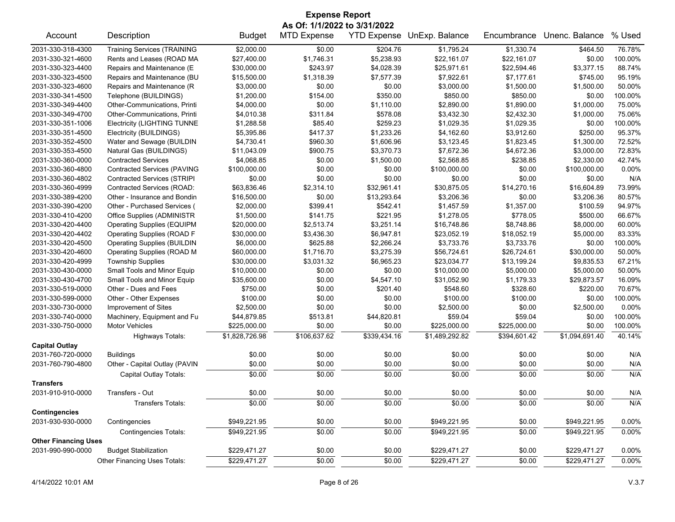| <b>Expense Report</b>                     |                                    |                |                              |              |                            |              |                |          |  |
|-------------------------------------------|------------------------------------|----------------|------------------------------|--------------|----------------------------|--------------|----------------|----------|--|
|                                           |                                    |                | As Of: 1/1/2022 to 3/31/2022 |              |                            |              |                |          |  |
| Account                                   | Description                        | <b>Budget</b>  | <b>MTD Expense</b>           |              | YTD Expense UnExp. Balance | Encumbrance  | Unenc. Balance | % Used   |  |
| 2031-330-318-4300                         | <b>Training Services (TRAINING</b> | \$2,000.00     | \$0.00                       | \$204.76     | \$1,795.24                 | \$1,330.74   | \$464.50       | 76.78%   |  |
| 2031-330-321-4600                         | Rents and Leases (ROAD MA          | \$27,400.00    | \$1,746.31                   | \$5,238.93   | \$22,161.07                | \$22,161.07  | \$0.00         | 100.00%  |  |
| 2031-330-323-4400                         | Repairs and Maintenance (E         | \$30,000.00    | \$243.97                     | \$4,028.39   | \$25,971.61                | \$22,594.46  | \$3,377.15     | 88.74%   |  |
| 2031-330-323-4500                         | Repairs and Maintenance (BU        | \$15,500.00    | \$1,318.39                   | \$7,577.39   | \$7,922.61                 | \$7,177.61   | \$745.00       | 95.19%   |  |
| 2031-330-323-4600                         | Repairs and Maintenance (R         | \$3,000.00     | \$0.00                       | \$0.00       | \$3,000.00                 | \$1,500.00   | \$1,500.00     | 50.00%   |  |
| 2031-330-341-4500                         | Telephone (BUILDINGS)              | \$1,200.00     | \$154.00                     | \$350.00     | \$850.00                   | \$850.00     | \$0.00         | 100.00%  |  |
| 2031-330-349-4400                         | Other-Communications, Printi       | \$4,000.00     | \$0.00                       | \$1,110.00   | \$2,890.00                 | \$1,890.00   | \$1,000.00     | 75.00%   |  |
| 2031-330-349-4700                         | Other-Communications. Printi       | \$4,010.38     | \$311.84                     | \$578.08     | \$3,432.30                 | \$2,432.30   | \$1,000.00     | 75.06%   |  |
| 2031-330-351-1006                         | <b>Electricity (LIGHTING TUNNE</b> | \$1,288.58     | \$85.40                      | \$259.23     | \$1,029.35                 | \$1,029.35   | \$0.00         | 100.00%  |  |
| 2031-330-351-4500                         | Electricity (BUILDINGS)            | \$5,395.86     | \$417.37                     | \$1,233.26   | \$4,162.60                 | \$3,912.60   | \$250.00       | 95.37%   |  |
| 2031-330-352-4500                         | Water and Sewage (BUILDIN          | \$4,730.41     | \$960.30                     | \$1,606.96   | \$3,123.45                 | \$1,823.45   | \$1,300.00     | 72.52%   |  |
| 2031-330-353-4500                         | Natural Gas (BUILDINGS)            | \$11,043.09    | \$900.75                     | \$3,370.73   | \$7,672.36                 | \$4,672.36   | \$3,000.00     | 72.83%   |  |
| 2031-330-360-0000                         | <b>Contracted Services</b>         | \$4,068.85     | \$0.00                       | \$1,500.00   | \$2,568.85                 | \$238.85     | \$2,330.00     | 42.74%   |  |
| 2031-330-360-4800                         | <b>Contracted Services (PAVING</b> | \$100,000.00   | \$0.00                       | \$0.00       | \$100,000.00               | \$0.00       | \$100,000.00   | 0.00%    |  |
| 2031-330-360-4802                         | <b>Contracted Services (STRIPI</b> | \$0.00         | \$0.00                       | \$0.00       | \$0.00                     | \$0.00       | \$0.00         | N/A      |  |
| 2031-330-360-4999                         | Contracted Services (ROAD:         | \$63,836.46    | \$2,314.10                   | \$32,961.41  | \$30,875.05                | \$14,270.16  | \$16,604.89    | 73.99%   |  |
| 2031-330-389-4200                         | Other - Insurance and Bondin       | \$16,500.00    | \$0.00                       | \$13,293.64  | \$3,206.36                 | \$0.00       | \$3,206.36     | 80.57%   |  |
| 2031-330-390-4200                         | Other - Purchased Services (       | \$2,000.00     | \$399.41                     | \$542.41     | \$1,457.59                 | \$1,357.00   | \$100.59       | 94.97%   |  |
| 2031-330-410-4200                         | Office Supplies (ADMINISTR         | \$1,500.00     | \$141.75                     | \$221.95     | \$1,278.05                 | \$778.05     | \$500.00       | 66.67%   |  |
| 2031-330-420-4400                         | <b>Operating Supplies (EQUIPM</b>  | \$20,000.00    | \$2,513.74                   | \$3,251.14   | \$16,748.86                | \$8,748.86   | \$8,000.00     | 60.00%   |  |
| 2031-330-420-4402                         | Operating Supplies (ROAD F         | \$30,000.00    | \$3,436.30                   | \$6,947.81   | \$23,052.19                | \$18,052.19  | \$5,000.00     | 83.33%   |  |
| 2031-330-420-4500                         | <b>Operating Supplies (BUILDIN</b> | \$6,000.00     | \$625.88                     | \$2,266.24   | \$3,733.76                 | \$3,733.76   | \$0.00         | 100.00%  |  |
| 2031-330-420-4600                         | <b>Operating Supplies (ROAD M</b>  | \$60,000.00    | \$1,716.70                   | \$3,275.39   | \$56,724.61                | \$26,724.61  | \$30,000.00    | 50.00%   |  |
| 2031-330-420-4999                         | <b>Township Supplies</b>           | \$30,000.00    | \$3,031.32                   | \$6,965.23   | \$23,034.77                | \$13,199.24  | \$9,835.53     | 67.21%   |  |
| 2031-330-430-0000                         | Small Tools and Minor Equip        | \$10,000.00    | \$0.00                       | \$0.00       | \$10,000.00                | \$5,000.00   | \$5,000.00     | 50.00%   |  |
| 2031-330-430-4700                         | Small Tools and Minor Equip        | \$35,600.00    | \$0.00                       | \$4,547.10   | \$31,052.90                | \$1,179.33   | \$29,873.57    | 16.09%   |  |
| 2031-330-519-0000                         | Other - Dues and Fees              | \$750.00       | \$0.00                       | \$201.40     | \$548.60                   | \$328.60     | \$220.00       | 70.67%   |  |
| 2031-330-599-0000                         | Other - Other Expenses             | \$100.00       | \$0.00                       | \$0.00       | \$100.00                   | \$100.00     | \$0.00         | 100.00%  |  |
| 2031-330-730-0000                         | Improvement of Sites               | \$2,500.00     | \$0.00                       | \$0.00       | \$2,500.00                 | \$0.00       | \$2,500.00     | 0.00%    |  |
| 2031-330-740-0000                         | Machinery, Equipment and Fu        | \$44,879.85    | \$513.81                     | \$44,820.81  | \$59.04                    | \$59.04      | \$0.00         | 100.00%  |  |
| 2031-330-750-0000                         | <b>Motor Vehicles</b>              | \$225,000.00   | \$0.00                       | \$0.00       | \$225,000.00               | \$225,000.00 | \$0.00         | 100.00%  |  |
|                                           | Highways Totals:                   | \$1,828,726.98 | \$106,637.62                 | \$339,434.16 | \$1,489,292.82             | \$394,601.42 | \$1,094,691.40 | 40.14%   |  |
| <b>Capital Outlay</b>                     |                                    |                |                              |              |                            |              |                |          |  |
| 2031-760-720-0000                         | <b>Buildings</b>                   | \$0.00         | \$0.00                       | \$0.00       | \$0.00                     | \$0.00       | \$0.00         | N/A      |  |
| 2031-760-790-4800                         | Other - Capital Outlay (PAVIN      | \$0.00         | \$0.00                       | \$0.00       | \$0.00                     | \$0.00       | \$0.00         | N/A      |  |
|                                           | Capital Outlay Totals:             | \$0.00         | \$0.00                       | \$0.00       | \$0.00                     | \$0.00       | \$0.00         | N/A      |  |
|                                           |                                    |                |                              |              |                            |              |                |          |  |
| <b>Transfers</b>                          |                                    |                |                              |              |                            |              |                |          |  |
| 2031-910-910-0000                         | Transfers - Out                    | \$0.00         | \$0.00                       | \$0.00       | \$0.00                     | \$0.00       | \$0.00         | N/A      |  |
|                                           | <b>Transfers Totals:</b>           | \$0.00         | \$0.00                       | \$0.00       | \$0.00                     | \$0.00       | \$0.00         | N/A      |  |
| <b>Contingencies</b><br>2031-930-930-0000 | Contingencies                      | \$949,221.95   | \$0.00                       | \$0.00       | \$949,221.95               | \$0.00       | \$949,221.95   | $0.00\%$ |  |
|                                           |                                    |                |                              |              | \$949,221.95               |              |                |          |  |
|                                           | <b>Contingencies Totals:</b>       | \$949,221.95   | \$0.00                       | \$0.00       |                            | \$0.00       | \$949,221.95   | $0.00\%$ |  |
| <b>Other Financing Uses</b>               |                                    |                |                              |              |                            |              |                |          |  |
| 2031-990-990-0000                         | <b>Budget Stabilization</b>        | \$229,471.27   | \$0.00                       | \$0.00       | \$229,471.27               | \$0.00       | \$229,471.27   | 0.00%    |  |
|                                           | Other Financing Uses Totals:       | \$229,471.27   | \$0.00                       | \$0.00       | \$229,471.27               | \$0.00       | \$229,471.27   | $0.00\%$ |  |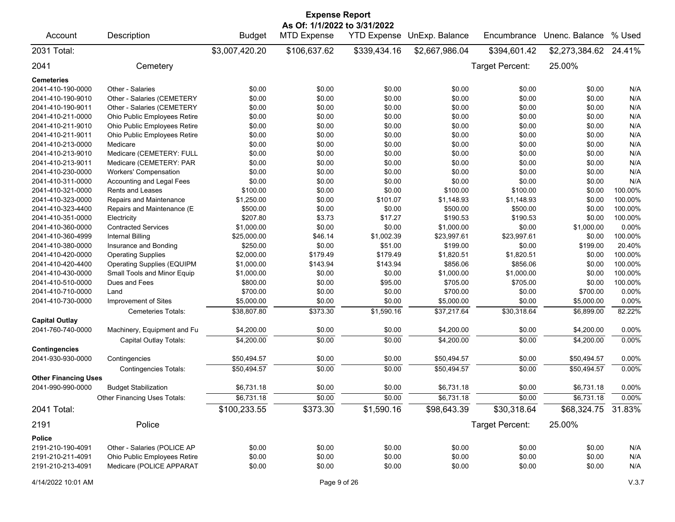| <b>Expense Report</b><br>As Of: 1/1/2022 to 3/31/2022 |                                   |                |                    |                    |                |                 |                |         |  |
|-------------------------------------------------------|-----------------------------------|----------------|--------------------|--------------------|----------------|-----------------|----------------|---------|--|
| Account                                               | Description                       | <b>Budget</b>  | <b>MTD Expense</b> | <b>YTD Expense</b> | UnExp. Balance | Encumbrance     | Unenc. Balance | % Used  |  |
| 2031 Total:                                           |                                   | \$3,007,420.20 | \$106,637.62       | \$339,434.16       | \$2,667,986.04 | \$394,601.42    | \$2,273,384.62 | 24.41%  |  |
| 2041                                                  | Cemetery                          |                |                    |                    |                | Target Percent: | 25.00%         |         |  |
| Cemeteries                                            |                                   |                |                    |                    |                |                 |                |         |  |
| 2041-410-190-0000                                     | Other - Salaries                  | \$0.00         | \$0.00             | \$0.00             | \$0.00         | \$0.00          | \$0.00         | N/A     |  |
| 2041-410-190-9010                                     | Other - Salaries (CEMETERY        | \$0.00         | \$0.00             | \$0.00             | \$0.00         | \$0.00          | \$0.00         | N/A     |  |
| 2041-410-190-9011                                     | Other - Salaries (CEMETERY        | \$0.00         | \$0.00             | \$0.00             | \$0.00         | \$0.00          | \$0.00         | N/A     |  |
| 2041-410-211-0000                                     | Ohio Public Employees Retire      | \$0.00         | \$0.00             | \$0.00             | \$0.00         | \$0.00          | \$0.00         | N/A     |  |
| 2041-410-211-9010                                     | Ohio Public Employees Retire      | \$0.00         | \$0.00             | \$0.00             | \$0.00         | \$0.00          | \$0.00         | N/A     |  |
| 2041-410-211-9011                                     | Ohio Public Employees Retire      | \$0.00         | \$0.00             | \$0.00             | \$0.00         | \$0.00          | \$0.00         | N/A     |  |
| 2041-410-213-0000                                     | Medicare                          | \$0.00         | \$0.00             | \$0.00             | \$0.00         | \$0.00          | \$0.00         | N/A     |  |
| 2041-410-213-9010                                     | Medicare (CEMETERY: FULL          | \$0.00         | \$0.00             | \$0.00             | \$0.00         | \$0.00          | \$0.00         | N/A     |  |
| 2041-410-213-9011                                     | Medicare (CEMETERY: PAR           | \$0.00         | \$0.00             | \$0.00             | \$0.00         | \$0.00          | \$0.00         | N/A     |  |
| 2041-410-230-0000                                     | <b>Workers' Compensation</b>      | \$0.00         | \$0.00             | \$0.00             | \$0.00         | \$0.00          | \$0.00         | N/A     |  |
| 2041-410-311-0000                                     | Accounting and Legal Fees         | \$0.00         | \$0.00             | \$0.00             | \$0.00         | \$0.00          | \$0.00         | N/A     |  |
| 2041-410-321-0000                                     | Rents and Leases                  | \$100.00       | \$0.00             | \$0.00             | \$100.00       | \$100.00        | \$0.00         | 100.00% |  |
| 2041-410-323-0000                                     | Repairs and Maintenance           | \$1,250.00     | \$0.00             | \$101.07           | \$1,148.93     | \$1,148.93      | \$0.00         | 100.00% |  |
| 2041-410-323-4400                                     | Repairs and Maintenance (E        | \$500.00       | \$0.00             | \$0.00             | \$500.00       | \$500.00        | \$0.00         | 100.00% |  |
| 2041-410-351-0000                                     | Electricity                       | \$207.80       | \$3.73             | \$17.27            | \$190.53       | \$190.53        | \$0.00         | 100.00% |  |
| 2041-410-360-0000                                     | <b>Contracted Services</b>        | \$1,000.00     | \$0.00             | \$0.00             | \$1,000.00     | \$0.00          | \$1,000.00     | 0.00%   |  |
| 2041-410-360-4999                                     | <b>Internal Billing</b>           | \$25,000.00    | \$46.14            | \$1,002.39         | \$23,997.61    | \$23,997.61     | \$0.00         | 100.00% |  |
| 2041-410-380-0000                                     | Insurance and Bonding             | \$250.00       | \$0.00             | \$51.00            | \$199.00       | \$0.00          | \$199.00       | 20.40%  |  |
| 2041-410-420-0000                                     | <b>Operating Supplies</b>         | \$2,000.00     | \$179.49           | \$179.49           | \$1,820.51     | \$1,820.51      | \$0.00         | 100.00% |  |
| 2041-410-420-4400                                     | <b>Operating Supplies (EQUIPM</b> | \$1,000.00     | \$143.94           | \$143.94           | \$856.06       | \$856.06        | \$0.00         | 100.00% |  |
| 2041-410-430-0000                                     | Small Tools and Minor Equip       | \$1,000.00     | \$0.00             | \$0.00             | \$1,000.00     | \$1,000.00      | \$0.00         | 100.00% |  |
| 2041-410-510-0000                                     | Dues and Fees                     | \$800.00       | \$0.00             | \$95.00            | \$705.00       | \$705.00        | \$0.00         | 100.00% |  |
| 2041-410-710-0000                                     | Land                              | \$700.00       | \$0.00             | \$0.00             | \$700.00       | \$0.00          | \$700.00       | 0.00%   |  |
| 2041-410-730-0000                                     | Improvement of Sites              | \$5,000.00     | \$0.00             | \$0.00             | \$5,000.00     | \$0.00          | \$5,000.00     | 0.00%   |  |
|                                                       | <b>Cemeteries Totals:</b>         | \$38,807.80    | \$373.30           | \$1,590.16         | \$37,217.64    | \$30,318.64     | \$6,899.00     | 82.22%  |  |
| <b>Capital Outlay</b>                                 |                                   |                |                    |                    |                |                 |                |         |  |
| 2041-760-740-0000                                     | Machinery, Equipment and Fu       | \$4,200.00     | \$0.00             | \$0.00             | \$4,200.00     | \$0.00          | \$4,200.00     | 0.00%   |  |
|                                                       |                                   |                |                    |                    |                |                 |                |         |  |
|                                                       | Capital Outlay Totals:            | \$4,200.00     | \$0.00             | \$0.00             | \$4,200.00     | \$0.00          | \$4,200.00     | 0.00%   |  |
| Contingencies<br>2041-930-930-0000                    | Contingencies                     | \$50,494.57    | \$0.00             | \$0.00             | \$50,494.57    | \$0.00          | \$50,494.57    | 0.00%   |  |
|                                                       | <b>Contingencies Totals:</b>      | \$50,494.57    | \$0.00             | \$0.00             | \$50,494.57    | \$0.00          | \$50,494.57    | 0.00%   |  |
| <b>Other Financing Uses</b>                           |                                   |                |                    |                    |                |                 |                |         |  |
| 2041-990-990-0000                                     | <b>Budget Stabilization</b>       | \$6,731.18     | \$0.00             | \$0.00             | \$6,731.18     | \$0.00          | \$6,731.18     | 0.00%   |  |
|                                                       | Other Financing Uses Totals:      | \$6,731.18     | \$0.00             | \$0.00             | \$6,731.18     | \$0.00          | \$6,731.18     | 0.00%   |  |
| 2041 Total:                                           |                                   | \$100,233.55   | \$373.30           | \$1,590.16         | \$98,643.39    | \$30,318.64     | \$68,324.75    | 31.83%  |  |
| 2191                                                  | Police                            |                |                    |                    |                | Target Percent: | 25.00%         |         |  |
|                                                       |                                   |                |                    |                    |                |                 |                |         |  |
| Police                                                |                                   |                |                    |                    |                |                 |                |         |  |
| 2191-210-190-4091                                     | Other - Salaries (POLICE AP       | \$0.00         | \$0.00             | \$0.00             | \$0.00         | \$0.00          | \$0.00         | N/A     |  |
| 2191-210-211-4091                                     | Ohio Public Employees Retire      | \$0.00         | \$0.00             | \$0.00             | \$0.00         | \$0.00          | \$0.00         | N/A     |  |
| 2191-210-213-4091                                     | Medicare (POLICE APPARAT          | \$0.00         | \$0.00             | \$0.00             | \$0.00         | \$0.00          | \$0.00         | N/A     |  |
| 4/14/2022 10:01 AM                                    |                                   |                | Page 9 of 26       |                    |                |                 |                | V.3.7   |  |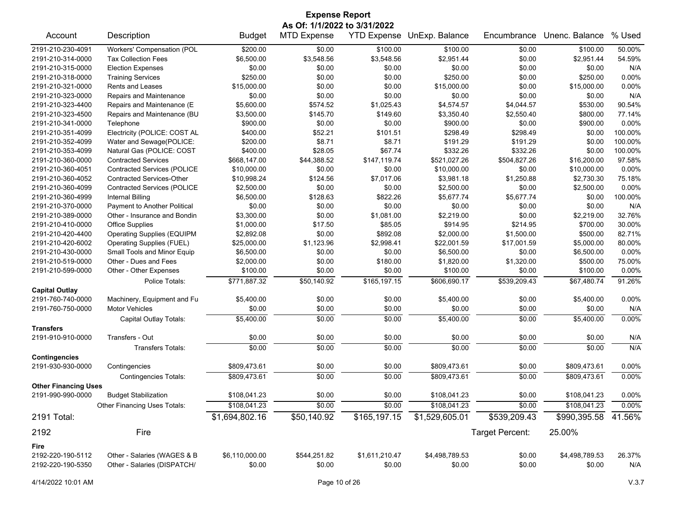| <b>Expense Report</b>                     |                                    |                |                                                    |                |                                   |                 |                |          |  |
|-------------------------------------------|------------------------------------|----------------|----------------------------------------------------|----------------|-----------------------------------|-----------------|----------------|----------|--|
| Account                                   | Description                        | <b>Budget</b>  | As Of: 1/1/2022 to 3/31/2022<br><b>MTD Expense</b> |                | <b>YTD Expense UnExp. Balance</b> | Encumbrance     | Unenc. Balance | % Used   |  |
|                                           |                                    |                |                                                    |                |                                   |                 |                |          |  |
| 2191-210-230-4091                         | Workers' Compensation (POL         | \$200.00       | \$0.00                                             | \$100.00       | \$100.00                          | \$0.00          | \$100.00       | 50.00%   |  |
| 2191-210-314-0000                         | <b>Tax Collection Fees</b>         | \$6,500.00     | \$3,548.56                                         | \$3,548.56     | \$2.951.44                        | \$0.00          | \$2,951.44     | 54.59%   |  |
| 2191-210-315-0000                         | <b>Election Expenses</b>           | \$0.00         | \$0.00                                             | \$0.00         | \$0.00                            | \$0.00          | \$0.00         | N/A      |  |
| 2191-210-318-0000                         | <b>Training Services</b>           | \$250.00       | \$0.00                                             | \$0.00         | \$250.00                          | \$0.00          | \$250.00       | 0.00%    |  |
| 2191-210-321-0000                         | <b>Rents and Leases</b>            | \$15,000.00    | \$0.00                                             | \$0.00         | \$15,000.00                       | \$0.00          | \$15,000.00    | 0.00%    |  |
| 2191-210-323-0000                         | Repairs and Maintenance            | \$0.00         | \$0.00                                             | \$0.00         | \$0.00                            | \$0.00          | \$0.00         | N/A      |  |
| 2191-210-323-4400                         | Repairs and Maintenance (E         | \$5,600.00     | \$574.52                                           | \$1,025.43     | \$4,574.57                        | \$4,044.57      | \$530.00       | 90.54%   |  |
| 2191-210-323-4500                         | Repairs and Maintenance (BU        | \$3,500.00     | \$145.70                                           | \$149.60       | \$3,350.40                        | \$2,550.40      | \$800.00       | 77.14%   |  |
| 2191-210-341-0000                         | Telephone                          | \$900.00       | \$0.00                                             | \$0.00         | \$900.00                          | \$0.00          | \$900.00       | 0.00%    |  |
| 2191-210-351-4099                         | Electricity (POLICE: COST AL       | \$400.00       | \$52.21                                            | \$101.51       | \$298.49                          | \$298.49        | \$0.00         | 100.00%  |  |
| 2191-210-352-4099                         | Water and Sewage(POLICE:           | \$200.00       | \$8.71                                             | \$8.71         | \$191.29                          | \$191.29        | \$0.00         | 100.00%  |  |
| 2191-210-353-4099                         | Natural Gas (POLICE: COST          | \$400.00       | \$28.05                                            | \$67.74        | \$332.26                          | \$332.26        | \$0.00         | 100.00%  |  |
| 2191-210-360-0000                         | <b>Contracted Services</b>         | \$668,147.00   | \$44,388.52                                        | \$147,119.74   | \$521,027.26                      | \$504,827.26    | \$16,200.00    | 97.58%   |  |
| 2191-210-360-4051                         | <b>Contracted Services (POLICE</b> | \$10,000.00    | \$0.00                                             | \$0.00         | \$10,000.00                       | \$0.00          | \$10,000.00    | 0.00%    |  |
| 2191-210-360-4052                         | <b>Contracted Services-Other</b>   | \$10,998.24    | \$124.56                                           | \$7,017.06     | \$3,981.18                        | \$1,250.88      | \$2,730.30     | 75.18%   |  |
| 2191-210-360-4099                         | <b>Contracted Services (POLICE</b> | \$2,500.00     | \$0.00                                             | \$0.00         | \$2,500.00                        | \$0.00          | \$2,500.00     | 0.00%    |  |
| 2191-210-360-4999                         | <b>Internal Billing</b>            | \$6,500.00     | \$128.63                                           | \$822.26       | \$5,677.74                        | \$5,677.74      | \$0.00         | 100.00%  |  |
| 2191-210-370-0000                         | Payment to Another Political       | \$0.00         | \$0.00                                             | \$0.00         | \$0.00                            | \$0.00          | \$0.00         | N/A      |  |
| 2191-210-389-0000                         | Other - Insurance and Bondin       | \$3,300.00     | \$0.00                                             | \$1,081.00     | \$2,219.00                        | \$0.00          | \$2,219.00     | 32.76%   |  |
| 2191-210-410-0000                         | <b>Office Supplies</b>             | \$1,000.00     | \$17.50                                            | \$85.05        | \$914.95                          | \$214.95        | \$700.00       | 30.00%   |  |
| 2191-210-420-4400                         | <b>Operating Supplies (EQUIPM</b>  | \$2,892.08     | \$0.00                                             | \$892.08       | \$2,000.00                        | \$1,500.00      | \$500.00       | 82.71%   |  |
| 2191-210-420-6002                         | <b>Operating Supplies (FUEL)</b>   | \$25,000.00    | \$1,123.96                                         | \$2,998.41     | \$22,001.59                       | \$17,001.59     | \$5,000.00     | 80.00%   |  |
| 2191-210-430-0000                         | Small Tools and Minor Equip        | \$6,500.00     | \$0.00                                             | \$0.00         | \$6,500.00                        | \$0.00          | \$6,500.00     | 0.00%    |  |
| 2191-210-519-0000                         | Other - Dues and Fees              | \$2,000.00     | \$0.00                                             | \$180.00       | \$1,820.00                        | \$1,320.00      | \$500.00       | 75.00%   |  |
| 2191-210-599-0000                         | Other - Other Expenses             | \$100.00       | \$0.00                                             | \$0.00         | \$100.00                          | \$0.00          | \$100.00       | $0.00\%$ |  |
|                                           | Police Totals:                     | \$771,887.32   | \$50,140.92                                        | \$165,197.15   | \$606,690.17                      | \$539,209.43    | \$67,480.74    | 91.26%   |  |
| <b>Capital Outlay</b>                     |                                    |                |                                                    |                |                                   |                 |                |          |  |
| 2191-760-740-0000                         | Machinery, Equipment and Fu        | \$5,400.00     | \$0.00                                             | \$0.00         | \$5,400.00                        | \$0.00          | \$5,400.00     | 0.00%    |  |
| 2191-760-750-0000                         | <b>Motor Vehicles</b>              | \$0.00         | \$0.00                                             | \$0.00         | \$0.00                            | \$0.00          | \$0.00         | N/A      |  |
|                                           | Capital Outlay Totals:             | \$5,400.00     | \$0.00                                             | \$0.00         | \$5,400.00                        | \$0.00          | \$5,400.00     | 0.00%    |  |
| <b>Transfers</b>                          |                                    |                |                                                    |                |                                   |                 |                |          |  |
| 2191-910-910-0000                         | Transfers - Out                    | \$0.00         | \$0.00                                             | \$0.00         | \$0.00                            | \$0.00          | \$0.00         | N/A      |  |
|                                           | <b>Transfers Totals:</b>           | \$0.00         | \$0.00                                             | \$0.00         | \$0.00                            | \$0.00          | \$0.00         | N/A      |  |
| <b>Contingencies</b><br>2191-930-930-0000 | Contingencies                      | \$809,473.61   | \$0.00                                             | \$0.00         | \$809,473.61                      | \$0.00          | \$809,473.61   | 0.00%    |  |
|                                           | <b>Contingencies Totals:</b>       | \$809,473.61   | \$0.00                                             | \$0.00         | \$809,473.61                      | \$0.00          | \$809,473.61   | 0.00%    |  |
| <b>Other Financing Uses</b>               |                                    |                |                                                    |                |                                   |                 |                |          |  |
| 2191-990-990-0000                         | <b>Budget Stabilization</b>        | \$108,041.23   | \$0.00                                             | \$0.00         | \$108,041.23                      | \$0.00          | \$108,041.23   | 0.00%    |  |
|                                           | Other Financing Uses Totals:       | \$108,041.23   | \$0.00                                             | \$0.00         | \$108,041.23                      | \$0.00          | \$108,041.23   | 0.00%    |  |
| 2191 Total:                               |                                    | \$1,694,802.16 | \$50,140.92                                        | \$165,197.15   | \$1,529,605.01                    | \$539,209.43    | \$990,395.58   | 41.56%   |  |
| 2192                                      | Fire                               |                |                                                    |                |                                   | Target Percent: | 25.00%         |          |  |
| Fire                                      |                                    |                |                                                    |                |                                   |                 |                |          |  |
| 2192-220-190-5112                         | Other - Salaries (WAGES & B        | \$6,110,000.00 | \$544,251.82                                       | \$1,611,210.47 | \$4,498,789.53                    | \$0.00          | \$4,498,789.53 | 26.37%   |  |
| 2192-220-190-5350                         | Other - Salaries (DISPATCH/        | \$0.00         | \$0.00                                             | \$0.00         | \$0.00                            | \$0.00          | \$0.00         | N/A      |  |
|                                           |                                    |                |                                                    |                |                                   |                 |                |          |  |

4/14/2022 10:01 AM Page 10 of 26 V.3.7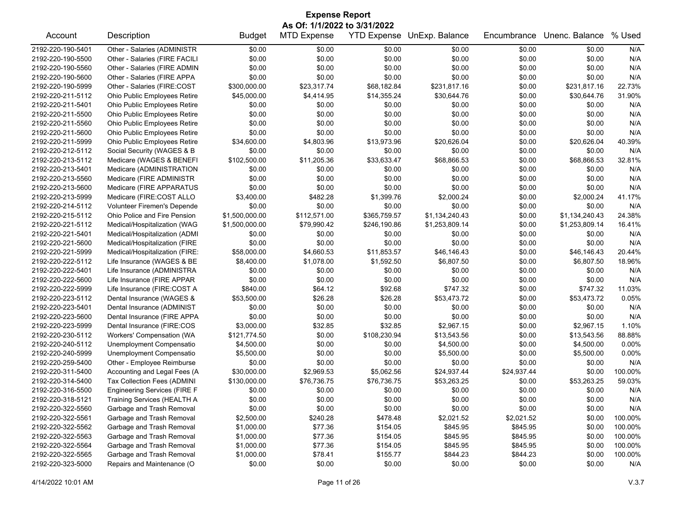| <b>Expense Report</b> |                                     |                |                              |                    |                |             |                |         |  |
|-----------------------|-------------------------------------|----------------|------------------------------|--------------------|----------------|-------------|----------------|---------|--|
|                       |                                     |                | As Of: 1/1/2022 to 3/31/2022 |                    |                |             |                |         |  |
| Account               | Description                         | <b>Budget</b>  | <b>MTD Expense</b>           | <b>YTD Expense</b> | UnExp. Balance | Encumbrance | Unenc. Balance | % Used  |  |
| 2192-220-190-5401     | Other - Salaries (ADMINISTR         | \$0.00         | \$0.00                       | \$0.00             | \$0.00         | \$0.00      | \$0.00         | N/A     |  |
| 2192-220-190-5500     | Other - Salaries (FIRE FACILI       | \$0.00         | \$0.00                       | \$0.00             | \$0.00         | \$0.00      | \$0.00         | N/A     |  |
| 2192-220-190-5560     | Other - Salaries (FIRE ADMIN        | \$0.00         | \$0.00                       | \$0.00             | \$0.00         | \$0.00      | \$0.00         | N/A     |  |
| 2192-220-190-5600     | Other - Salaries (FIRE APPA         | \$0.00         | \$0.00                       | \$0.00             | \$0.00         | \$0.00      | \$0.00         | N/A     |  |
| 2192-220-190-5999     | Other - Salaries (FIRE:COST         | \$300,000.00   | \$23,317.74                  | \$68,182.84        | \$231,817.16   | \$0.00      | \$231,817.16   | 22.73%  |  |
| 2192-220-211-5112     | Ohio Public Employees Retire        | \$45,000.00    | \$4,414.95                   | \$14,355.24        | \$30,644.76    | \$0.00      | \$30,644.76    | 31.90%  |  |
| 2192-220-211-5401     | Ohio Public Employees Retire        | \$0.00         | \$0.00                       | \$0.00             | \$0.00         | \$0.00      | \$0.00         | N/A     |  |
| 2192-220-211-5500     | Ohio Public Employees Retire        | \$0.00         | \$0.00                       | \$0.00             | \$0.00         | \$0.00      | \$0.00         | N/A     |  |
| 2192-220-211-5560     | Ohio Public Employees Retire        | \$0.00         | \$0.00                       | \$0.00             | \$0.00         | \$0.00      | \$0.00         | N/A     |  |
| 2192-220-211-5600     | Ohio Public Employees Retire        | \$0.00         | \$0.00                       | \$0.00             | \$0.00         | \$0.00      | \$0.00         | N/A     |  |
| 2192-220-211-5999     | Ohio Public Employees Retire        | \$34,600.00    | \$4,803.96                   | \$13,973.96        | \$20,626.04    | \$0.00      | \$20,626.04    | 40.39%  |  |
| 2192-220-212-5112     | Social Security (WAGES & B          | \$0.00         | \$0.00                       | \$0.00             | \$0.00         | \$0.00      | \$0.00         | N/A     |  |
| 2192-220-213-5112     | Medicare (WAGES & BENEFI            | \$102,500.00   | \$11,205.36                  | \$33,633.47        | \$68,866.53    | \$0.00      | \$68,866.53    | 32.81%  |  |
| 2192-220-213-5401     | Medicare (ADMINISTRATION            | \$0.00         | \$0.00                       | \$0.00             | \$0.00         | \$0.00      | \$0.00         | N/A     |  |
| 2192-220-213-5560     | Medicare (FIRE ADMINISTR            | \$0.00         | \$0.00                       | \$0.00             | \$0.00         | \$0.00      | \$0.00         | N/A     |  |
| 2192-220-213-5600     | Medicare (FIRE APPARATUS            | \$0.00         | \$0.00                       | \$0.00             | \$0.00         | \$0.00      | \$0.00         | N/A     |  |
| 2192-220-213-5999     | Medicare (FIRE:COST ALLO            | \$3,400.00     | \$482.28                     | \$1,399.76         | \$2,000.24     | \$0.00      | \$2,000.24     | 41.17%  |  |
| 2192-220-214-5112     | Volunteer Firemen's Depende         | \$0.00         | \$0.00                       | \$0.00             | \$0.00         | \$0.00      | \$0.00         | N/A     |  |
| 2192-220-215-5112     | Ohio Police and Fire Pension        | \$1,500,000.00 | \$112,571.00                 | \$365,759.57       | \$1,134,240.43 | \$0.00      | \$1,134,240.43 | 24.38%  |  |
| 2192-220-221-5112     | Medical/Hospitalization (WAG        | \$1,500,000.00 | \$79,990.42                  | \$246,190.86       | \$1,253,809.14 | \$0.00      | \$1,253,809.14 | 16.41%  |  |
| 2192-220-221-5401     | Medical/Hospitalization (ADMI       | \$0.00         | \$0.00                       | \$0.00             | \$0.00         | \$0.00      | \$0.00         | N/A     |  |
| 2192-220-221-5600     | Medical/Hospitalization (FIRE       | \$0.00         | \$0.00                       | \$0.00             | \$0.00         | \$0.00      | \$0.00         | N/A     |  |
| 2192-220-221-5999     | Medical/Hospitalization (FIRE:      | \$58,000.00    | \$4,660.53                   | \$11,853.57        | \$46,146.43    | \$0.00      | \$46,146.43    | 20.44%  |  |
| 2192-220-222-5112     | Life Insurance (WAGES & BE          | \$8,400.00     | \$1,078.00                   | \$1,592.50         | \$6,807.50     | \$0.00      | \$6,807.50     | 18.96%  |  |
| 2192-220-222-5401     | Life Insurance (ADMINISTRA          | \$0.00         | \$0.00                       | \$0.00             | \$0.00         | \$0.00      | \$0.00         | N/A     |  |
| 2192-220-222-5600     | Life Insurance (FIRE APPAR          | \$0.00         | \$0.00                       | \$0.00             | \$0.00         | \$0.00      | \$0.00         | N/A     |  |
| 2192-220-222-5999     | Life Insurance (FIRE:COST A         | \$840.00       | \$64.12                      | \$92.68            | \$747.32       | \$0.00      | \$747.32       | 11.03%  |  |
| 2192-220-223-5112     | Dental Insurance (WAGES &           | \$53,500.00    | \$26.28                      | \$26.28            | \$53,473.72    | \$0.00      | \$53,473.72    | 0.05%   |  |
| 2192-220-223-5401     | Dental Insurance (ADMINIST          | \$0.00         | \$0.00                       | \$0.00             | \$0.00         | \$0.00      | \$0.00         | N/A     |  |
| 2192-220-223-5600     | Dental Insurance (FIRE APPA         | \$0.00         | \$0.00                       | \$0.00             | \$0.00         | \$0.00      | \$0.00         | N/A     |  |
| 2192-220-223-5999     | Dental Insurance (FIRE:COS          | \$3,000.00     | \$32.85                      | \$32.85            | \$2,967.15     | \$0.00      | \$2,967.15     | 1.10%   |  |
| 2192-220-230-5112     | Workers' Compensation (WA           | \$121,774.50   | \$0.00                       | \$108,230.94       | \$13,543.56    | \$0.00      | \$13,543.56    | 88.88%  |  |
| 2192-220-240-5112     | Unemployment Compensatio            | \$4,500.00     | \$0.00                       | \$0.00             | \$4,500.00     | \$0.00      | \$4,500.00     | 0.00%   |  |
| 2192-220-240-5999     | Unemployment Compensatio            | \$5,500.00     | \$0.00                       | \$0.00             | \$5,500.00     | \$0.00      | \$5,500.00     | 0.00%   |  |
| 2192-220-259-5400     | Other - Employee Reimburse          | \$0.00         | \$0.00                       | \$0.00             | \$0.00         | \$0.00      | \$0.00         | N/A     |  |
| 2192-220-311-5400     | Accounting and Legal Fees (A        | \$30,000.00    | \$2,969.53                   | \$5,062.56         | \$24,937.44    | \$24,937.44 | \$0.00         | 100.00% |  |
| 2192-220-314-5400     | Tax Collection Fees (ADMINI         | \$130,000.00   | \$76,736.75                  | \$76,736.75        | \$53,263.25    | \$0.00      | \$53,263.25    | 59.03%  |  |
| 2192-220-316-5500     | <b>Engineering Services (FIRE F</b> | \$0.00         | \$0.00                       | \$0.00             | \$0.00         | \$0.00      | \$0.00         | N/A     |  |
| 2192-220-318-5121     | Training Services (HEALTH A         | \$0.00         | \$0.00                       | \$0.00             | \$0.00         | \$0.00      | \$0.00         | N/A     |  |
| 2192-220-322-5560     | Garbage and Trash Removal           |                | \$0.00                       | \$0.00             |                |             |                |         |  |
|                       |                                     | \$0.00         |                              |                    | \$0.00         | \$0.00      | \$0.00         | N/A     |  |
| 2192-220-322-5561     | Garbage and Trash Removal           | \$2,500.00     | \$240.28                     | \$478.48           | \$2,021.52     | \$2,021.52  | \$0.00         | 100.00% |  |
| 2192-220-322-5562     | Garbage and Trash Removal           | \$1,000.00     | \$77.36                      | \$154.05           | \$845.95       | \$845.95    | \$0.00         | 100.00% |  |
| 2192-220-322-5563     | Garbage and Trash Removal           | \$1,000.00     | \$77.36                      | \$154.05           | \$845.95       | \$845.95    | \$0.00         | 100.00% |  |
| 2192-220-322-5564     | Garbage and Trash Removal           | \$1,000.00     | \$77.36                      | \$154.05           | \$845.95       | \$845.95    | \$0.00         | 100.00% |  |
| 2192-220-322-5565     | Garbage and Trash Removal           | \$1,000.00     | \$78.41                      | \$155.77           | \$844.23       | \$844.23    | \$0.00         | 100.00% |  |
| 2192-220-323-5000     | Repairs and Maintenance (O          | \$0.00         | \$0.00                       | \$0.00             | \$0.00         | \$0.00      | \$0.00         | N/A     |  |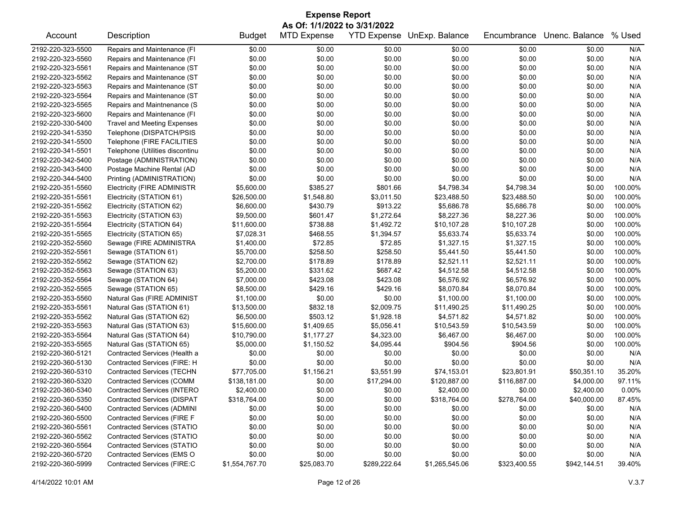| <b>Expense Report</b> |                                    |                |                    |                    |                |              |                |          |  |  |
|-----------------------|------------------------------------|----------------|--------------------|--------------------|----------------|--------------|----------------|----------|--|--|
|                       | As Of: 1/1/2022 to 3/31/2022       |                |                    |                    |                |              |                |          |  |  |
| Account               | Description                        | <b>Budget</b>  | <b>MTD Expense</b> | <b>YTD Expense</b> | UnExp. Balance | Encumbrance  | Unenc. Balance | % Used   |  |  |
| 2192-220-323-5500     | Repairs and Maintenance (FI        | \$0.00         | \$0.00             | \$0.00             | \$0.00         | \$0.00       | \$0.00         | N/A      |  |  |
| 2192-220-323-5560     | Repairs and Maintenance (FI        | \$0.00         | \$0.00             | \$0.00             | \$0.00         | \$0.00       | \$0.00         | N/A      |  |  |
| 2192-220-323-5561     | Repairs and Maintenance (ST        | \$0.00         | \$0.00             | \$0.00             | \$0.00         | \$0.00       | \$0.00         | N/A      |  |  |
| 2192-220-323-5562     | Repairs and Maintenance (ST        | \$0.00         | \$0.00             | \$0.00             | \$0.00         | \$0.00       | \$0.00         | N/A      |  |  |
| 2192-220-323-5563     | Repairs and Maintenance (ST        | \$0.00         | \$0.00             | \$0.00             | \$0.00         | \$0.00       | \$0.00         | N/A      |  |  |
| 2192-220-323-5564     | Repairs and Maintenance (ST        | \$0.00         | \$0.00             | \$0.00             | \$0.00         | \$0.00       | \$0.00         | N/A      |  |  |
| 2192-220-323-5565     | Repairs and Maintnenance (S        | \$0.00         | \$0.00             | \$0.00             | \$0.00         | \$0.00       | \$0.00         | N/A      |  |  |
| 2192-220-323-5600     | Repairs and Maintenance (FI        | \$0.00         | \$0.00             | \$0.00             | \$0.00         | \$0.00       | \$0.00         | N/A      |  |  |
| 2192-220-330-5400     | <b>Travel and Meeting Expenses</b> | \$0.00         | \$0.00             | \$0.00             | \$0.00         | \$0.00       | \$0.00         | N/A      |  |  |
| 2192-220-341-5350     | Telephone (DISPATCH/PSIS           | \$0.00         | \$0.00             | \$0.00             | \$0.00         | \$0.00       | \$0.00         | N/A      |  |  |
| 2192-220-341-5500     | Telephone (FIRE FACILITIES         | \$0.00         | \$0.00             | \$0.00             | \$0.00         | \$0.00       | \$0.00         | N/A      |  |  |
| 2192-220-341-5501     | Telephone (Utilities discontinu    | \$0.00         | \$0.00             | \$0.00             | \$0.00         | \$0.00       | \$0.00         | N/A      |  |  |
| 2192-220-342-5400     | Postage (ADMINISTRATION)           | \$0.00         | \$0.00             | \$0.00             | \$0.00         | \$0.00       | \$0.00         | N/A      |  |  |
| 2192-220-343-5400     | Postage Machine Rental (AD         | \$0.00         | \$0.00             | \$0.00             | \$0.00         | \$0.00       | \$0.00         | N/A      |  |  |
| 2192-220-344-5400     | Printing (ADMINISTRATION)          | \$0.00         | \$0.00             | \$0.00             | \$0.00         | \$0.00       | \$0.00         | N/A      |  |  |
| 2192-220-351-5560     | <b>Electricity (FIRE ADMINISTR</b> | \$5,600.00     | \$385.27           | \$801.66           | \$4,798.34     | \$4,798.34   | \$0.00         | 100.00%  |  |  |
| 2192-220-351-5561     | Electricity (STATION 61)           | \$26,500.00    | \$1,548.80         | \$3,011.50         | \$23,488.50    | \$23,488.50  | \$0.00         | 100.00%  |  |  |
| 2192-220-351-5562     | Electricity (STATION 62)           | \$6,600.00     | \$430.79           | \$913.22           | \$5,686.78     | \$5,686.78   | \$0.00         | 100.00%  |  |  |
| 2192-220-351-5563     | Electricity (STATION 63)           | \$9,500.00     | \$601.47           | \$1,272.64         | \$8,227.36     | \$8,227.36   | \$0.00         | 100.00%  |  |  |
| 2192-220-351-5564     | Electricity (STATION 64)           | \$11,600.00    | \$738.88           | \$1,492.72         | \$10,107.28    | \$10,107.28  | \$0.00         | 100.00%  |  |  |
| 2192-220-351-5565     | Electricity (STATION 65)           | \$7,028.31     | \$468.55           | \$1,394.57         | \$5,633.74     | \$5,633.74   | \$0.00         | 100.00%  |  |  |
| 2192-220-352-5560     | Sewage (FIRE ADMINISTRA            | \$1,400.00     | \$72.85            | \$72.85            | \$1,327.15     | \$1,327.15   | \$0.00         | 100.00%  |  |  |
| 2192-220-352-5561     | Sewage (STATION 61)                | \$5,700.00     | \$258.50           | \$258.50           | \$5,441.50     | \$5,441.50   | \$0.00         | 100.00%  |  |  |
| 2192-220-352-5562     | Sewage (STATION 62)                | \$2,700.00     | \$178.89           | \$178.89           | \$2,521.11     | \$2,521.11   | \$0.00         | 100.00%  |  |  |
| 2192-220-352-5563     | Sewage (STATION 63)                | \$5,200.00     | \$331.62           | \$687.42           | \$4,512.58     | \$4,512.58   | \$0.00         | 100.00%  |  |  |
| 2192-220-352-5564     | Sewage (STATION 64)                | \$7,000.00     | \$423.08           | \$423.08           | \$6,576.92     | \$6,576.92   | \$0.00         | 100.00%  |  |  |
| 2192-220-352-5565     | Sewage (STATION 65)                | \$8,500.00     | \$429.16           | \$429.16           | \$8,070.84     | \$8,070.84   | \$0.00         | 100.00%  |  |  |
| 2192-220-353-5560     |                                    |                | \$0.00             | \$0.00             | \$1,100.00     | \$1,100.00   | \$0.00         | 100.00%  |  |  |
|                       | Natural Gas (FIRE ADMINIST         | \$1,100.00     |                    |                    |                |              |                |          |  |  |
| 2192-220-353-5561     | Natural Gas (STATION 61)           | \$13,500.00    | \$832.18           | \$2,009.75         | \$11,490.25    | \$11,490.25  | \$0.00         | 100.00%  |  |  |
| 2192-220-353-5562     | Natural Gas (STATION 62)           | \$6,500.00     | \$503.12           | \$1,928.18         | \$4,571.82     | \$4,571.82   | \$0.00         | 100.00%  |  |  |
| 2192-220-353-5563     | Natural Gas (STATION 63)           | \$15,600.00    | \$1,409.65         | \$5,056.41         | \$10,543.59    | \$10,543.59  | \$0.00         | 100.00%  |  |  |
| 2192-220-353-5564     | Natural Gas (STATION 64)           | \$10,790.00    | \$1,177.27         | \$4,323.00         | \$6,467.00     | \$6,467.00   | \$0.00         | 100.00%  |  |  |
| 2192-220-353-5565     | Natural Gas (STATION 65)           | \$5,000.00     | \$1,150.52         | \$4,095.44         | \$904.56       | \$904.56     | \$0.00         | 100.00%  |  |  |
| 2192-220-360-5121     | Contracted Services (Health a      | \$0.00         | \$0.00             | \$0.00             | \$0.00         | \$0.00       | \$0.00         | N/A      |  |  |
| 2192-220-360-5130     | Contracted Services (FIRE: H       | \$0.00         | \$0.00             | \$0.00             | \$0.00         | \$0.00       | \$0.00         | N/A      |  |  |
| 2192-220-360-5310     | Contracted Services (TECHN         | \$77,705.00    | \$1,156.21         | \$3,551.99         | \$74,153.01    | \$23,801.91  | \$50,351.10    | 35.20%   |  |  |
| 2192-220-360-5320     | Contracted Services (COMM          | \$138,181.00   | \$0.00             | \$17,294.00        | \$120,887.00   | \$116,887.00 | \$4,000.00     | 97.11%   |  |  |
| 2192-220-360-5340     | Contracted Services (INTERO        | \$2,400.00     | \$0.00             | \$0.00             | \$2,400.00     | \$0.00       | \$2,400.00     | $0.00\%$ |  |  |
| 2192-220-360-5350     | <b>Contracted Services (DISPAT</b> | \$318,764.00   | \$0.00             | \$0.00             | \$318,764.00   | \$278,764.00 | \$40,000.00    | 87.45%   |  |  |
| 2192-220-360-5400     | <b>Contracted Services (ADMINI</b> | \$0.00         | \$0.00             | \$0.00             | \$0.00         | \$0.00       | \$0.00         | N/A      |  |  |
| 2192-220-360-5500     | Contracted Services (FIRE F        | \$0.00         | \$0.00             | \$0.00             | \$0.00         | \$0.00       | \$0.00         | N/A      |  |  |
| 2192-220-360-5561     | <b>Contracted Services (STATIO</b> | \$0.00         | \$0.00             | \$0.00             | \$0.00         | \$0.00       | \$0.00         | N/A      |  |  |
| 2192-220-360-5562     | Contracted Services (STATIO        | \$0.00         | \$0.00             | \$0.00             | \$0.00         | \$0.00       | \$0.00         | N/A      |  |  |
| 2192-220-360-5564     | <b>Contracted Services (STATIO</b> | \$0.00         | \$0.00             | \$0.00             | \$0.00         | \$0.00       | \$0.00         | N/A      |  |  |
| 2192-220-360-5720     | Contracted Services (EMS O         | \$0.00         | \$0.00             | \$0.00             | \$0.00         | \$0.00       | \$0.00         | N/A      |  |  |
| 2192-220-360-5999     | Contracted Services (FIRE:C        | \$1,554,767.70 | \$25,083.70        | \$289,222.64       | \$1,265,545.06 | \$323,400.55 | \$942,144.51   | 39.40%   |  |  |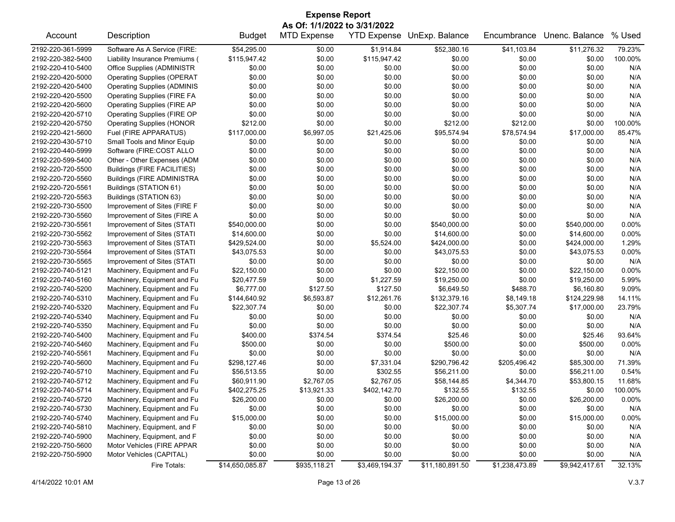| <b>Expense Report</b> |                                                            |                 |                    |                |                            |                |                |         |  |  |  |
|-----------------------|------------------------------------------------------------|-----------------|--------------------|----------------|----------------------------|----------------|----------------|---------|--|--|--|
|                       | As Of: 1/1/2022 to 3/31/2022                               |                 |                    |                |                            |                |                |         |  |  |  |
| Account               | Description                                                | <b>Budget</b>   | <b>MTD Expense</b> |                | YTD Expense UnExp. Balance | Encumbrance    | Unenc. Balance | % Used  |  |  |  |
| 2192-220-361-5999     | Software As A Service (FIRE:                               | \$54,295.00     | \$0.00             | \$1,914.84     | \$52,380.16                | \$41,103.84    | \$11,276.32    | 79.23%  |  |  |  |
| 2192-220-382-5400     | Liability Insurance Premiums (                             | \$115,947.42    | \$0.00             | \$115,947.42   | \$0.00                     | \$0.00         | \$0.00         | 100.00% |  |  |  |
| 2192-220-410-5400     | Office Supplies (ADMINISTR                                 | \$0.00          | \$0.00             | \$0.00         | \$0.00                     | \$0.00         | \$0.00         | N/A     |  |  |  |
| 2192-220-420-5000     | <b>Operating Supplies (OPERAT</b>                          | \$0.00          | \$0.00             | \$0.00         | \$0.00                     | \$0.00         | \$0.00         | N/A     |  |  |  |
| 2192-220-420-5400     | <b>Operating Supplies (ADMINIS</b>                         | \$0.00          | \$0.00             | \$0.00         | \$0.00                     | \$0.00         | \$0.00         | N/A     |  |  |  |
| 2192-220-420-5500     | <b>Operating Supplies (FIRE FA</b>                         | \$0.00          | \$0.00             | \$0.00         | \$0.00                     | \$0.00         | \$0.00         | N/A     |  |  |  |
| 2192-220-420-5600     | <b>Operating Supplies (FIRE AP</b>                         | \$0.00          | \$0.00             | \$0.00         | \$0.00                     | \$0.00         | \$0.00         | N/A     |  |  |  |
| 2192-220-420-5710     | Operating Supplies (FIRE OP                                | \$0.00          | \$0.00             | \$0.00         | \$0.00                     | \$0.00         | \$0.00         | N/A     |  |  |  |
| 2192-220-420-5750     | <b>Operating Supplies (HONOR</b>                           | \$212.00        | \$0.00             | \$0.00         | \$212.00                   | \$212.00       | \$0.00         | 100.00% |  |  |  |
| 2192-220-421-5600     | Fuel (FIRE APPARATUS)                                      | \$117,000.00    | \$6,997.05         | \$21,425.06    | \$95,574.94                | \$78,574.94    | \$17,000.00    | 85.47%  |  |  |  |
| 2192-220-430-5710     | Small Tools and Minor Equip                                | \$0.00          | \$0.00             | \$0.00         | \$0.00                     | \$0.00         | \$0.00         | N/A     |  |  |  |
| 2192-220-440-5999     | Software (FIRE:COST ALLO                                   | \$0.00          | \$0.00             | \$0.00         | \$0.00                     | \$0.00         | \$0.00         | N/A     |  |  |  |
| 2192-220-599-5400     | Other - Other Expenses (ADM                                | \$0.00          | \$0.00             | \$0.00         | \$0.00                     | \$0.00         | \$0.00         | N/A     |  |  |  |
| 2192-220-720-5500     | Buildings (FIRE FACILITIES)                                | \$0.00          | \$0.00             | \$0.00         | \$0.00                     | \$0.00         | \$0.00         | N/A     |  |  |  |
| 2192-220-720-5560     | <b>Buildings (FIRE ADMINISTRA</b>                          | \$0.00          | \$0.00             | \$0.00         | \$0.00                     | \$0.00         | \$0.00         | N/A     |  |  |  |
| 2192-220-720-5561     | Buildings (STATION 61)                                     | \$0.00          | \$0.00             | \$0.00         | \$0.00                     | \$0.00         | \$0.00         | N/A     |  |  |  |
| 2192-220-720-5563     | Buildings (STATION 63)                                     | \$0.00          | \$0.00             | \$0.00         | \$0.00                     | \$0.00         | \$0.00         | N/A     |  |  |  |
| 2192-220-730-5500     | Improvement of Sites (FIRE F                               | \$0.00          | \$0.00             | \$0.00         | \$0.00                     | \$0.00         | \$0.00         | N/A     |  |  |  |
| 2192-220-730-5560     | Improvement of Sites (FIRE A                               | \$0.00          | \$0.00             | \$0.00         | \$0.00                     | \$0.00         | \$0.00         | N/A     |  |  |  |
| 2192-220-730-5561     | Improvement of Sites (STATI                                | \$540,000.00    | \$0.00             | \$0.00         | \$540,000.00               | \$0.00         | \$540,000.00   | 0.00%   |  |  |  |
| 2192-220-730-5562     | Improvement of Sites (STATI                                | \$14,600.00     | \$0.00             | \$0.00         | \$14,600.00                | \$0.00         | \$14,600.00    | 0.00%   |  |  |  |
| 2192-220-730-5563     |                                                            | \$429,524.00    | \$0.00             | \$5,524.00     | \$424,000.00               | \$0.00         | \$424,000.00   | 1.29%   |  |  |  |
| 2192-220-730-5564     | Improvement of Sites (STATI<br>Improvement of Sites (STATI | \$43,075.53     | \$0.00             | \$0.00         | \$43,075.53                | \$0.00         | \$43,075.53    | 0.00%   |  |  |  |
|                       |                                                            |                 | \$0.00             |                |                            |                |                |         |  |  |  |
| 2192-220-730-5565     | Improvement of Sites (STATI                                | \$0.00          |                    | \$0.00         | \$0.00                     | \$0.00         | \$0.00         | N/A     |  |  |  |
| 2192-220-740-5121     | Machinery, Equipment and Fu                                | \$22,150.00     | \$0.00             | \$0.00         | \$22,150.00                | \$0.00         | \$22,150.00    | 0.00%   |  |  |  |
| 2192-220-740-5160     | Machinery, Equipment and Fu                                | \$20,477.59     | \$0.00             | \$1,227.59     | \$19,250.00                | \$0.00         | \$19,250.00    | 5.99%   |  |  |  |
| 2192-220-740-5200     | Machinery, Equipment and Fu                                | \$6,777.00      | \$127.50           | \$127.50       | \$6,649.50                 | \$488.70       | \$6,160.80     | 9.09%   |  |  |  |
| 2192-220-740-5310     | Machinery, Equipment and Fu                                | \$144,640.92    | \$6,593.87         | \$12,261.76    | \$132,379.16               | \$8,149.18     | \$124,229.98   | 14.11%  |  |  |  |
| 2192-220-740-5320     | Machinery, Equipment and Fu                                | \$22,307.74     | \$0.00             | \$0.00         | \$22,307.74                | \$5,307.74     | \$17,000.00    | 23.79%  |  |  |  |
| 2192-220-740-5340     | Machinery, Equipment and Fu                                | \$0.00          | \$0.00             | \$0.00         | \$0.00                     | \$0.00         | \$0.00         | N/A     |  |  |  |
| 2192-220-740-5350     | Machinery, Equipment and Fu                                | \$0.00          | \$0.00             | \$0.00         | \$0.00                     | \$0.00         | \$0.00         | N/A     |  |  |  |
| 2192-220-740-5400     | Machinery, Equipment and Fu                                | \$400.00        | \$374.54           | \$374.54       | \$25.46                    | \$0.00         | \$25.46        | 93.64%  |  |  |  |
| 2192-220-740-5460     | Machinery, Equipment and Fu                                | \$500.00        | \$0.00             | \$0.00         | \$500.00                   | \$0.00         | \$500.00       | 0.00%   |  |  |  |
| 2192-220-740-5561     | Machinery, Equipment and Fu                                | \$0.00          | \$0.00             | \$0.00         | \$0.00                     | \$0.00         | \$0.00         | N/A     |  |  |  |
| 2192-220-740-5600     | Machinery, Equipment and Fu                                | \$298,127.46    | \$0.00             | \$7,331.04     | \$290,796.42               | \$205,496.42   | \$85,300.00    | 71.39%  |  |  |  |
| 2192-220-740-5710     | Machinery, Equipment and Fu                                | \$56,513.55     | \$0.00             | \$302.55       | \$56,211.00                | \$0.00         | \$56,211.00    | 0.54%   |  |  |  |
| 2192-220-740-5712     | Machinery, Equipment and Fu                                | \$60,911.90     | \$2,767.05         | \$2,767.05     | \$58,144.85                | \$4,344.70     | \$53,800.15    | 11.68%  |  |  |  |
| 2192-220-740-5714     | Machinery, Equipment and Fu                                | \$402,275.25    | \$13,921.33        | \$402,142.70   | \$132.55                   | \$132.55       | \$0.00         | 100.00% |  |  |  |
| 2192-220-740-5720     | Machinery, Equipment and Fu                                | \$26,200.00     | \$0.00             | \$0.00         | \$26,200.00                | \$0.00         | \$26,200.00    | 0.00%   |  |  |  |
| 2192-220-740-5730     | Machinery, Equipment and Fu                                | \$0.00          | \$0.00             | \$0.00         | \$0.00                     | \$0.00         | \$0.00         | N/A     |  |  |  |
| 2192-220-740-5740     | Machinery, Equipment and Fu                                | \$15,000.00     | \$0.00             | \$0.00         | \$15,000.00                | \$0.00         | \$15,000.00    | 0.00%   |  |  |  |
| 2192-220-740-5810     | Machinery, Equipment, and F                                | \$0.00          | \$0.00             | \$0.00         | \$0.00                     | \$0.00         | \$0.00         | N/A     |  |  |  |
| 2192-220-740-5900     | Machinery, Equipment, and F                                | \$0.00          | \$0.00             | \$0.00         | \$0.00                     | \$0.00         | \$0.00         | N/A     |  |  |  |
| 2192-220-750-5600     | Motor Vehicles (FIRE APPAR                                 | \$0.00          | \$0.00             | \$0.00         | \$0.00                     | \$0.00         | \$0.00         | N/A     |  |  |  |
| 2192-220-750-5900     | Motor Vehicles (CAPITAL)                                   | \$0.00          | \$0.00             | \$0.00         | \$0.00                     | \$0.00         | \$0.00         | N/A     |  |  |  |
|                       | Fire Totals:                                               | \$14,650,085.87 | \$935,118.21       | \$3,469,194.37 | \$11,180,891.50            | \$1,238,473.89 | \$9,942,417.61 | 32.13%  |  |  |  |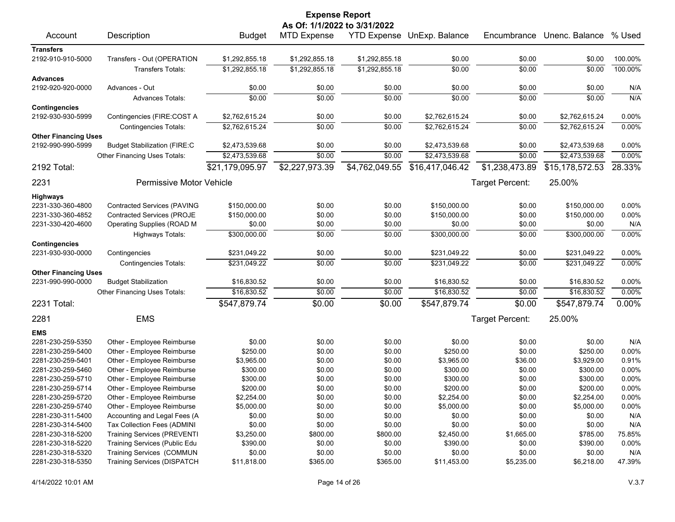|                              |                                     |                 | <b>Expense Report</b> |                |                                   |                 |                 |         |  |  |
|------------------------------|-------------------------------------|-----------------|-----------------------|----------------|-----------------------------------|-----------------|-----------------|---------|--|--|
| As Of: 1/1/2022 to 3/31/2022 |                                     |                 |                       |                |                                   |                 |                 |         |  |  |
| Account                      | Description                         | <b>Budget</b>   | <b>MTD Expense</b>    |                | <b>YTD Expense UnExp. Balance</b> | Encumbrance     | Unenc. Balance  | % Used  |  |  |
| <b>Transfers</b>             |                                     |                 |                       |                |                                   |                 |                 |         |  |  |
| 2192-910-910-5000            | Transfers - Out (OPERATION          | \$1,292,855.18  | \$1,292,855.18        | \$1,292,855.18 | \$0.00                            | \$0.00          | \$0.00          | 100.00% |  |  |
|                              | <b>Transfers Totals:</b>            | \$1,292,855.18  | \$1,292,855.18        | \$1,292,855.18 | \$0.00                            | \$0.00          | \$0.00          | 100.00% |  |  |
| <b>Advances</b>              |                                     |                 |                       |                |                                   |                 |                 |         |  |  |
| 2192-920-920-0000            | Advances - Out                      | \$0.00          | \$0.00                | \$0.00         | \$0.00                            | \$0.00          | \$0.00          | N/A     |  |  |
|                              | <b>Advances Totals:</b>             | \$0.00          | \$0.00                | \$0.00         | \$0.00                            | \$0.00          | \$0.00          | N/A     |  |  |
| <b>Contingencies</b>         |                                     |                 |                       |                |                                   |                 |                 |         |  |  |
| 2192-930-930-5999            | Contingencies (FIRE:COST A          | \$2,762,615.24  | \$0.00                | \$0.00         | \$2,762,615.24                    | \$0.00          | \$2,762,615.24  | 0.00%   |  |  |
|                              | <b>Contingencies Totals:</b>        | \$2,762,615.24  | \$0.00                | \$0.00         | \$2,762,615.24                    | \$0.00          | \$2,762,615.24  | 0.00%   |  |  |
| <b>Other Financing Uses</b>  |                                     |                 |                       |                |                                   |                 |                 |         |  |  |
| 2192-990-990-5999            | <b>Budget Stabilization (FIRE:C</b> | \$2,473,539.68  | \$0.00                | \$0.00         | \$2,473,539.68                    | \$0.00          | \$2,473,539.68  | 0.00%   |  |  |
|                              | Other Financing Uses Totals:        | \$2,473,539.68  | \$0.00                | \$0.00         | \$2,473,539.68                    | \$0.00          | \$2,473,539.68  | 0.00%   |  |  |
| 2192 Total:                  |                                     | \$21,179,095.97 | \$2,227,973.39        | \$4,762,049.55 | \$16,417,046.42                   | \$1,238,473.89  | \$15,178,572.53 | 28.33%  |  |  |
| 2231                         | Permissive Motor Vehicle            |                 |                       |                |                                   | Target Percent: | 25.00%          |         |  |  |
| Highways                     |                                     |                 |                       |                |                                   |                 |                 |         |  |  |
| 2231-330-360-4800            | <b>Contracted Services (PAVING</b>  | \$150,000.00    | \$0.00                | \$0.00         | \$150,000.00                      | \$0.00          | \$150,000.00    | 0.00%   |  |  |
| 2231-330-360-4852            | <b>Contracted Services (PROJE</b>   | \$150,000.00    | \$0.00                | \$0.00         | \$150,000.00                      | \$0.00          | \$150,000.00    | 0.00%   |  |  |
| 2231-330-420-4600            | Operating Supplies (ROAD M          | \$0.00          | \$0.00                | \$0.00         | \$0.00                            | \$0.00          | \$0.00          | N/A     |  |  |
|                              | <b>Highways Totals:</b>             | \$300,000.00    | \$0.00                | \$0.00         | \$300,000.00                      | \$0.00          | \$300,000.00    | 0.00%   |  |  |
| <b>Contingencies</b>         |                                     |                 |                       |                |                                   |                 |                 |         |  |  |
| 2231-930-930-0000            | Contingencies                       | \$231,049.22    | \$0.00                | \$0.00         | \$231,049.22                      | \$0.00          | \$231,049.22    | 0.00%   |  |  |
|                              | <b>Contingencies Totals:</b>        | \$231,049.22    | \$0.00                | \$0.00         | \$231,049.22                      | \$0.00          | \$231,049.22    | 0.00%   |  |  |
| <b>Other Financing Uses</b>  |                                     |                 |                       |                |                                   |                 |                 |         |  |  |
| 2231-990-990-0000            | <b>Budget Stabilization</b>         | \$16,830.52     | \$0.00                | \$0.00         | \$16,830.52                       | \$0.00          | \$16,830.52     | 0.00%   |  |  |
|                              | Other Financing Uses Totals:        | \$16,830.52     | \$0.00                | \$0.00         | \$16,830.52                       | \$0.00          | \$16,830.52     | 0.00%   |  |  |
| 2231 Total:                  |                                     | \$547,879.74    | \$0.00                | \$0.00         | \$547,879.74                      | \$0.00          | \$547,879.74    | 0.00%   |  |  |
| 2281                         | <b>EMS</b>                          |                 |                       |                |                                   | Target Percent: | 25.00%          |         |  |  |
| <b>EMS</b>                   |                                     |                 |                       |                |                                   |                 |                 |         |  |  |
| 2281-230-259-5350            | Other - Employee Reimburse          | \$0.00          | \$0.00                | \$0.00         | \$0.00                            | \$0.00          | \$0.00          | N/A     |  |  |
| 2281-230-259-5400            | Other - Employee Reimburse          | \$250.00        | \$0.00                | \$0.00         | \$250.00                          | \$0.00          | \$250.00        | 0.00%   |  |  |
| 2281-230-259-5401            | Other - Employee Reimburse          | \$3,965.00      | \$0.00                | \$0.00         | \$3,965.00                        | \$36.00         | \$3,929.00      | 0.91%   |  |  |
| 2281-230-259-5460            | Other - Employee Reimburse          | \$300.00        | \$0.00                | \$0.00         | \$300.00                          | \$0.00          | \$300.00        | 0.00%   |  |  |
| 2281-230-259-5710            | Other - Employee Reimburse          | \$300.00        | \$0.00                | \$0.00         | \$300.00                          | \$0.00          | \$300.00        | 0.00%   |  |  |
| 2281-230-259-5714            | Other - Employee Reimburse          | \$200.00        | \$0.00                | \$0.00         | \$200.00                          | \$0.00          | \$200.00        | 0.00%   |  |  |
| 2281-230-259-5720            | Other - Employee Reimburse          | \$2,254.00      | \$0.00                | \$0.00         | \$2,254.00                        | \$0.00          | \$2,254.00      | 0.00%   |  |  |
| 2281-230-259-5740            | Other - Employee Reimburse          | \$5,000.00      | \$0.00                | \$0.00         | \$5,000.00                        | \$0.00          | \$5,000.00      | 0.00%   |  |  |
| 2281-230-311-5400            | Accounting and Legal Fees (A        | \$0.00          | \$0.00                | \$0.00         | \$0.00                            | \$0.00          | \$0.00          | N/A     |  |  |
| 2281-230-314-5400            | Tax Collection Fees (ADMINI         | \$0.00          | \$0.00                | \$0.00         | \$0.00                            | \$0.00          | \$0.00          | N/A     |  |  |
| 2281-230-318-5200            | <b>Training Services (PREVENTI</b>  | \$3,250.00      | \$800.00              | \$800.00       | \$2,450.00                        | \$1,665.00      | \$785.00        | 75.85%  |  |  |
| 2281-230-318-5220            | Training Services (Public Edu       | \$390.00        | \$0.00                | \$0.00         | \$390.00                          | \$0.00          | \$390.00        | 0.00%   |  |  |
| 2281-230-318-5320            | Training Services (COMMUN           | \$0.00          | \$0.00                | \$0.00         | \$0.00                            | \$0.00          | \$0.00          | N/A     |  |  |
| 2281-230-318-5350            | <b>Training Services (DISPATCH</b>  | \$11,818.00     | \$365.00              | \$365.00       | \$11,453.00                       | \$5,235.00      | \$6,218.00      | 47.39%  |  |  |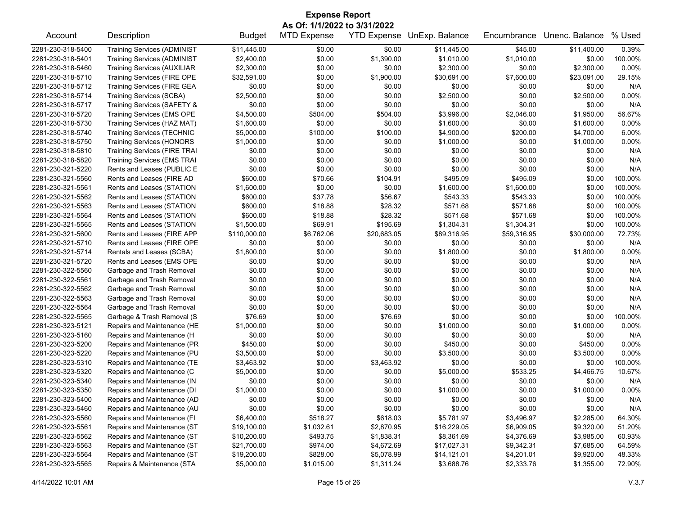| <b>Expense Report</b><br>As Of: 1/1/2022 to 3/31/2022 |                                     |               |                    |             |                                   |             |                |         |  |
|-------------------------------------------------------|-------------------------------------|---------------|--------------------|-------------|-----------------------------------|-------------|----------------|---------|--|
| Account                                               | Description                         | <b>Budget</b> | <b>MTD Expense</b> |             | <b>YTD Expense UnExp. Balance</b> | Encumbrance | Unenc. Balance | % Used  |  |
| 2281-230-318-5400                                     | <b>Training Services (ADMINIST</b>  | \$11,445.00   | \$0.00             | \$0.00      | \$11,445.00                       | \$45.00     | \$11,400.00    | 0.39%   |  |
| 2281-230-318-5401                                     | <b>Training Services (ADMINIST</b>  | \$2,400.00    | \$0.00             | \$1,390.00  | \$1,010.00                        | \$1,010.00  | \$0.00         | 100.00% |  |
| 2281-230-318-5460                                     | <b>Training Services (AUXILIAR</b>  | \$2,300.00    | \$0.00             | \$0.00      | \$2,300.00                        | \$0.00      | \$2,300.00     | 0.00%   |  |
| 2281-230-318-5710                                     | Training Services (FIRE OPE         | \$32,591.00   | \$0.00             | \$1,900.00  | \$30,691.00                       | \$7,600.00  | \$23,091.00    | 29.15%  |  |
| 2281-230-318-5712                                     | <b>Training Services (FIRE GEA</b>  | \$0.00        | \$0.00             | \$0.00      | \$0.00                            | \$0.00      | \$0.00         | N/A     |  |
| 2281-230-318-5714                                     | <b>Training Services (SCBA)</b>     | \$2,500.00    | \$0.00             | \$0.00      | \$2,500.00                        | \$0.00      | \$2,500.00     | 0.00%   |  |
| 2281-230-318-5717                                     | Training Services (SAFETY &         | \$0.00        | \$0.00             | \$0.00      | \$0.00                            | \$0.00      | \$0.00         | N/A     |  |
| 2281-230-318-5720                                     | Training Services (EMS OPE          | \$4,500.00    | \$504.00           | \$504.00    | \$3,996.00                        | \$2,046.00  | \$1,950.00     | 56.67%  |  |
| 2281-230-318-5730                                     | Training Services (HAZ MAT)         | \$1,600.00    | \$0.00             | \$0.00      | \$1,600.00                        | \$0.00      | \$1,600.00     | 0.00%   |  |
| 2281-230-318-5740                                     | <b>Training Services (TECHNIC</b>   | \$5,000.00    | \$100.00           | \$100.00    | \$4,900.00                        | \$200.00    | \$4,700.00     | 6.00%   |  |
| 2281-230-318-5750                                     | <b>Training Services (HONORS</b>    | \$1,000.00    | \$0.00             | \$0.00      | \$1,000.00                        | \$0.00      | \$1,000.00     | 0.00%   |  |
| 2281-230-318-5810                                     | <b>Training Services (FIRE TRAI</b> | \$0.00        | \$0.00             | \$0.00      | \$0.00                            | \$0.00      | \$0.00         | N/A     |  |
| 2281-230-318-5820                                     | <b>Training Services (EMS TRAI</b>  | \$0.00        | \$0.00             | \$0.00      | \$0.00                            | \$0.00      | \$0.00         | N/A     |  |
| 2281-230-321-5220                                     | Rents and Leases (PUBLIC E          | \$0.00        | \$0.00             | \$0.00      | \$0.00                            | \$0.00      | \$0.00         | N/A     |  |
| 2281-230-321-5560                                     | Rents and Leases (FIRE AD           | \$600.00      | \$70.66            | \$104.91    | \$495.09                          | \$495.09    | \$0.00         | 100.00% |  |
| 2281-230-321-5561                                     | Rents and Leases (STATION           | \$1,600.00    | \$0.00             | \$0.00      | \$1,600.00                        | \$1,600.00  | \$0.00         | 100.00% |  |
| 2281-230-321-5562                                     | Rents and Leases (STATION           | \$600.00      | \$37.78            | \$56.67     | \$543.33                          | \$543.33    | \$0.00         | 100.00% |  |
| 2281-230-321-5563                                     | Rents and Leases (STATION           | \$600.00      | \$18.88            | \$28.32     | \$571.68                          | \$571.68    | \$0.00         | 100.00% |  |
| 2281-230-321-5564                                     | Rents and Leases (STATION           | \$600.00      | \$18.88            | \$28.32     | \$571.68                          | \$571.68    | \$0.00         | 100.00% |  |
| 2281-230-321-5565                                     | Rents and Leases (STATION           | \$1,500.00    | \$69.91            | \$195.69    | \$1,304.31                        | \$1,304.31  | \$0.00         | 100.00% |  |
| 2281-230-321-5600                                     | Rents and Leases (FIRE APP          | \$110,000.00  | \$6,762.06         | \$20,683.05 | \$89,316.95                       | \$59,316.95 | \$30,000.00    | 72.73%  |  |
| 2281-230-321-5710                                     | Rents and Leases (FIRE OPE          | \$0.00        | \$0.00             | \$0.00      | \$0.00                            | \$0.00      | \$0.00         | N/A     |  |
| 2281-230-321-5714                                     | Rentals and Leases (SCBA)           | \$1,800.00    | \$0.00             | \$0.00      | \$1,800.00                        | \$0.00      | \$1,800.00     | 0.00%   |  |
| 2281-230-321-5720                                     | Rents and Leases (EMS OPE           | \$0.00        | \$0.00             | \$0.00      | \$0.00                            | \$0.00      | \$0.00         | N/A     |  |
| 2281-230-322-5560                                     | Garbage and Trash Removal           | \$0.00        | \$0.00             | \$0.00      | \$0.00                            | \$0.00      | \$0.00         | N/A     |  |
| 2281-230-322-5561                                     | Garbage and Trash Removal           | \$0.00        | \$0.00             | \$0.00      | \$0.00                            | \$0.00      | \$0.00         | N/A     |  |
| 2281-230-322-5562                                     | Garbage and Trash Removal           | \$0.00        | \$0.00             | \$0.00      | \$0.00                            | \$0.00      | \$0.00         | N/A     |  |
| 2281-230-322-5563                                     | Garbage and Trash Removal           | \$0.00        | \$0.00             | \$0.00      | \$0.00                            | \$0.00      | \$0.00         | N/A     |  |
| 2281-230-322-5564                                     | Garbage and Trash Removal           | \$0.00        | \$0.00             | \$0.00      | \$0.00                            | \$0.00      | \$0.00         | N/A     |  |
| 2281-230-322-5565                                     | Garbage & Trash Removal (S          | \$76.69       | \$0.00             | \$76.69     | \$0.00                            | \$0.00      | \$0.00         | 100.00% |  |
| 2281-230-323-5121                                     | Repairs and Maintenance (HE         | \$1,000.00    | \$0.00             | \$0.00      | \$1,000.00                        | \$0.00      | \$1,000.00     | 0.00%   |  |
| 2281-230-323-5160                                     | Repairs and Maintenance (H          | \$0.00        | \$0.00             | \$0.00      | \$0.00                            | \$0.00      | \$0.00         | N/A     |  |
| 2281-230-323-5200                                     | Repairs and Maintenance (PR         | \$450.00      | \$0.00             | \$0.00      | \$450.00                          | \$0.00      | \$450.00       | 0.00%   |  |
| 2281-230-323-5220                                     | Repairs and Maintenance (PU         | \$3,500.00    | \$0.00             | \$0.00      | \$3,500.00                        | \$0.00      | \$3,500.00     | 0.00%   |  |
| 2281-230-323-5310                                     | Repairs and Maintenance (TE         | \$3,463.92    | \$0.00             | \$3,463.92  | \$0.00                            | \$0.00      | \$0.00         | 100.00% |  |
| 2281-230-323-5320                                     | Repairs and Maintenance (C          | \$5,000.00    | \$0.00             | \$0.00      | \$5,000.00                        | \$533.25    | \$4,466.75     | 10.67%  |  |
| 2281-230-323-5340                                     | Repairs and Maintenance (IN         | \$0.00        | \$0.00             | \$0.00      | \$0.00                            | \$0.00      | \$0.00         | N/A     |  |
| 2281-230-323-5350                                     | Repairs and Maintenance (DI         | \$1,000.00    | \$0.00             | \$0.00      | \$1,000.00                        | \$0.00      | \$1,000.00     | 0.00%   |  |
| 2281-230-323-5400                                     | Repairs and Maintenance (AD         | \$0.00        | \$0.00             | \$0.00      | \$0.00                            | \$0.00      | \$0.00         | N/A     |  |
| 2281-230-323-5460                                     | Repairs and Maintenance (AU         | \$0.00        | \$0.00             | \$0.00      | \$0.00                            | \$0.00      | \$0.00         | N/A     |  |
| 2281-230-323-5560                                     | Repairs and Maintenance (FI         | \$6,400.00    | \$518.27           | \$618.03    | \$5,781.97                        | \$3,496.97  | \$2,285.00     | 64.30%  |  |
| 2281-230-323-5561                                     | Repairs and Maintenance (ST         | \$19,100.00   | \$1,032.61         | \$2,870.95  | \$16,229.05                       | \$6,909.05  | \$9,320.00     | 51.20%  |  |
| 2281-230-323-5562                                     | Repairs and Maintenance (ST         | \$10,200.00   | \$493.75           | \$1,838.31  | \$8,361.69                        | \$4,376.69  | \$3,985.00     | 60.93%  |  |
| 2281-230-323-5563                                     | Repairs and Maintenance (ST         | \$21,700.00   | \$974.00           | \$4,672.69  | \$17,027.31                       | \$9,342.31  | \$7,685.00     | 64.59%  |  |
| 2281-230-323-5564                                     | Repairs and Maintenance (ST         | \$19,200.00   | \$828.00           | \$5,078.99  | \$14,121.01                       | \$4,201.01  | \$9,920.00     | 48.33%  |  |
| 2281-230-323-5565                                     | Repairs & Maintenance (STA          | \$5,000.00    | \$1,015.00         | \$1,311.24  | \$3,688.76                        | \$2,333.76  | \$1,355.00     | 72.90%  |  |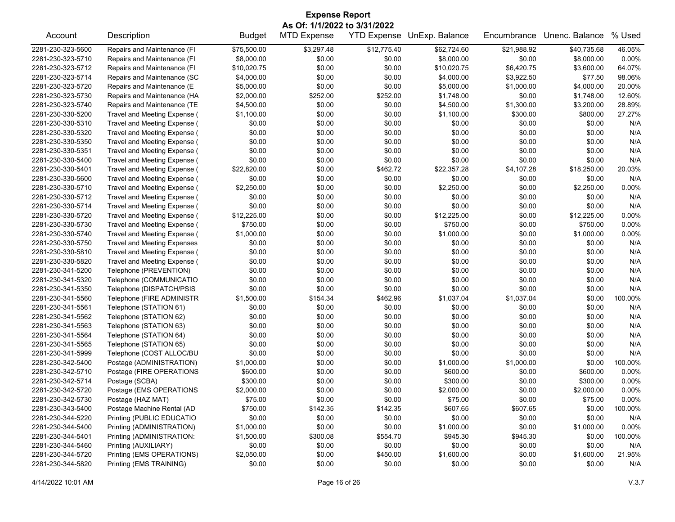| <b>Expense Report</b>        |                                    |               |                    |             |                                   |             |                |         |  |  |
|------------------------------|------------------------------------|---------------|--------------------|-------------|-----------------------------------|-------------|----------------|---------|--|--|
| As Of: 1/1/2022 to 3/31/2022 |                                    |               |                    |             |                                   |             |                |         |  |  |
| Account                      | Description                        | <b>Budget</b> | <b>MTD Expense</b> |             | <b>YTD Expense UnExp. Balance</b> | Encumbrance | Unenc. Balance | % Used  |  |  |
| 2281-230-323-5600            | Repairs and Maintenance (FI        | \$75,500.00   | \$3,297.48         | \$12,775.40 | \$62,724.60                       | \$21,988.92 | \$40,735.68    | 46.05%  |  |  |
| 2281-230-323-5710            | Repairs and Maintenance (FI        | \$8,000.00    | \$0.00             | \$0.00      | \$8,000.00                        | \$0.00      | \$8,000.00     | 0.00%   |  |  |
| 2281-230-323-5712            | Repairs and Maintenance (FI        | \$10,020.75   | \$0.00             | \$0.00      | \$10,020.75                       | \$6,420.75  | \$3,600.00     | 64.07%  |  |  |
| 2281-230-323-5714            | Repairs and Maintenance (SC        | \$4,000.00    | \$0.00             | \$0.00      | \$4,000.00                        | \$3,922.50  | \$77.50        | 98.06%  |  |  |
| 2281-230-323-5720            | Repairs and Maintenance (E         | \$5,000.00    | \$0.00             | \$0.00      | \$5,000.00                        | \$1,000.00  | \$4,000.00     | 20.00%  |  |  |
| 2281-230-323-5730            | Repairs and Maintenance (HA        | \$2,000.00    | \$252.00           | \$252.00    | \$1,748.00                        | \$0.00      | \$1,748.00     | 12.60%  |  |  |
| 2281-230-323-5740            | Repairs and Maintenance (TE        | \$4,500.00    | \$0.00             | \$0.00      | \$4,500.00                        | \$1,300.00  | \$3,200.00     | 28.89%  |  |  |
| 2281-230-330-5200            | Travel and Meeting Expense (       | \$1,100.00    | \$0.00             | \$0.00      | \$1,100.00                        | \$300.00    | \$800.00       | 27.27%  |  |  |
| 2281-230-330-5310            | Travel and Meeting Expense (       | \$0.00        | \$0.00             | \$0.00      | \$0.00                            | \$0.00      | \$0.00         | N/A     |  |  |
| 2281-230-330-5320            | Travel and Meeting Expense (       | \$0.00        | \$0.00             | \$0.00      | \$0.00                            | \$0.00      | \$0.00         | N/A     |  |  |
| 2281-230-330-5350            | Travel and Meeting Expense (       | \$0.00        | \$0.00             | \$0.00      | \$0.00                            | \$0.00      | \$0.00         | N/A     |  |  |
| 2281-230-330-5351            | Travel and Meeting Expense (       | \$0.00        | \$0.00             | \$0.00      | \$0.00                            | \$0.00      | \$0.00         | N/A     |  |  |
| 2281-230-330-5400            | Travel and Meeting Expense (       | \$0.00        | \$0.00             | \$0.00      | \$0.00                            | \$0.00      | \$0.00         | N/A     |  |  |
| 2281-230-330-5401            | Travel and Meeting Expense (       | \$22,820.00   | \$0.00             | \$462.72    | \$22,357.28                       | \$4,107.28  | \$18,250.00    | 20.03%  |  |  |
| 2281-230-330-5600            | Travel and Meeting Expense (       | \$0.00        | \$0.00             | \$0.00      | \$0.00                            | \$0.00      | \$0.00         | N/A     |  |  |
| 2281-230-330-5710            | Travel and Meeting Expense (       | \$2,250.00    | \$0.00             | \$0.00      | \$2,250.00                        | \$0.00      | \$2,250.00     | 0.00%   |  |  |
| 2281-230-330-5712            | Travel and Meeting Expense (       | \$0.00        | \$0.00             | \$0.00      | \$0.00                            | \$0.00      | \$0.00         | N/A     |  |  |
| 2281-230-330-5714            | Travel and Meeting Expense (       | \$0.00        | \$0.00             | \$0.00      | \$0.00                            | \$0.00      | \$0.00         | N/A     |  |  |
| 2281-230-330-5720            | Travel and Meeting Expense (       | \$12,225.00   | \$0.00             | \$0.00      | \$12,225.00                       | \$0.00      | \$12,225.00    | 0.00%   |  |  |
| 2281-230-330-5730            | Travel and Meeting Expense (       | \$750.00      | \$0.00             | \$0.00      | \$750.00                          | \$0.00      | \$750.00       | 0.00%   |  |  |
| 2281-230-330-5740            | Travel and Meeting Expense (       | \$1,000.00    | \$0.00             | \$0.00      | \$1,000.00                        | \$0.00      | \$1,000.00     | 0.00%   |  |  |
| 2281-230-330-5750            |                                    | \$0.00        | \$0.00             | \$0.00      | \$0.00                            | \$0.00      | \$0.00         | N/A     |  |  |
|                              | <b>Travel and Meeting Expenses</b> |               |                    |             |                                   |             |                |         |  |  |
| 2281-230-330-5810            | Travel and Meeting Expense (       | \$0.00        | \$0.00             | \$0.00      | \$0.00                            | \$0.00      | \$0.00         | N/A     |  |  |
| 2281-230-330-5820            | Travel and Meeting Expense (       | \$0.00        | \$0.00             | \$0.00      | \$0.00                            | \$0.00      | \$0.00         | N/A     |  |  |
| 2281-230-341-5200            | Telephone (PREVENTION)             | \$0.00        | \$0.00             | \$0.00      | \$0.00                            | \$0.00      | \$0.00         | N/A     |  |  |
| 2281-230-341-5320            | Telephone (COMMUNICATIO            | \$0.00        | \$0.00             | \$0.00      | \$0.00                            | \$0.00      | \$0.00         | N/A     |  |  |
| 2281-230-341-5350            | Telephone (DISPATCH/PSIS           | \$0.00        | \$0.00             | \$0.00      | \$0.00                            | \$0.00      | \$0.00         | N/A     |  |  |
| 2281-230-341-5560            | Telephone (FIRE ADMINISTR          | \$1,500.00    | \$154.34           | \$462.96    | \$1,037.04                        | \$1,037.04  | \$0.00         | 100.00% |  |  |
| 2281-230-341-5561            | Telephone (STATION 61)             | \$0.00        | \$0.00             | \$0.00      | \$0.00                            | \$0.00      | \$0.00         | N/A     |  |  |
| 2281-230-341-5562            | Telephone (STATION 62)             | \$0.00        | \$0.00             | \$0.00      | \$0.00                            | \$0.00      | \$0.00         | N/A     |  |  |
| 2281-230-341-5563            | Telephone (STATION 63)             | \$0.00        | \$0.00             | \$0.00      | \$0.00                            | \$0.00      | \$0.00         | N/A     |  |  |
| 2281-230-341-5564            | Telephone (STATION 64)             | \$0.00        | \$0.00             | \$0.00      | \$0.00                            | \$0.00      | \$0.00         | N/A     |  |  |
| 2281-230-341-5565            | Telephone (STATION 65)             | \$0.00        | \$0.00             | \$0.00      | \$0.00                            | \$0.00      | \$0.00         | N/A     |  |  |
| 2281-230-341-5999            | Telephone (COST ALLOC/BU           | \$0.00        | \$0.00             | \$0.00      | \$0.00                            | \$0.00      | \$0.00         | N/A     |  |  |
| 2281-230-342-5400            | Postage (ADMINISTRATION)           | \$1,000.00    | \$0.00             | \$0.00      | \$1,000.00                        | \$1,000.00  | \$0.00         | 100.00% |  |  |
| 2281-230-342-5710            | Postage (FIRE OPERATIONS           | \$600.00      | \$0.00             | \$0.00      | \$600.00                          | \$0.00      | \$600.00       | 0.00%   |  |  |
| 2281-230-342-5714            | Postage (SCBA)                     | \$300.00      | \$0.00             | \$0.00      | \$300.00                          | \$0.00      | \$300.00       | 0.00%   |  |  |
| 2281-230-342-5720            | Postage (EMS OPERATIONS            | \$2,000.00    | \$0.00             | \$0.00      | \$2,000.00                        | \$0.00      | \$2,000.00     | 0.00%   |  |  |
| 2281-230-342-5730            | Postage (HAZ MAT)                  | \$75.00       | \$0.00             | \$0.00      | \$75.00                           | \$0.00      | \$75.00        | 0.00%   |  |  |
| 2281-230-343-5400            | Postage Machine Rental (AD         | \$750.00      | \$142.35           | \$142.35    | \$607.65                          | \$607.65    | \$0.00         | 100.00% |  |  |
| 2281-230-344-5220            | Printing (PUBLIC EDUCATIO          | \$0.00        | \$0.00             | \$0.00      | \$0.00                            | \$0.00      | \$0.00         | N/A     |  |  |
| 2281-230-344-5400            | Printing (ADMINISTRATION)          | \$1,000.00    | \$0.00             | \$0.00      | \$1,000.00                        | \$0.00      | \$1,000.00     | 0.00%   |  |  |
| 2281-230-344-5401            | Printing (ADMINISTRATION:          | \$1,500.00    | \$300.08           | \$554.70    | \$945.30                          | \$945.30    | \$0.00         | 100.00% |  |  |
| 2281-230-344-5460            | Printing (AUXILIARY)               | \$0.00        | \$0.00             | \$0.00      | \$0.00                            | \$0.00      | \$0.00         | N/A     |  |  |
| 2281-230-344-5720            | Printing (EMS OPERATIONS)          | \$2,050.00    | \$0.00             | \$450.00    | \$1,600.00                        | \$0.00      | \$1,600.00     | 21.95%  |  |  |
| 2281-230-344-5820            | Printing (EMS TRAINING)            | \$0.00        | \$0.00             | \$0.00      | \$0.00                            | \$0.00      | \$0.00         | N/A     |  |  |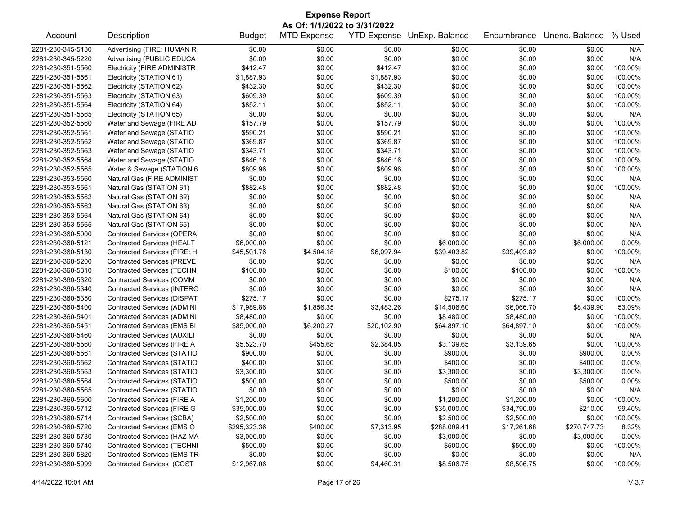| <b>Expense Report</b>        |                                    |               |                    |                    |                |             |                |          |  |  |
|------------------------------|------------------------------------|---------------|--------------------|--------------------|----------------|-------------|----------------|----------|--|--|
| As Of: 1/1/2022 to 3/31/2022 |                                    |               |                    |                    |                |             |                |          |  |  |
| Account                      | Description                        | <b>Budget</b> | <b>MTD Expense</b> | <b>YTD Expense</b> | UnExp. Balance | Encumbrance | Unenc. Balance | % Used   |  |  |
| 2281-230-345-5130            | Advertising (FIRE: HUMAN R         | \$0.00        | \$0.00             | \$0.00             | \$0.00         | \$0.00      | \$0.00         | N/A      |  |  |
| 2281-230-345-5220            | Advertising (PUBLIC EDUCA          | \$0.00        | \$0.00             | \$0.00             | \$0.00         | \$0.00      | \$0.00         | N/A      |  |  |
| 2281-230-351-5560            | <b>Electricity (FIRE ADMINISTR</b> | \$412.47      | \$0.00             | \$412.47           | \$0.00         | \$0.00      | \$0.00         | 100.00%  |  |  |
| 2281-230-351-5561            | Electricity (STATION 61)           | \$1,887.93    | \$0.00             | \$1,887.93         | \$0.00         | \$0.00      | \$0.00         | 100.00%  |  |  |
| 2281-230-351-5562            | Electricity (STATION 62)           | \$432.30      | \$0.00             | \$432.30           | \$0.00         | \$0.00      | \$0.00         | 100.00%  |  |  |
| 2281-230-351-5563            | Electricity (STATION 63)           | \$609.39      | \$0.00             | \$609.39           | \$0.00         | \$0.00      | \$0.00         | 100.00%  |  |  |
| 2281-230-351-5564            | Electricity (STATION 64)           | \$852.11      | \$0.00             | \$852.11           | \$0.00         | \$0.00      | \$0.00         | 100.00%  |  |  |
| 2281-230-351-5565            | Electricity (STATION 65)           | \$0.00        | \$0.00             | \$0.00             | \$0.00         | \$0.00      | \$0.00         | N/A      |  |  |
| 2281-230-352-5560            | Water and Sewage (FIRE AD          | \$157.79      | \$0.00             | \$157.79           | \$0.00         | \$0.00      | \$0.00         | 100.00%  |  |  |
| 2281-230-352-5561            | Water and Sewage (STATIO           | \$590.21      | \$0.00             | \$590.21           | \$0.00         | \$0.00      | \$0.00         | 100.00%  |  |  |
| 2281-230-352-5562            | Water and Sewage (STATIO           | \$369.87      | \$0.00             | \$369.87           | \$0.00         | \$0.00      | \$0.00         | 100.00%  |  |  |
| 2281-230-352-5563            | Water and Sewage (STATIO           | \$343.71      | \$0.00             | \$343.71           | \$0.00         | \$0.00      | \$0.00         | 100.00%  |  |  |
| 2281-230-352-5564            | Water and Sewage (STATIO           | \$846.16      | \$0.00             | \$846.16           | \$0.00         | \$0.00      | \$0.00         | 100.00%  |  |  |
| 2281-230-352-5565            | Water & Sewage (STATION 6          | \$809.96      | \$0.00             | \$809.96           | \$0.00         | \$0.00      | \$0.00         | 100.00%  |  |  |
| 2281-230-353-5560            | Natural Gas (FIRE ADMINIST         | \$0.00        | \$0.00             | \$0.00             | \$0.00         | \$0.00      | \$0.00         | N/A      |  |  |
| 2281-230-353-5561            | Natural Gas (STATION 61)           | \$882.48      | \$0.00             | \$882.48           | \$0.00         | \$0.00      | \$0.00         | 100.00%  |  |  |
| 2281-230-353-5562            | Natural Gas (STATION 62)           | \$0.00        | \$0.00             | \$0.00             | \$0.00         | \$0.00      | \$0.00         | N/A      |  |  |
| 2281-230-353-5563            | Natural Gas (STATION 63)           | \$0.00        | \$0.00             | \$0.00             | \$0.00         | \$0.00      | \$0.00         | N/A      |  |  |
| 2281-230-353-5564            | Natural Gas (STATION 64)           | \$0.00        | \$0.00             | \$0.00             | \$0.00         | \$0.00      | \$0.00         | N/A      |  |  |
| 2281-230-353-5565            | Natural Gas (STATION 65)           | \$0.00        | \$0.00             | \$0.00             | \$0.00         | \$0.00      | \$0.00         | N/A      |  |  |
| 2281-230-360-5000            | <b>Contracted Services (OPERA</b>  | \$0.00        | \$0.00             | \$0.00             | \$0.00         | \$0.00      | \$0.00         | N/A      |  |  |
| 2281-230-360-5121            | <b>Contracted Services (HEALT</b>  | \$6,000.00    | \$0.00             | \$0.00             | \$6,000.00     | \$0.00      | \$6,000.00     | $0.00\%$ |  |  |
| 2281-230-360-5130            | Contracted Services (FIRE: H       | \$45,501.76   | \$4,504.18         | \$6,097.94         | \$39,403.82    | \$39,403.82 | \$0.00         | 100.00%  |  |  |
| 2281-230-360-5200            | <b>Contracted Services (PREVE</b>  | \$0.00        | \$0.00             | \$0.00             | \$0.00         | \$0.00      | \$0.00         | N/A      |  |  |
| 2281-230-360-5310            | <b>Contracted Services (TECHN</b>  | \$100.00      | \$0.00             | \$0.00             | \$100.00       | \$100.00    | \$0.00         | 100.00%  |  |  |
| 2281-230-360-5320            | Contracted Services (COMM          | \$0.00        | \$0.00             | \$0.00             | \$0.00         | \$0.00      | \$0.00         | N/A      |  |  |
| 2281-230-360-5340            | <b>Contracted Services (INTERO</b> | \$0.00        | \$0.00             | \$0.00             | \$0.00         | \$0.00      | \$0.00         | N/A      |  |  |
| 2281-230-360-5350            | <b>Contracted Services (DISPAT</b> | \$275.17      | \$0.00             | \$0.00             | \$275.17       | \$275.17    | \$0.00         | 100.00%  |  |  |
| 2281-230-360-5400            | <b>Contracted Services (ADMINI</b> | \$17,989.86   | \$1,856.35         | \$3,483.26         | \$14,506.60    | \$6,066.70  | \$8,439.90     | 53.09%   |  |  |
| 2281-230-360-5401            | <b>Contracted Services (ADMINI</b> | \$8,480.00    | \$0.00             | \$0.00             | \$8,480.00     | \$8,480.00  | \$0.00         | 100.00%  |  |  |
| 2281-230-360-5451            | <b>Contracted Services (EMS BI</b> | \$85,000.00   | \$6,200.27         | \$20,102.90        | \$64,897.10    | \$64,897.10 | \$0.00         | 100.00%  |  |  |
| 2281-230-360-5460            | <b>Contracted Services (AUXILI</b> | \$0.00        | \$0.00             | \$0.00             | \$0.00         | \$0.00      | \$0.00         | N/A      |  |  |
| 2281-230-360-5560            | Contracted Services (FIRE A        | \$5,523.70    | \$455.68           | \$2,384.05         | \$3,139.65     | \$3,139.65  | \$0.00         | 100.00%  |  |  |
| 2281-230-360-5561            | Contracted Services (STATIO        | \$900.00      | \$0.00             | \$0.00             | \$900.00       | \$0.00      | \$900.00       | 0.00%    |  |  |
| 2281-230-360-5562            | <b>Contracted Services (STATIO</b> | \$400.00      | \$0.00             | \$0.00             | \$400.00       | \$0.00      | \$400.00       | $0.00\%$ |  |  |
| 2281-230-360-5563            | Contracted Services (STATIO        | \$3,300.00    | \$0.00             | \$0.00             | \$3,300.00     | \$0.00      | \$3,300.00     | $0.00\%$ |  |  |
| 2281-230-360-5564            | <b>Contracted Services (STATIO</b> | \$500.00      | \$0.00             | \$0.00             | \$500.00       | \$0.00      | \$500.00       | 0.00%    |  |  |
| 2281-230-360-5565            | <b>Contracted Services (STATIO</b> | \$0.00        | \$0.00             | \$0.00             | \$0.00         | \$0.00      | \$0.00         | N/A      |  |  |
| 2281-230-360-5600            | Contracted Services (FIRE A        | \$1,200.00    | \$0.00             | \$0.00             | \$1,200.00     | \$1,200.00  | \$0.00         | 100.00%  |  |  |
| 2281-230-360-5712            | <b>Contracted Services (FIRE G</b> | \$35,000.00   | \$0.00             | \$0.00             | \$35,000.00    | \$34,790.00 | \$210.00       | 99.40%   |  |  |
| 2281-230-360-5714            | Contracted Services (SCBA)         | \$2,500.00    | \$0.00             | \$0.00             | \$2,500.00     | \$2,500.00  | \$0.00         | 100.00%  |  |  |
| 2281-230-360-5720            | Contracted Services (EMS O         | \$295,323.36  | \$400.00           | \$7,313.95         | \$288,009.41   | \$17,261.68 | \$270,747.73   | 8.32%    |  |  |
| 2281-230-360-5730            | Contracted Services (HAZ MA        | \$3,000.00    | \$0.00             | \$0.00             | \$3,000.00     | \$0.00      | \$3,000.00     | 0.00%    |  |  |
| 2281-230-360-5740            | <b>Contracted Services (TECHNI</b> | \$500.00      | \$0.00             | \$0.00             | \$500.00       | \$500.00    | \$0.00         | 100.00%  |  |  |
| 2281-230-360-5820            | <b>Contracted Services (EMS TR</b> | \$0.00        | \$0.00             | \$0.00             | \$0.00         | \$0.00      | \$0.00         | N/A      |  |  |
| 2281-230-360-5999            | Contracted Services (COST          | \$12,967.06   | \$0.00             | \$4,460.31         | \$8,506.75     | \$8,506.75  | \$0.00         | 100.00%  |  |  |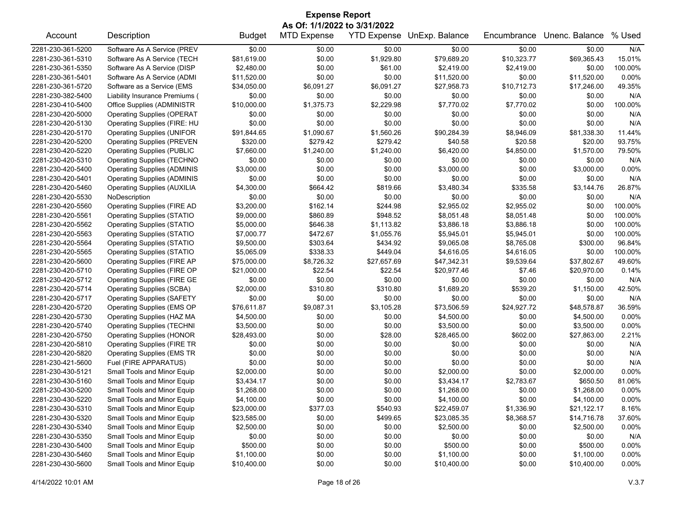| <b>Expense Report</b><br>As Of: 1/1/2022 to 3/31/2022 |                                     |               |                    |             |                            |             |                |          |  |  |
|-------------------------------------------------------|-------------------------------------|---------------|--------------------|-------------|----------------------------|-------------|----------------|----------|--|--|
| Account                                               | Description                         | <b>Budget</b> | <b>MTD Expense</b> |             | YTD Expense UnExp. Balance | Encumbrance | Unenc. Balance | % Used   |  |  |
| 2281-230-361-5200                                     | Software As A Service (PREV         | \$0.00        | \$0.00             | \$0.00      | \$0.00                     | \$0.00      | \$0.00         | N/A      |  |  |
| 2281-230-361-5310                                     | Software As A Service (TECH         | \$81,619.00   | \$0.00             | \$1,929.80  | \$79,689.20                | \$10,323.77 | \$69,365.43    | 15.01%   |  |  |
| 2281-230-361-5350                                     | Software As A Service (DISP         | \$2,480.00    | \$0.00             | \$61.00     | \$2,419.00                 | \$2,419.00  | \$0.00         | 100.00%  |  |  |
| 2281-230-361-5401                                     | Software As A Service (ADMI         | \$11,520.00   | \$0.00             | \$0.00      | \$11,520.00                | \$0.00      | \$11,520.00    | 0.00%    |  |  |
| 2281-230-361-5720                                     | Software as a Service (EMS          | \$34,050.00   | \$6,091.27         | \$6,091.27  | \$27,958.73                | \$10,712.73 | \$17,246.00    | 49.35%   |  |  |
| 2281-230-382-5400                                     | Liability Insurance Premiums (      | \$0.00        | \$0.00             | \$0.00      | \$0.00                     | \$0.00      | \$0.00         | N/A      |  |  |
| 2281-230-410-5400                                     | Office Supplies (ADMINISTR          | \$10,000.00   | \$1,375.73         | \$2,229.98  | \$7,770.02                 | \$7,770.02  | \$0.00         | 100.00%  |  |  |
| 2281-230-420-5000                                     | <b>Operating Supplies (OPERAT</b>   | \$0.00        | \$0.00             | \$0.00      | \$0.00                     | \$0.00      | \$0.00         | N/A      |  |  |
| 2281-230-420-5130                                     | Operating Supplies (FIRE: HU        | \$0.00        | \$0.00             | \$0.00      | \$0.00                     | \$0.00      | \$0.00         | N/A      |  |  |
| 2281-230-420-5170                                     | <b>Operating Supplies (UNIFOR</b>   | \$91,844.65   | \$1,090.67         | \$1,560.26  | \$90,284.39                | \$8,946.09  | \$81,338.30    | 11.44%   |  |  |
| 2281-230-420-5200                                     | <b>Operating Supplies (PREVEN</b>   | \$320.00      | \$279.42           | \$279.42    | \$40.58                    | \$20.58     | \$20.00        | 93.75%   |  |  |
| 2281-230-420-5220                                     | <b>Operating Supplies (PUBLIC</b>   | \$7,660.00    | \$1,240.00         | \$1,240.00  | \$6,420.00                 | \$4,850.00  | \$1,570.00     | 79.50%   |  |  |
| 2281-230-420-5310                                     | <b>Operating Supplies (TECHNO</b>   | \$0.00        | \$0.00             | \$0.00      | \$0.00                     | \$0.00      | \$0.00         | N/A      |  |  |
| 2281-230-420-5400                                     | <b>Operating Supplies (ADMINIS</b>  | \$3,000.00    | \$0.00             | \$0.00      | \$3,000.00                 | \$0.00      | \$3,000.00     | 0.00%    |  |  |
| 2281-230-420-5401                                     | <b>Operating Supplies (ADMINIS)</b> | \$0.00        | \$0.00             | \$0.00      | \$0.00                     | \$0.00      | \$0.00         | N/A      |  |  |
| 2281-230-420-5460                                     | <b>Operating Supplies (AUXILIA</b>  | \$4,300.00    | \$664.42           | \$819.66    | \$3,480.34                 | \$335.58    | \$3,144.76     | 26.87%   |  |  |
| 2281-230-420-5530                                     | NoDescription                       | \$0.00        | \$0.00             | \$0.00      | \$0.00                     | \$0.00      | \$0.00         | N/A      |  |  |
| 2281-230-420-5560                                     | <b>Operating Supplies (FIRE AD</b>  | \$3,200.00    | \$162.14           | \$244.98    | \$2,955.02                 | \$2,955.02  | \$0.00         | 100.00%  |  |  |
| 2281-230-420-5561                                     | <b>Operating Supplies (STATIO</b>   | \$9,000.00    | \$860.89           | \$948.52    | \$8,051.48                 | \$8,051.48  | \$0.00         | 100.00%  |  |  |
| 2281-230-420-5562                                     | <b>Operating Supplies (STATIO</b>   | \$5,000.00    | \$646.38           | \$1,113.82  | \$3,886.18                 | \$3,886.18  | \$0.00         | 100.00%  |  |  |
| 2281-230-420-5563                                     | <b>Operating Supplies (STATIO</b>   | \$7,000.77    | \$472.67           | \$1,055.76  | \$5,945.01                 | \$5,945.01  | \$0.00         | 100.00%  |  |  |
| 2281-230-420-5564                                     | <b>Operating Supplies (STATIO</b>   | \$9,500.00    | \$303.64           | \$434.92    | \$9,065.08                 | \$8,765.08  | \$300.00       | 96.84%   |  |  |
| 2281-230-420-5565                                     | <b>Operating Supplies (STATIO</b>   | \$5,065.09    | \$338.33           | \$449.04    | \$4,616.05                 | \$4,616.05  | \$0.00         | 100.00%  |  |  |
| 2281-230-420-5600                                     | <b>Operating Supplies (FIRE AP</b>  | \$75,000.00   | \$8,726.32         | \$27,657.69 | \$47,342.31                | \$9,539.64  | \$37,802.67    | 49.60%   |  |  |
| 2281-230-420-5710                                     | Operating Supplies (FIRE OP         | \$21,000.00   | \$22.54            | \$22.54     | \$20,977.46                | \$7.46      | \$20,970.00    | 0.14%    |  |  |
| 2281-230-420-5712                                     | <b>Operating Supplies (FIRE GE</b>  | \$0.00        | \$0.00             | \$0.00      | \$0.00                     | \$0.00      | \$0.00         | N/A      |  |  |
| 2281-230-420-5714                                     | <b>Operating Supplies (SCBA)</b>    | \$2,000.00    | \$310.80           | \$310.80    | \$1,689.20                 | \$539.20    | \$1,150.00     | 42.50%   |  |  |
| 2281-230-420-5717                                     | <b>Operating Supplies (SAFETY</b>   | \$0.00        | \$0.00             | \$0.00      | \$0.00                     | \$0.00      | \$0.00         | N/A      |  |  |
| 2281-230-420-5720                                     | Operating Supplies (EMS OP          | \$76,611.87   | \$9,087.31         | \$3,105.28  | \$73,506.59                | \$24,927.72 | \$48,578.87    | 36.59%   |  |  |
| 2281-230-420-5730                                     | <b>Operating Supplies (HAZ MA</b>   | \$4,500.00    | \$0.00             | \$0.00      | \$4,500.00                 | \$0.00      | \$4,500.00     | $0.00\%$ |  |  |
| 2281-230-420-5740                                     | <b>Operating Supplies (TECHNI</b>   | \$3,500.00    | \$0.00             | \$0.00      | \$3,500.00                 | \$0.00      | \$3,500.00     | 0.00%    |  |  |
| 2281-230-420-5750                                     | <b>Operating Supplies (HONOR</b>    | \$28,493.00   | \$0.00             | \$28.00     | \$28,465.00                | \$602.00    | \$27,863.00    | 2.21%    |  |  |
| 2281-230-420-5810                                     | <b>Operating Supplies (FIRE TR</b>  | \$0.00        | \$0.00             | \$0.00      | \$0.00                     | \$0.00      | \$0.00         | N/A      |  |  |
| 2281-230-420-5820                                     | <b>Operating Supplies (EMS TR</b>   | \$0.00        | \$0.00             | \$0.00      | \$0.00                     | \$0.00      | \$0.00         | N/A      |  |  |
| 2281-230-421-5600                                     | Fuel (FIRE APPARATUS)               | \$0.00        | \$0.00             | \$0.00      | \$0.00                     | \$0.00      | \$0.00         | N/A      |  |  |
| 2281-230-430-5121                                     | Small Tools and Minor Equip         | \$2,000.00    | \$0.00             | \$0.00      | \$2,000.00                 | \$0.00      | \$2,000.00     | 0.00%    |  |  |
| 2281-230-430-5160                                     | Small Tools and Minor Equip         | \$3,434.17    | \$0.00             | \$0.00      | \$3,434.17                 | \$2,783.67  | \$650.50       | 81.06%   |  |  |
| 2281-230-430-5200                                     | Small Tools and Minor Equip         | \$1,268.00    | \$0.00             | \$0.00      | \$1,268.00                 | \$0.00      | \$1,268.00     | $0.00\%$ |  |  |
| 2281-230-430-5220                                     | Small Tools and Minor Equip         | \$4,100.00    | \$0.00             | \$0.00      | \$4,100.00                 | \$0.00      | \$4,100.00     | 0.00%    |  |  |
| 2281-230-430-5310                                     | Small Tools and Minor Equip         | \$23,000.00   | \$377.03           | \$540.93    | \$22,459.07                | \$1,336.90  | \$21,122.17    | 8.16%    |  |  |
| 2281-230-430-5320                                     | Small Tools and Minor Equip         | \$23,585.00   | \$0.00             | \$499.65    | \$23,085.35                | \$8,368.57  | \$14,716.78    | 37.60%   |  |  |
| 2281-230-430-5340                                     | Small Tools and Minor Equip         | \$2,500.00    | \$0.00             | \$0.00      | \$2,500.00                 | \$0.00      | \$2,500.00     | 0.00%    |  |  |
| 2281-230-430-5350                                     | Small Tools and Minor Equip         | \$0.00        | \$0.00             | \$0.00      | \$0.00                     | \$0.00      | \$0.00         | N/A      |  |  |
| 2281-230-430-5400                                     | Small Tools and Minor Equip         | \$500.00      | \$0.00             | \$0.00      | \$500.00                   | \$0.00      | \$500.00       | 0.00%    |  |  |
| 2281-230-430-5460                                     | Small Tools and Minor Equip         | \$1,100.00    | \$0.00             | \$0.00      | \$1,100.00                 | \$0.00      | \$1,100.00     | 0.00%    |  |  |
| 2281-230-430-5600                                     | Small Tools and Minor Equip         | \$10,400.00   | \$0.00             | \$0.00      | \$10,400.00                | \$0.00      | \$10,400.00    | $0.00\%$ |  |  |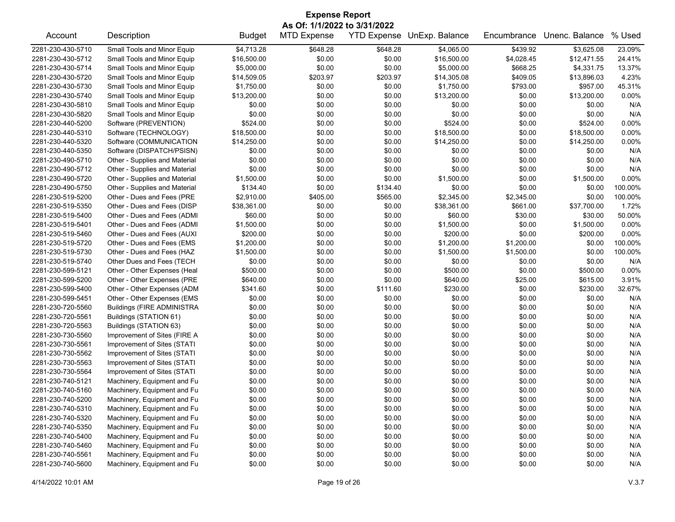| <b>Expense Report</b> |                                   |               |                              |          |                            |             |                |          |  |  |
|-----------------------|-----------------------------------|---------------|------------------------------|----------|----------------------------|-------------|----------------|----------|--|--|
|                       |                                   |               | As Of: 1/1/2022 to 3/31/2022 |          |                            |             |                |          |  |  |
| Account               | Description                       | <b>Budget</b> | <b>MTD Expense</b>           |          | YTD Expense UnExp. Balance | Encumbrance | Unenc. Balance | % Used   |  |  |
| 2281-230-430-5710     | Small Tools and Minor Equip       | \$4,713.28    | \$648.28                     | \$648.28 | \$4,065.00                 | \$439.92    | \$3,625.08     | 23.09%   |  |  |
| 2281-230-430-5712     | Small Tools and Minor Equip       | \$16,500.00   | \$0.00                       | \$0.00   | \$16,500.00                | \$4,028.45  | \$12,471.55    | 24.41%   |  |  |
| 2281-230-430-5714     | Small Tools and Minor Equip       | \$5,000.00    | \$0.00                       | \$0.00   | \$5,000.00                 | \$668.25    | \$4,331.75     | 13.37%   |  |  |
| 2281-230-430-5720     | Small Tools and Minor Equip       | \$14,509.05   | \$203.97                     | \$203.97 | \$14,305.08                | \$409.05    | \$13,896.03    | 4.23%    |  |  |
| 2281-230-430-5730     | Small Tools and Minor Equip       | \$1,750.00    | \$0.00                       | \$0.00   | \$1,750.00                 | \$793.00    | \$957.00       | 45.31%   |  |  |
| 2281-230-430-5740     | Small Tools and Minor Equip       | \$13,200.00   | \$0.00                       | \$0.00   | \$13,200.00                | \$0.00      | \$13,200.00    | 0.00%    |  |  |
| 2281-230-430-5810     | Small Tools and Minor Equip       | \$0.00        | \$0.00                       | \$0.00   | \$0.00                     | \$0.00      | \$0.00         | N/A      |  |  |
| 2281-230-430-5820     | Small Tools and Minor Equip       | \$0.00        | \$0.00                       | \$0.00   | \$0.00                     | \$0.00      | \$0.00         | N/A      |  |  |
| 2281-230-440-5200     | Software (PREVENTION)             | \$524.00      | \$0.00                       | \$0.00   | \$524.00                   | \$0.00      | \$524.00       | 0.00%    |  |  |
| 2281-230-440-5310     | Software (TECHNOLOGY)             | \$18,500.00   | \$0.00                       | \$0.00   | \$18,500.00                | \$0.00      | \$18,500.00    | 0.00%    |  |  |
| 2281-230-440-5320     | Software (COMMUNICATION           | \$14,250.00   | \$0.00                       | \$0.00   | \$14,250.00                | \$0.00      | \$14,250.00    | 0.00%    |  |  |
| 2281-230-440-5350     | Software (DISPATCH/PSISN)         | \$0.00        | \$0.00                       | \$0.00   | \$0.00                     | \$0.00      | \$0.00         | N/A      |  |  |
| 2281-230-490-5710     | Other - Supplies and Material     | \$0.00        | \$0.00                       | \$0.00   | \$0.00                     | \$0.00      | \$0.00         | N/A      |  |  |
| 2281-230-490-5712     | Other - Supplies and Material     | \$0.00        | \$0.00                       | \$0.00   | \$0.00                     | \$0.00      | \$0.00         | N/A      |  |  |
| 2281-230-490-5720     | Other - Supplies and Material     | \$1,500.00    | \$0.00                       | \$0.00   | \$1,500.00                 | \$0.00      | \$1,500.00     | $0.00\%$ |  |  |
| 2281-230-490-5750     | Other - Supplies and Material     | \$134.40      | \$0.00                       | \$134.40 | \$0.00                     | \$0.00      | \$0.00         | 100.00%  |  |  |
| 2281-230-519-5200     | Other - Dues and Fees (PRE        | \$2,910.00    | \$405.00                     | \$565.00 | \$2,345.00                 | \$2,345.00  | \$0.00         | 100.00%  |  |  |
| 2281-230-519-5350     | Other - Dues and Fees (DISP       | \$38,361.00   | \$0.00                       | \$0.00   | \$38,361.00                | \$661.00    | \$37,700.00    | 1.72%    |  |  |
| 2281-230-519-5400     | Other - Dues and Fees (ADMI       | \$60.00       | \$0.00                       | \$0.00   | \$60.00                    | \$30.00     | \$30.00        | 50.00%   |  |  |
| 2281-230-519-5401     | Other - Dues and Fees (ADMI       | \$1,500.00    | \$0.00                       | \$0.00   | \$1,500.00                 | \$0.00      | \$1,500.00     | 0.00%    |  |  |
| 2281-230-519-5460     | Other - Dues and Fees (AUXI       | \$200.00      | \$0.00                       | \$0.00   | \$200.00                   | \$0.00      | \$200.00       | 0.00%    |  |  |
| 2281-230-519-5720     | Other - Dues and Fees (EMS        | \$1,200.00    | \$0.00                       | \$0.00   | \$1,200.00                 | \$1,200.00  | \$0.00         | 100.00%  |  |  |
| 2281-230-519-5730     | Other - Dues and Fees (HAZ        | \$1,500.00    | \$0.00                       | \$0.00   | \$1,500.00                 | \$1,500.00  | \$0.00         | 100.00%  |  |  |
| 2281-230-519-5740     | Other Dues and Fees (TECH         | \$0.00        | \$0.00                       | \$0.00   | \$0.00                     | \$0.00      | \$0.00         | N/A      |  |  |
| 2281-230-599-5121     | Other - Other Expenses (Heal      | \$500.00      | \$0.00                       | \$0.00   | \$500.00                   | \$0.00      | \$500.00       | 0.00%    |  |  |
| 2281-230-599-5200     | Other - Other Expenses (PRE       | \$640.00      | \$0.00                       | \$0.00   | \$640.00                   | \$25.00     | \$615.00       | 3.91%    |  |  |
| 2281-230-599-5400     | Other - Other Expenses (ADM       | \$341.60      | \$0.00                       | \$111.60 | \$230.00                   | \$0.00      | \$230.00       | 32.67%   |  |  |
| 2281-230-599-5451     | Other - Other Expenses (EMS       | \$0.00        | \$0.00                       | \$0.00   | \$0.00                     | \$0.00      | \$0.00         | N/A      |  |  |
| 2281-230-720-5560     | <b>Buildings (FIRE ADMINISTRA</b> | \$0.00        | \$0.00                       | \$0.00   | \$0.00                     | \$0.00      | \$0.00         | N/A      |  |  |
| 2281-230-720-5561     | Buildings (STATION 61)            | \$0.00        | \$0.00                       | \$0.00   | \$0.00                     | \$0.00      | \$0.00         | N/A      |  |  |
| 2281-230-720-5563     | Buildings (STATION 63)            | \$0.00        | \$0.00                       | \$0.00   | \$0.00                     | \$0.00      | \$0.00         | N/A      |  |  |
| 2281-230-730-5560     | Improvement of Sites (FIRE A      | \$0.00        | \$0.00                       | \$0.00   | \$0.00                     | \$0.00      | \$0.00         | N/A      |  |  |
| 2281-230-730-5561     | Improvement of Sites (STATI       | \$0.00        | \$0.00                       | \$0.00   | \$0.00                     | \$0.00      | \$0.00         | N/A      |  |  |
| 2281-230-730-5562     | Improvement of Sites (STATI       | \$0.00        | \$0.00                       | \$0.00   | \$0.00                     | \$0.00      | \$0.00         | N/A      |  |  |
| 2281-230-730-5563     | Improvement of Sites (STATI       | \$0.00        | \$0.00                       | \$0.00   | \$0.00                     | \$0.00      | \$0.00         | N/A      |  |  |
| 2281-230-730-5564     | Improvement of Sites (STATI       | \$0.00        | \$0.00                       | \$0.00   | \$0.00                     | \$0.00      | \$0.00         | N/A      |  |  |
| 2281-230-740-5121     | Machinery, Equipment and Fu       | \$0.00        | \$0.00                       | \$0.00   | \$0.00                     | \$0.00      | \$0.00         | N/A      |  |  |
| 2281-230-740-5160     | Machinery, Equipment and Fu       | \$0.00        | \$0.00                       | \$0.00   | \$0.00                     | \$0.00      | \$0.00         | N/A      |  |  |
| 2281-230-740-5200     | Machinery, Equipment and Fu       | \$0.00        | \$0.00                       | \$0.00   | \$0.00                     | \$0.00      | \$0.00         | N/A      |  |  |
| 2281-230-740-5310     | Machinery, Equipment and Fu       | \$0.00        | \$0.00                       | \$0.00   | \$0.00                     | \$0.00      | \$0.00         | N/A      |  |  |
| 2281-230-740-5320     | Machinery, Equipment and Fu       | \$0.00        | \$0.00                       | \$0.00   | \$0.00                     | \$0.00      | \$0.00         | N/A      |  |  |
| 2281-230-740-5350     | Machinery, Equipment and Fu       | \$0.00        | \$0.00                       | \$0.00   | \$0.00                     | \$0.00      | \$0.00         | N/A      |  |  |
| 2281-230-740-5400     | Machinery, Equipment and Fu       | \$0.00        | \$0.00                       | \$0.00   | \$0.00                     | \$0.00      | \$0.00         | N/A      |  |  |
| 2281-230-740-5460     | Machinery, Equipment and Fu       | \$0.00        | \$0.00                       | \$0.00   | \$0.00                     | \$0.00      | \$0.00         | N/A      |  |  |
| 2281-230-740-5561     | Machinery, Equipment and Fu       | \$0.00        | \$0.00                       | \$0.00   | \$0.00                     | \$0.00      | \$0.00         | N/A      |  |  |
| 2281-230-740-5600     | Machinery, Equipment and Fu       | \$0.00        | \$0.00                       | \$0.00   | \$0.00                     | \$0.00      | \$0.00         | N/A      |  |  |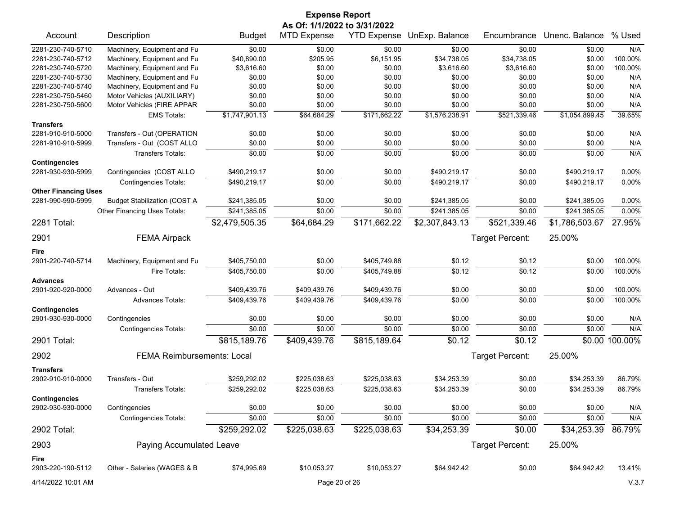| As Of: 1/1/2022 to 3/31/2022<br>YTD Expense UnExp. Balance<br>Unenc. Balance<br>Account<br>Description<br><b>Budget</b><br><b>MTD Expense</b><br>Encumbrance<br>2281-230-740-5710<br>Machinery, Equipment and Fu<br>\$0.00<br>\$0.00<br>\$0.00<br>\$0.00<br>\$0.00<br>\$0.00<br>Machinery, Equipment and Fu<br>\$205.95<br>\$34,738.05<br>2281-230-740-5712<br>\$40,890.00<br>\$6,151.95<br>\$34,738.05<br>\$0.00<br>\$3,616.60<br>2281-230-740-5720<br>Machinery, Equipment and Fu<br>\$0.00<br>\$0.00<br>\$3,616.60<br>\$3,616.60<br>\$0.00<br>Machinery, Equipment and Fu<br>\$0.00<br>\$0.00<br>\$0.00<br>2281-230-740-5730<br>\$0.00<br>\$0.00<br>\$0.00<br>Machinery, Equipment and Fu<br>\$0.00<br>2281-230-740-5740<br>\$0.00<br>\$0.00<br>\$0.00<br>\$0.00<br>\$0.00<br>2281-230-750-5460<br>Motor Vehicles (AUXILIARY)<br>\$0.00<br>\$0.00<br>\$0.00<br>\$0.00<br>\$0.00<br>\$0.00<br>Motor Vehicles (FIRE APPAR<br>\$0.00<br>\$0.00<br>2281-230-750-5600<br>\$0.00<br>\$0.00<br>\$0.00<br>\$0.00<br>\$1,747,901.13<br>\$64,684.29<br>\$521,339.46<br>\$1,054,899.45<br>\$171,662.22<br>\$1,576,238.91<br><b>EMS Totals:</b> | % Used<br>N/A<br>100.00%<br>100.00%<br>N/A<br>N/A<br>N/A<br>N/A<br>39.65%<br>N/A<br>N/A<br>N/A<br>0.00% |
|----------------------------------------------------------------------------------------------------------------------------------------------------------------------------------------------------------------------------------------------------------------------------------------------------------------------------------------------------------------------------------------------------------------------------------------------------------------------------------------------------------------------------------------------------------------------------------------------------------------------------------------------------------------------------------------------------------------------------------------------------------------------------------------------------------------------------------------------------------------------------------------------------------------------------------------------------------------------------------------------------------------------------------------------------------------------------------------------------------------------------------------|---------------------------------------------------------------------------------------------------------|
|                                                                                                                                                                                                                                                                                                                                                                                                                                                                                                                                                                                                                                                                                                                                                                                                                                                                                                                                                                                                                                                                                                                                        |                                                                                                         |
|                                                                                                                                                                                                                                                                                                                                                                                                                                                                                                                                                                                                                                                                                                                                                                                                                                                                                                                                                                                                                                                                                                                                        |                                                                                                         |
|                                                                                                                                                                                                                                                                                                                                                                                                                                                                                                                                                                                                                                                                                                                                                                                                                                                                                                                                                                                                                                                                                                                                        |                                                                                                         |
|                                                                                                                                                                                                                                                                                                                                                                                                                                                                                                                                                                                                                                                                                                                                                                                                                                                                                                                                                                                                                                                                                                                                        |                                                                                                         |
|                                                                                                                                                                                                                                                                                                                                                                                                                                                                                                                                                                                                                                                                                                                                                                                                                                                                                                                                                                                                                                                                                                                                        |                                                                                                         |
|                                                                                                                                                                                                                                                                                                                                                                                                                                                                                                                                                                                                                                                                                                                                                                                                                                                                                                                                                                                                                                                                                                                                        |                                                                                                         |
|                                                                                                                                                                                                                                                                                                                                                                                                                                                                                                                                                                                                                                                                                                                                                                                                                                                                                                                                                                                                                                                                                                                                        |                                                                                                         |
|                                                                                                                                                                                                                                                                                                                                                                                                                                                                                                                                                                                                                                                                                                                                                                                                                                                                                                                                                                                                                                                                                                                                        |                                                                                                         |
|                                                                                                                                                                                                                                                                                                                                                                                                                                                                                                                                                                                                                                                                                                                                                                                                                                                                                                                                                                                                                                                                                                                                        |                                                                                                         |
| <b>Transfers</b>                                                                                                                                                                                                                                                                                                                                                                                                                                                                                                                                                                                                                                                                                                                                                                                                                                                                                                                                                                                                                                                                                                                       |                                                                                                         |
| 2281-910-910-5000<br>\$0.00<br>\$0.00<br>\$0.00<br>Transfers - Out (OPERATION<br>\$0.00<br>\$0.00<br>\$0.00                                                                                                                                                                                                                                                                                                                                                                                                                                                                                                                                                                                                                                                                                                                                                                                                                                                                                                                                                                                                                            |                                                                                                         |
| Transfers - Out (COST ALLO<br>\$0.00<br>\$0.00<br>\$0.00<br>\$0.00<br>2281-910-910-5999<br>\$0.00<br>\$0.00                                                                                                                                                                                                                                                                                                                                                                                                                                                                                                                                                                                                                                                                                                                                                                                                                                                                                                                                                                                                                            |                                                                                                         |
| \$0.00<br>\$0.00<br>\$0.00<br>\$0.00<br>\$0.00<br>\$0.00<br><b>Transfers Totals:</b>                                                                                                                                                                                                                                                                                                                                                                                                                                                                                                                                                                                                                                                                                                                                                                                                                                                                                                                                                                                                                                                   |                                                                                                         |
| <b>Contingencies</b><br>\$490,219.17<br>2281-930-930-5999<br>Contingencies (COST ALLO<br>\$490,219.17<br>\$0.00<br>\$0.00<br>\$0.00<br>\$490,219.17                                                                                                                                                                                                                                                                                                                                                                                                                                                                                                                                                                                                                                                                                                                                                                                                                                                                                                                                                                                    |                                                                                                         |
| \$0.00<br>\$490,219.17<br>\$0.00<br>\$490,219.17<br>\$0.00<br>\$490,219.17<br><b>Contingencies Totals:</b>                                                                                                                                                                                                                                                                                                                                                                                                                                                                                                                                                                                                                                                                                                                                                                                                                                                                                                                                                                                                                             | 0.00%                                                                                                   |
| <b>Other Financing Uses</b>                                                                                                                                                                                                                                                                                                                                                                                                                                                                                                                                                                                                                                                                                                                                                                                                                                                                                                                                                                                                                                                                                                            |                                                                                                         |
| 2281-990-990-5999<br><b>Budget Stabilization (COST A</b><br>\$241,385.05<br>\$0.00<br>\$0.00<br>\$241,385.05<br>\$0.00<br>\$241,385.05                                                                                                                                                                                                                                                                                                                                                                                                                                                                                                                                                                                                                                                                                                                                                                                                                                                                                                                                                                                                 | 0.00%                                                                                                   |
| \$241,385.05<br>\$0.00<br>\$0.00<br>\$241,385.05<br>\$0.00<br>\$241,385.05<br>Other Financing Uses Totals:                                                                                                                                                                                                                                                                                                                                                                                                                                                                                                                                                                                                                                                                                                                                                                                                                                                                                                                                                                                                                             | 0.00%                                                                                                   |
| \$64,684.29<br>\$171,662.22<br>\$2,307,843.13<br>\$521,339.46<br>2281 Total:<br>\$2,479,505.35<br>\$1,786,503.67                                                                                                                                                                                                                                                                                                                                                                                                                                                                                                                                                                                                                                                                                                                                                                                                                                                                                                                                                                                                                       | 27.95%                                                                                                  |
| 25.00%<br><b>FEMA Airpack</b><br>Target Percent:<br>2901                                                                                                                                                                                                                                                                                                                                                                                                                                                                                                                                                                                                                                                                                                                                                                                                                                                                                                                                                                                                                                                                               |                                                                                                         |
|                                                                                                                                                                                                                                                                                                                                                                                                                                                                                                                                                                                                                                                                                                                                                                                                                                                                                                                                                                                                                                                                                                                                        |                                                                                                         |
| Fire                                                                                                                                                                                                                                                                                                                                                                                                                                                                                                                                                                                                                                                                                                                                                                                                                                                                                                                                                                                                                                                                                                                                   |                                                                                                         |
| 2901-220-740-5714<br>Machinery, Equipment and Fu<br>\$405,750.00<br>\$0.00<br>\$405,749.88<br>\$0.12<br>\$0.12<br>\$0.00                                                                                                                                                                                                                                                                                                                                                                                                                                                                                                                                                                                                                                                                                                                                                                                                                                                                                                                                                                                                               | 100.00%                                                                                                 |
| \$405,750.00<br>\$0.00<br>\$405,749.88<br>\$0.12<br>\$0.12<br>\$0.00<br>Fire Totals:                                                                                                                                                                                                                                                                                                                                                                                                                                                                                                                                                                                                                                                                                                                                                                                                                                                                                                                                                                                                                                                   | 100.00%                                                                                                 |
| <b>Advances</b>                                                                                                                                                                                                                                                                                                                                                                                                                                                                                                                                                                                                                                                                                                                                                                                                                                                                                                                                                                                                                                                                                                                        |                                                                                                         |
| 2901-920-920-0000<br>Advances - Out<br>\$409,439.76<br>\$409,439.76<br>\$409,439.76<br>\$0.00<br>\$0.00<br>\$0.00                                                                                                                                                                                                                                                                                                                                                                                                                                                                                                                                                                                                                                                                                                                                                                                                                                                                                                                                                                                                                      | 100.00%                                                                                                 |
| \$0.00<br>\$409,439.76<br>\$409,439.76<br>\$409,439.76<br>\$0.00<br>\$0.00<br><b>Advances Totals:</b><br><b>Contingencies</b>                                                                                                                                                                                                                                                                                                                                                                                                                                                                                                                                                                                                                                                                                                                                                                                                                                                                                                                                                                                                          | 100.00%                                                                                                 |
| 2901-930-930-0000<br>\$0.00<br>\$0.00<br>\$0.00<br>\$0.00<br>\$0.00<br>\$0.00<br>Contingencies                                                                                                                                                                                                                                                                                                                                                                                                                                                                                                                                                                                                                                                                                                                                                                                                                                                                                                                                                                                                                                         | N/A                                                                                                     |
| \$0.00<br>\$0.00<br>\$0.00<br>\$0.00<br>\$0.00<br>\$0.00<br><b>Contingencies Totals:</b>                                                                                                                                                                                                                                                                                                                                                                                                                                                                                                                                                                                                                                                                                                                                                                                                                                                                                                                                                                                                                                               | N/A                                                                                                     |
| \$815,189.76<br>\$409,439.76<br>\$815,189.64<br>\$0.12<br>\$0.12<br>2901 Total:                                                                                                                                                                                                                                                                                                                                                                                                                                                                                                                                                                                                                                                                                                                                                                                                                                                                                                                                                                                                                                                        | \$0.00 100.00%                                                                                          |
| 2902<br><b>FEMA Reimbursements: Local</b><br>Target Percent:<br>25.00%                                                                                                                                                                                                                                                                                                                                                                                                                                                                                                                                                                                                                                                                                                                                                                                                                                                                                                                                                                                                                                                                 |                                                                                                         |
|                                                                                                                                                                                                                                                                                                                                                                                                                                                                                                                                                                                                                                                                                                                                                                                                                                                                                                                                                                                                                                                                                                                                        |                                                                                                         |
| <b>Transfers</b><br>Transfers - Out<br>\$259,292.02<br>\$225,038.63<br>\$225,038.63<br>\$34,253.39<br>\$34,253.39<br>2902-910-910-0000<br>\$0.00                                                                                                                                                                                                                                                                                                                                                                                                                                                                                                                                                                                                                                                                                                                                                                                                                                                                                                                                                                                       | 86.79%                                                                                                  |
| \$259,292.02<br>\$34,253.39<br>\$34,253.39<br>\$225,038.63<br>\$225,038.63<br>\$0.00<br><b>Transfers Totals:</b>                                                                                                                                                                                                                                                                                                                                                                                                                                                                                                                                                                                                                                                                                                                                                                                                                                                                                                                                                                                                                       | 86.79%                                                                                                  |
| <b>Contingencies</b>                                                                                                                                                                                                                                                                                                                                                                                                                                                                                                                                                                                                                                                                                                                                                                                                                                                                                                                                                                                                                                                                                                                   |                                                                                                         |
| 2902-930-930-0000<br>Contingencies<br>\$0.00<br>\$0.00<br>\$0.00<br>\$0.00<br>\$0.00<br>\$0.00                                                                                                                                                                                                                                                                                                                                                                                                                                                                                                                                                                                                                                                                                                                                                                                                                                                                                                                                                                                                                                         | N/A                                                                                                     |
| \$0.00<br>\$0.00<br>\$0.00<br>\$0.00<br><b>Contingencies Totals:</b><br>\$0.00<br>\$0.00                                                                                                                                                                                                                                                                                                                                                                                                                                                                                                                                                                                                                                                                                                                                                                                                                                                                                                                                                                                                                                               | N/A                                                                                                     |
| \$259,292.02<br>\$225,038.63<br>\$225,038.63<br>\$34,253.39<br>\$0.00<br>\$34,253.39<br>2902 Total:                                                                                                                                                                                                                                                                                                                                                                                                                                                                                                                                                                                                                                                                                                                                                                                                                                                                                                                                                                                                                                    | 86.79%                                                                                                  |
| 2903<br>Paying Accumulated Leave<br>Target Percent:<br>25.00%                                                                                                                                                                                                                                                                                                                                                                                                                                                                                                                                                                                                                                                                                                                                                                                                                                                                                                                                                                                                                                                                          |                                                                                                         |
|                                                                                                                                                                                                                                                                                                                                                                                                                                                                                                                                                                                                                                                                                                                                                                                                                                                                                                                                                                                                                                                                                                                                        |                                                                                                         |
| Fire<br>2903-220-190-5112<br>Other - Salaries (WAGES & B<br>\$74,995.69<br>\$10,053.27<br>\$10,053.27<br>\$64,942.42<br>\$0.00<br>\$64,942.42                                                                                                                                                                                                                                                                                                                                                                                                                                                                                                                                                                                                                                                                                                                                                                                                                                                                                                                                                                                          | 13.41%                                                                                                  |
| Page 20 of 26<br>4/14/2022 10:01 AM                                                                                                                                                                                                                                                                                                                                                                                                                                                                                                                                                                                                                                                                                                                                                                                                                                                                                                                                                                                                                                                                                                    |                                                                                                         |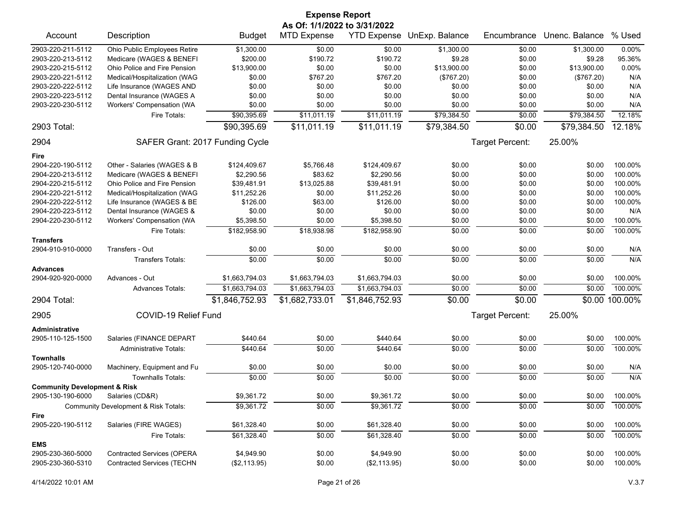|                                         |                                      |                | <b>Expense Report</b> |                    |                |                 |                |           |  |
|-----------------------------------------|--------------------------------------|----------------|-----------------------|--------------------|----------------|-----------------|----------------|-----------|--|
| As Of: 1/1/2022 to 3/31/2022            |                                      |                |                       |                    |                |                 |                |           |  |
| Account                                 | Description                          | <b>Budget</b>  | <b>MTD Expense</b>    | <b>YTD Expense</b> | UnExp. Balance | Encumbrance     | Unenc. Balance | % Used    |  |
| 2903-220-211-5112                       | Ohio Public Employees Retire         | \$1,300.00     | \$0.00                | \$0.00             | \$1,300.00     | \$0.00          | \$1,300.00     | 0.00%     |  |
| 2903-220-213-5112                       | Medicare (WAGES & BENEFI             | \$200.00       | \$190.72              | \$190.72           | \$9.28         | \$0.00          | \$9.28         | 95.36%    |  |
| 2903-220-215-5112                       | Ohio Police and Fire Pension         | \$13,900.00    | \$0.00                | \$0.00             | \$13,900.00    | \$0.00          | \$13,900.00    | 0.00%     |  |
| 2903-220-221-5112                       | Medical/Hospitalization (WAG         | \$0.00         | \$767.20              | \$767.20           | (\$767.20)     | \$0.00          | (\$767.20)     | N/A       |  |
| 2903-220-222-5112                       | Life Insurance (WAGES AND            | \$0.00         | \$0.00                | \$0.00             | \$0.00         | \$0.00          | \$0.00         | N/A       |  |
| 2903-220-223-5112                       | Dental Insurance (WAGES A            | \$0.00         | \$0.00                | \$0.00             | \$0.00         | \$0.00          | \$0.00         | N/A       |  |
| 2903-220-230-5112                       | Workers' Compensation (WA            | \$0.00         | \$0.00                | \$0.00             | \$0.00         | \$0.00          | \$0.00         | N/A       |  |
|                                         | Fire Totals:                         | \$90,395.69    | \$11,011.19           | \$11,011.19        | \$79,384.50    | \$0.00          | \$79,384.50    | 12.18%    |  |
| 2903 Total:                             |                                      | \$90,395.69    | \$11,011.19           | \$11,011.19        | \$79,384.50    | \$0.00          | \$79,384.50    | $12.18\%$ |  |
| 2904                                    | SAFER Grant: 2017 Funding Cycle      |                |                       |                    |                | Target Percent: | 25.00%         |           |  |
| Fire                                    |                                      |                |                       |                    |                |                 |                |           |  |
| 2904-220-190-5112                       | Other - Salaries (WAGES & B          | \$124,409.67   | \$5,766.48            | \$124,409.67       | \$0.00         | \$0.00          | \$0.00         | 100.00%   |  |
| 2904-220-213-5112                       | Medicare (WAGES & BENEFI             | \$2,290.56     | \$83.62               | \$2,290.56         | \$0.00         | \$0.00          | \$0.00         | 100.00%   |  |
| 2904-220-215-5112                       | Ohio Police and Fire Pension         | \$39,481.91    | \$13,025.88           | \$39,481.91        | \$0.00         | \$0.00          | \$0.00         | 100.00%   |  |
| 2904-220-221-5112                       | Medical/Hospitalization (WAG         | \$11,252.26    | \$0.00                | \$11,252.26        | \$0.00         | \$0.00          | \$0.00         | 100.00%   |  |
| 2904-220-222-5112                       | Life Insurance (WAGES & BE           | \$126.00       | \$63.00               | \$126.00           | \$0.00         | \$0.00          | \$0.00         | 100.00%   |  |
| 2904-220-223-5112                       | Dental Insurance (WAGES &            | \$0.00         | \$0.00                | \$0.00             | \$0.00         | \$0.00          | \$0.00         | N/A       |  |
| 2904-220-230-5112                       | Workers' Compensation (WA            | \$5,398.50     | \$0.00                | \$5,398.50         | \$0.00         | \$0.00          | \$0.00         | 100.00%   |  |
|                                         | Fire Totals:                         | \$182,958.90   | \$18,938.98           | \$182,958.90       | \$0.00         | \$0.00          | \$0.00         | 100.00%   |  |
| <b>Transfers</b><br>2904-910-910-0000   | Transfers - Out                      | \$0.00         | \$0.00                | \$0.00             | \$0.00         | \$0.00          | \$0.00         | N/A       |  |
|                                         |                                      |                |                       |                    |                |                 |                | N/A       |  |
|                                         | <b>Transfers Totals:</b>             | \$0.00         | \$0.00                | \$0.00             | \$0.00         | \$0.00          | \$0.00         |           |  |
| <b>Advances</b><br>2904-920-920-0000    | Advances - Out                       | \$1,663,794.03 | \$1,663,794.03        | \$1,663,794.03     | \$0.00         | \$0.00          | \$0.00         | 100.00%   |  |
|                                         | <b>Advances Totals:</b>              | \$1,663,794.03 | \$1,663,794.03        | \$1,663,794.03     | \$0.00         | \$0.00          | \$0.00         | 100.00%   |  |
| 2904 Total:                             |                                      | \$1,846,752.93 | \$1,682,733.01        | \$1,846,752.93     | \$0.00         | \$0.00          | \$0.00         | 100.00%   |  |
| 2905                                    | COVID-19 Relief Fund                 |                |                       |                    |                | Target Percent: | 25.00%         |           |  |
| Administrative                          |                                      |                |                       |                    |                |                 |                |           |  |
| 2905-110-125-1500                       | Salaries (FINANCE DEPART             | \$440.64       | \$0.00                | \$440.64           | \$0.00         | \$0.00          | \$0.00         | 100.00%   |  |
|                                         | <b>Administrative Totals:</b>        | \$440.64       | \$0.00                | \$440.64           | \$0.00         | \$0.00          | \$0.00         | 100.00%   |  |
| <b>Townhalls</b><br>2905-120-740-0000   | Machinery, Equipment and Fu          | \$0.00         | \$0.00                | \$0.00             | \$0.00         | \$0.00          | \$0.00         | N/A       |  |
|                                         | <b>Townhalls Totals:</b>             | \$0.00         | \$0.00                | \$0.00             | \$0.00         | \$0.00          | \$0.00         | N/A       |  |
| <b>Community Development &amp; Risk</b> |                                      |                |                       |                    |                |                 |                |           |  |
| 2905-130-190-6000                       | Salaries (CD&R)                      | \$9,361.72     | \$0.00                | \$9,361.72         | \$0.00         | \$0.00          | \$0.00         | 100.00%   |  |
|                                         | Community Development & Risk Totals: | \$9,361.72     | \$0.00                | \$9,361.72         | \$0.00         | \$0.00          | \$0.00         | 100.00%   |  |
| Fire<br>2905-220-190-5112               | Salaries (FIRE WAGES)                | \$61,328.40    | \$0.00                | \$61,328.40        | \$0.00         | \$0.00          | \$0.00         | 100.00%   |  |
|                                         | Fire Totals:                         | \$61,328.40    | \$0.00                | \$61,328.40        | \$0.00         | \$0.00          | \$0.00         | 100.00%   |  |
| <b>EMS</b>                              |                                      |                |                       |                    |                |                 |                |           |  |
| 2905-230-360-5000                       | <b>Contracted Services (OPERA</b>    | \$4,949.90     | \$0.00                | \$4,949.90         | \$0.00         | \$0.00          | \$0.00         | 100.00%   |  |
| 2905-230-360-5310                       | <b>Contracted Services (TECHN</b>    | (\$2,113.95)   | \$0.00                | (\$2,113.95)       | \$0.00         | \$0.00          | \$0.00         | 100.00%   |  |
|                                         |                                      |                |                       |                    |                |                 |                |           |  |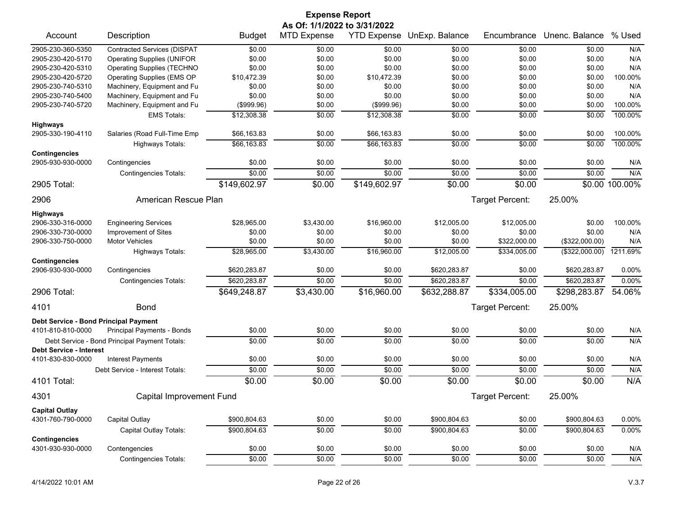|                                              |                                               |               | <b>Expense Report</b>        |              |                            |                 |                |                |
|----------------------------------------------|-----------------------------------------------|---------------|------------------------------|--------------|----------------------------|-----------------|----------------|----------------|
|                                              |                                               |               | As Of: 1/1/2022 to 3/31/2022 |              |                            |                 |                |                |
| Account                                      | Description                                   | <b>Budget</b> | <b>MTD Expense</b>           |              | YTD Expense UnExp. Balance | Encumbrance     | Unenc. Balance | % Used         |
| 2905-230-360-5350                            | <b>Contracted Services (DISPAT</b>            | \$0.00        | \$0.00                       | \$0.00       | \$0.00                     | \$0.00          | \$0.00         | N/A            |
| 2905-230-420-5170                            | <b>Operating Supplies (UNIFOR</b>             | \$0.00        | \$0.00                       | \$0.00       | \$0.00                     | \$0.00          | \$0.00         | N/A            |
| 2905-230-420-5310                            | <b>Operating Supplies (TECHNO</b>             | \$0.00        | \$0.00                       | \$0.00       | \$0.00                     | \$0.00          | \$0.00         | N/A            |
| 2905-230-420-5720                            | Operating Supplies (EMS OP                    | \$10,472.39   | \$0.00                       | \$10,472.39  | \$0.00                     | \$0.00          | \$0.00         | 100.00%        |
| 2905-230-740-5310                            | Machinery, Equipment and Fu                   | \$0.00        | \$0.00                       | \$0.00       | \$0.00                     | \$0.00          | \$0.00         | N/A            |
| 2905-230-740-5400                            | Machinery, Equipment and Fu                   | \$0.00        | \$0.00                       | \$0.00       | \$0.00                     | \$0.00          | \$0.00         | N/A            |
| 2905-230-740-5720                            | Machinery, Equipment and Fu                   | (\$999.96)    | \$0.00                       | (\$999.96)   | \$0.00                     | \$0.00          | \$0.00         | 100.00%        |
|                                              | <b>EMS Totals:</b>                            | \$12,308.38   | \$0.00                       | \$12,308.38  | \$0.00                     | \$0.00          | \$0.00         | 100.00%        |
| <b>Highways</b><br>2905-330-190-4110         | Salaries (Road Full-Time Emp                  | \$66,163.83   | \$0.00                       | \$66,163.83  | \$0.00                     | \$0.00          | \$0.00         | 100.00%        |
|                                              |                                               |               |                              |              |                            |                 |                |                |
| <b>Contingencies</b>                         | <b>Highways Totals:</b>                       | \$66,163.83   | \$0.00                       | \$66,163.83  | \$0.00                     | \$0.00          | \$0.00         | 100.00%        |
| 2905-930-930-0000                            | Contingencies                                 | \$0.00        | \$0.00                       | \$0.00       | \$0.00                     | \$0.00          | \$0.00         | N/A            |
|                                              | Contingencies Totals:                         | \$0.00        | \$0.00                       | \$0.00       | \$0.00                     | \$0.00          | \$0.00         | N/A            |
| 2905 Total:                                  |                                               | \$149,602.97  | \$0.00                       | \$149,602.97 | \$0.00                     | \$0.00          |                | \$0.00 100.00% |
| 2906                                         | American Rescue Plan                          |               |                              |              |                            | Target Percent: | 25.00%         |                |
| <b>Highways</b>                              |                                               |               |                              |              |                            |                 |                |                |
| 2906-330-316-0000                            | <b>Engineering Services</b>                   | \$28,965.00   | \$3,430.00                   | \$16,960.00  | \$12,005.00                | \$12,005.00     | \$0.00         | 100.00%        |
| 2906-330-730-0000                            | Improvement of Sites                          | \$0.00        | \$0.00                       | \$0.00       | \$0.00                     | \$0.00          | \$0.00         | N/A            |
| 2906-330-750-0000                            | <b>Motor Vehicles</b>                         | \$0.00        | \$0.00                       | \$0.00       | \$0.00                     | \$322,000.00    | (\$322,000.00) | N/A            |
|                                              | <b>Highways Totals:</b>                       | \$28,965.00   | \$3,430.00                   | \$16,960.00  | \$12,005.00                | \$334,005.00    | (\$322,000.00) | 1211.69%       |
| <b>Contingencies</b>                         |                                               |               |                              |              |                            |                 |                |                |
| 2906-930-930-0000                            | Contingencies                                 | \$620,283.87  | \$0.00                       | \$0.00       | \$620,283.87               | \$0.00          | \$620,283.87   | 0.00%          |
|                                              | <b>Contingencies Totals:</b>                  | \$620,283.87  | \$0.00                       | \$0.00       | \$620,283.87               | \$0.00          | \$620,283.87   | 0.00%          |
| 2906 Total:                                  |                                               | \$649,248.87  | \$3,430.00                   | \$16,960.00  | \$632,288.87               | \$334,005.00    | \$298,283.87   | 54.06%         |
| 4101                                         | <b>Bond</b>                                   |               |                              |              |                            | Target Percent: | 25.00%         |                |
|                                              |                                               |               |                              |              |                            |                 |                |                |
| <b>Debt Service - Bond Principal Payment</b> |                                               |               |                              |              |                            |                 |                |                |
| 4101-810-810-0000                            | Principal Payments - Bonds                    | \$0.00        | \$0.00                       | \$0.00       | \$0.00                     | \$0.00          | \$0.00         | N/A            |
| <b>Debt Service - Interest</b>               | Debt Service - Bond Principal Payment Totals: | \$0.00        | \$0.00                       | \$0.00       | \$0.00                     | \$0.00          | \$0.00         | N/A            |
| 4101-830-830-0000                            | <b>Interest Payments</b>                      | \$0.00        | \$0.00                       | \$0.00       | \$0.00                     | \$0.00          | \$0.00         | N/A            |
|                                              | Debt Service - Interest Totals:               | \$0.00        | \$0.00                       | \$0.00       | \$0.00                     | \$0.00          | \$0.00         | N/A            |
| 4101 Total:                                  |                                               | \$0.00        | \$0.00                       | \$0.00       | \$0.00                     | \$0.00          | \$0.00         | N/A            |
| 4301                                         | Capital Improvement Fund                      |               |                              |              |                            | Target Percent: | 25.00%         |                |
| <b>Capital Outlay</b>                        |                                               |               |                              |              |                            |                 |                |                |
| 4301-760-790-0000                            | <b>Capital Outlay</b>                         | \$900,804.63  | \$0.00                       | \$0.00       | \$900,804.63               | \$0.00          | \$900,804.63   | 0.00%          |
|                                              | Capital Outlay Totals:                        | \$900,804.63  | \$0.00                       | \$0.00       | \$900,804.63               | \$0.00          | \$900,804.63   | 0.00%          |
| <b>Contingencies</b>                         |                                               |               |                              |              |                            |                 |                |                |
| 4301-930-930-0000                            | Contengencies                                 | \$0.00        | \$0.00                       | \$0.00       | \$0.00                     | \$0.00          | \$0.00         | N/A            |
|                                              | <b>Contingencies Totals:</b>                  | \$0.00        | \$0.00                       | \$0.00       | \$0.00                     | \$0.00          | \$0.00         | N/A            |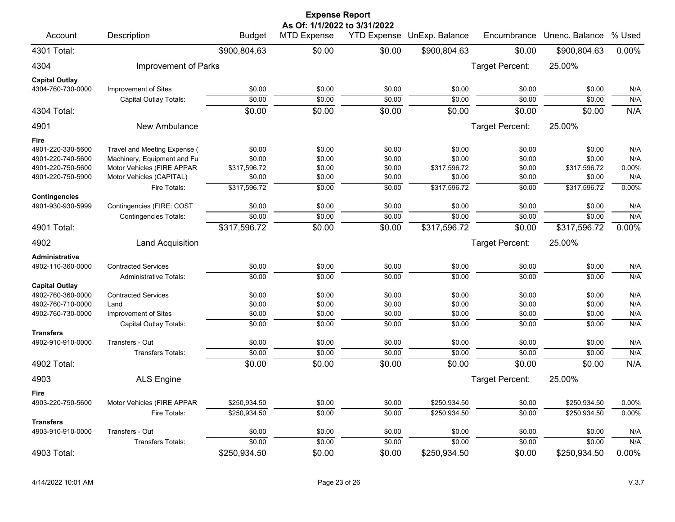| <b>Expense Report</b><br>As Of: 1/1/2022 to 3/31/2022 |                               |               |                    |        |                            |                 |                |        |  |  |
|-------------------------------------------------------|-------------------------------|---------------|--------------------|--------|----------------------------|-----------------|----------------|--------|--|--|
| Account                                               | Description                   | <b>Budget</b> | <b>MTD Expense</b> |        | YTD Expense UnExp. Balance | Encumbrance     | Unenc. Balance | % Used |  |  |
| 4301 Total:                                           |                               | \$900,804.63  | \$0.00             | \$0.00 | \$900,804.63               | \$0.00          | \$900,804.63   | 0.00%  |  |  |
| 4304                                                  | Improvement of Parks          |               |                    |        |                            | Target Percent: | 25.00%         |        |  |  |
| <b>Capital Outlay</b>                                 |                               |               |                    |        |                            |                 |                |        |  |  |
| 4304-760-730-0000                                     | Improvement of Sites          | \$0.00        | \$0.00             | \$0.00 | \$0.00                     | \$0.00          | \$0.00         | N/A    |  |  |
|                                                       | Capital Outlay Totals:        | \$0.00        | \$0.00             | \$0.00 | \$0.00                     | \$0.00          | \$0.00         | N/A    |  |  |
| 4304 Total:                                           |                               | \$0.00        | \$0.00             | \$0.00 | \$0.00                     | \$0.00          | \$0.00         | N/A    |  |  |
| 4901                                                  | New Ambulance                 |               |                    |        |                            | Target Percent: | 25.00%         |        |  |  |
| Fire                                                  |                               |               |                    |        |                            |                 |                |        |  |  |
| 4901-220-330-5600                                     | Travel and Meeting Expense (  | \$0.00        | \$0.00             | \$0.00 | \$0.00                     | \$0.00          | \$0.00         | N/A    |  |  |
| 4901-220-740-5600                                     | Machinery, Equipment and Fu   | \$0.00        | \$0.00             | \$0.00 | \$0.00                     | \$0.00          | \$0.00         | N/A    |  |  |
| 4901-220-750-5600                                     | Motor Vehicles (FIRE APPAR    | \$317,596.72  | \$0.00             | \$0.00 | \$317,596.72               | \$0.00          | \$317,596.72   | 0.00%  |  |  |
| 4901-220-750-5900                                     | Motor Vehicles (CAPITAL)      | \$0.00        | \$0.00             | \$0.00 | \$0.00                     | \$0.00          | \$0.00         | N/A    |  |  |
| <b>Contingencies</b>                                  | Fire Totals:                  | \$317,596.72  | \$0.00             | \$0.00 | \$317,596.72               | \$0.00          | \$317,596.72   | 0.00%  |  |  |
| 4901-930-930-5999                                     | Contingencies (FIRE: COST     | \$0.00        | \$0.00             | \$0.00 | \$0.00                     | \$0.00          | \$0.00         | N/A    |  |  |
|                                                       | <b>Contingencies Totals:</b>  | \$0.00        | \$0.00             | \$0.00 | \$0.00                     | \$0.00          | \$0.00         | N/A    |  |  |
| 4901 Total:                                           |                               | \$317,596.72  | \$0.00             | \$0.00 | \$317,596.72               | \$0.00          | \$317,596.72   | 0.00%  |  |  |
| 4902                                                  | Land Acquisition              |               |                    |        |                            | Target Percent: | 25.00%         |        |  |  |
| <b>Administrative</b>                                 |                               |               |                    |        |                            |                 |                |        |  |  |
| 4902-110-360-0000                                     | <b>Contracted Services</b>    | \$0.00        | \$0.00             | \$0.00 | \$0.00                     | \$0.00          | \$0.00         | N/A    |  |  |
|                                                       | <b>Administrative Totals:</b> | \$0.00        | \$0.00             | \$0.00 | \$0.00                     | \$0.00          | \$0.00         | N/A    |  |  |
| <b>Capital Outlay</b>                                 |                               |               |                    |        |                            |                 |                |        |  |  |
| 4902-760-360-0000                                     | <b>Contracted Services</b>    | \$0.00        | \$0.00             | \$0.00 | \$0.00                     | \$0.00          | \$0.00         | N/A    |  |  |
| 4902-760-710-0000                                     | Land                          | \$0.00        | \$0.00             | \$0.00 | \$0.00                     | \$0.00          | \$0.00         | N/A    |  |  |
| 4902-760-730-0000                                     | Improvement of Sites          | \$0.00        | \$0.00             | \$0.00 | \$0.00                     | \$0.00          | \$0.00         | N/A    |  |  |
|                                                       | Capital Outlay Totals:        | \$0.00        | \$0.00             | \$0.00 | \$0.00                     | \$0.00          | \$0.00         | N/A    |  |  |
| <b>Transfers</b><br>4902-910-910-0000                 | Transfers - Out               | \$0.00        | \$0.00             | \$0.00 | \$0.00                     | \$0.00          | \$0.00         | N/A    |  |  |
|                                                       | <b>Transfers Totals:</b>      | \$0.00        | \$0.00             | \$0.00 | \$0.00                     | \$0.00          | \$0.00         | N/A    |  |  |
| 4902 Total:                                           |                               | \$0.00        | \$0.00             | \$0.00 | \$0.00                     | \$0.00          | \$0.00         | N/A    |  |  |
| 4903                                                  | <b>ALS Engine</b>             |               |                    |        |                            | Target Percent: | 25.00%         |        |  |  |
|                                                       |                               |               |                    |        |                            |                 |                |        |  |  |
| Fire<br>4903-220-750-5600                             | Motor Vehicles (FIRE APPAR    | \$250,934.50  | \$0.00             | \$0.00 | \$250,934.50               | \$0.00          | \$250,934.50   | 0.00%  |  |  |
|                                                       | Fire Totals:                  | \$250,934.50  | \$0.00             | \$0.00 | \$250,934.50               | \$0.00          | \$250,934.50   | 0.00%  |  |  |
| <b>Transfers</b>                                      |                               |               |                    |        |                            |                 |                |        |  |  |
| 4903-910-910-0000                                     | Transfers - Out               | \$0.00        | \$0.00             | \$0.00 | \$0.00                     | \$0.00          | \$0.00         | N/A    |  |  |
|                                                       | Transfers Totals:             | \$0.00        | \$0.00             | \$0.00 | \$0.00                     | \$0.00          | \$0.00         | N/A    |  |  |
| 4903 Total:                                           |                               | \$250,934.50  | \$0.00             | \$0.00 | \$250,934.50               | \$0.00          | \$250,934.50   | 0.00%  |  |  |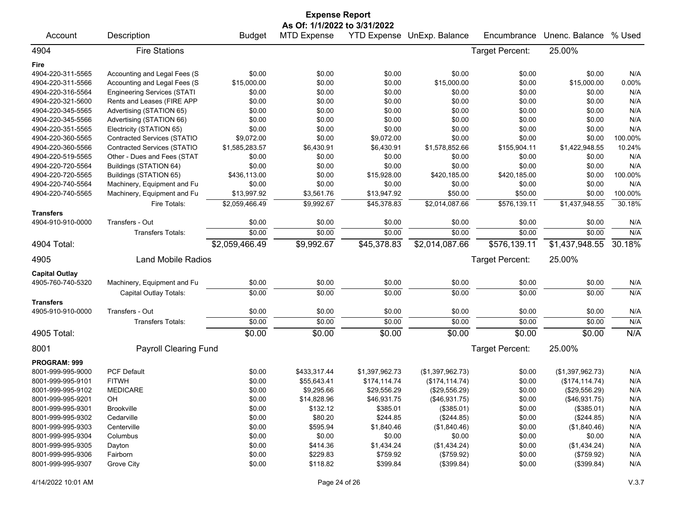| <b>Expense Report</b> |                                    |                |                              |                |                            |                 |                  |         |  |  |
|-----------------------|------------------------------------|----------------|------------------------------|----------------|----------------------------|-----------------|------------------|---------|--|--|
|                       |                                    |                | As Of: 1/1/2022 to 3/31/2022 |                |                            |                 |                  |         |  |  |
| Account               | Description                        | <b>Budget</b>  | <b>MTD Expense</b>           |                | YTD Expense UnExp. Balance | Encumbrance     | Unenc. Balance   | % Used  |  |  |
| 4904                  | <b>Fire Stations</b>               |                |                              |                |                            | Target Percent: | 25.00%           |         |  |  |
| Fire                  |                                    |                |                              |                |                            |                 |                  |         |  |  |
| 4904-220-311-5565     | Accounting and Legal Fees (S       | \$0.00         | \$0.00                       | \$0.00         | \$0.00                     | \$0.00          | \$0.00           | N/A     |  |  |
| 4904-220-311-5566     | Accounting and Legal Fees (S       | \$15,000.00    | \$0.00                       | \$0.00         | \$15,000.00                | \$0.00          | \$15,000.00      | 0.00%   |  |  |
| 4904-220-316-5564     | <b>Engineering Services (STATI</b> | \$0.00         | \$0.00                       | \$0.00         | \$0.00                     | \$0.00          | \$0.00           | N/A     |  |  |
| 4904-220-321-5600     | Rents and Leases (FIRE APP         | \$0.00         | \$0.00                       | \$0.00         | \$0.00                     | \$0.00          | \$0.00           | N/A     |  |  |
| 4904-220-345-5565     | Advertising (STATION 65)           | \$0.00         | \$0.00                       | \$0.00         | \$0.00                     | \$0.00          | \$0.00           | N/A     |  |  |
| 4904-220-345-5566     | Advertising (STATION 66)           | \$0.00         | \$0.00                       | \$0.00         | \$0.00                     | \$0.00          | \$0.00           | N/A     |  |  |
| 4904-220-351-5565     | Electricity (STATION 65)           | \$0.00         | \$0.00                       | \$0.00         | \$0.00                     | \$0.00          | \$0.00           | N/A     |  |  |
| 4904-220-360-5565     | Contracted Services (STATIO        | \$9,072.00     | \$0.00                       | \$9,072.00     | \$0.00                     | \$0.00          | \$0.00           | 100.00% |  |  |
| 4904-220-360-5566     | Contracted Services (STATIO        | \$1,585,283.57 | \$6,430.91                   | \$6,430.91     | \$1,578,852.66             | \$155,904.11    | \$1,422,948.55   | 10.24%  |  |  |
| 4904-220-519-5565     | Other - Dues and Fees (STAT        | \$0.00         | \$0.00                       | \$0.00         | \$0.00                     | \$0.00          | \$0.00           | N/A     |  |  |
| 4904-220-720-5564     | Buildings (STATION 64)             | \$0.00         | \$0.00                       | \$0.00         | \$0.00                     | \$0.00          | \$0.00           | N/A     |  |  |
| 4904-220-720-5565     | Buildings (STATION 65)             | \$436,113.00   | \$0.00                       | \$15,928.00    | \$420,185.00               | \$420,185.00    | \$0.00           | 100.00% |  |  |
| 4904-220-740-5564     | Machinery, Equipment and Fu        | \$0.00         | \$0.00                       | \$0.00         | \$0.00                     | \$0.00          | \$0.00           | N/A     |  |  |
| 4904-220-740-5565     | Machinery, Equipment and Fu        | \$13,997.92    | \$3,561.76                   | \$13,947.92    | \$50.00                    | \$50.00         | \$0.00           | 100.00% |  |  |
|                       | Fire Totals:                       | \$2,059,466.49 | \$9,992.67                   | \$45,378.83    | \$2,014,087.66             | \$576,139.11    | \$1,437,948.55   | 30.18%  |  |  |
| <b>Transfers</b>      |                                    |                |                              |                |                            |                 |                  |         |  |  |
| 4904-910-910-0000     | Transfers - Out                    | \$0.00         | \$0.00                       | \$0.00         | \$0.00                     | \$0.00          | \$0.00           | N/A     |  |  |
|                       | <b>Transfers Totals:</b>           | \$0.00         | \$0.00                       | \$0.00         | \$0.00                     | \$0.00          | \$0.00           | N/A     |  |  |
| 4904 Total:           |                                    | \$2,059,466.49 | \$9,992.67                   | \$45,378.83    | \$2,014,087.66             | \$576,139.11    | \$1,437,948.55   | 30.18%  |  |  |
| 4905                  | <b>Land Mobile Radios</b>          |                |                              |                |                            | Target Percent: | 25.00%           |         |  |  |
| <b>Capital Outlay</b> |                                    |                |                              |                |                            |                 |                  |         |  |  |
| 4905-760-740-5320     | Machinery, Equipment and Fu        | \$0.00         | \$0.00                       | \$0.00         | \$0.00                     | \$0.00          | \$0.00           | N/A     |  |  |
|                       | Capital Outlay Totals:             | \$0.00         | \$0.00                       | \$0.00         | \$0.00                     | \$0.00          | \$0.00           | N/A     |  |  |
| <b>Transfers</b>      |                                    |                |                              |                |                            |                 |                  |         |  |  |
| 4905-910-910-0000     | Transfers - Out                    | \$0.00         | \$0.00                       | \$0.00         | \$0.00                     | \$0.00          | \$0.00           | N/A     |  |  |
|                       | <b>Transfers Totals:</b>           | \$0.00         | \$0.00                       | \$0.00         | \$0.00                     | \$0.00          | \$0.00           | N/A     |  |  |
| 4905 Total:           |                                    | \$0.00         | \$0.00                       | \$0.00         | \$0.00                     | \$0.00          | \$0.00           | N/A     |  |  |
| 8001                  | <b>Payroll Clearing Fund</b>       |                |                              |                |                            | Target Percent: | 25.00%           |         |  |  |
| PROGRAM: 999          |                                    |                |                              |                |                            |                 |                  |         |  |  |
| 8001-999-995-9000     | <b>PCF Default</b>                 | \$0.00         | \$433,317.44                 | \$1,397,962.73 | (\$1,397,962.73)           | \$0.00          | (\$1,397,962.73) | N/A     |  |  |
| 8001-999-995-9101     | <b>FITWH</b>                       | \$0.00         | \$55,643.41                  | \$174,114.74   | (\$174, 114.74)            | \$0.00          | (\$174, 114.74)  | N/A     |  |  |
| 8001-999-995-9102     | <b>MEDICARE</b>                    | \$0.00         | \$9,295.66                   | \$29,556.29    | (\$29,556.29)              | \$0.00          | (\$29,556.29)    | N/A     |  |  |
| 8001-999-995-9201     | OH                                 | \$0.00         | \$14,828.96                  | \$46,931.75    | (\$46,931.75)              | \$0.00          | (\$46,931.75)    | N/A     |  |  |
| 8001-999-995-9301     | <b>Brookville</b>                  | \$0.00         | \$132.12                     | \$385.01       | (\$385.01)                 | \$0.00          | (\$385.01)       | N/A     |  |  |
| 8001-999-995-9302     | Cedarville                         | \$0.00         | \$80.20                      | \$244.85       | (\$244.85)                 | \$0.00          | (\$244.85)       | N/A     |  |  |
| 8001-999-995-9303     | Centerville                        | \$0.00         | \$595.94                     | \$1,840.46     | (\$1,840.46)               | \$0.00          | (\$1,840.46)     | N/A     |  |  |
| 8001-999-995-9304     | Columbus                           | \$0.00         | \$0.00                       | \$0.00         | \$0.00                     | \$0.00          | \$0.00           | N/A     |  |  |
| 8001-999-995-9305     | Dayton                             | \$0.00         | \$414.36                     | \$1,434.24     | (\$1,434.24)               | \$0.00          | (\$1,434.24)     | N/A     |  |  |
| 8001-999-995-9306     | Fairborn                           | \$0.00         | \$229.83                     | \$759.92       | (\$759.92)                 | \$0.00          | (\$759.92)       | N/A     |  |  |
| 8001-999-995-9307     | Grove City                         | \$0.00         | \$118.82                     | \$399.84       | (\$399.84)                 | \$0.00          | (\$399.84)       | N/A     |  |  |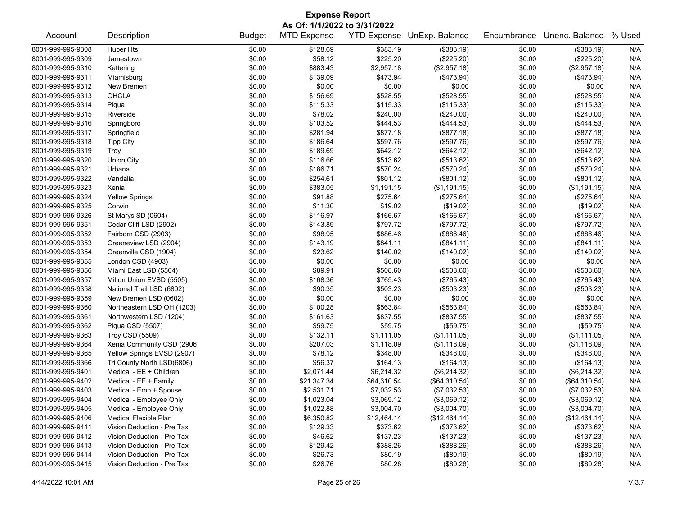| <b>Expense Report</b>                                      |                            |               |                    |             |               |             |                |        |  |  |  |  |  |
|------------------------------------------------------------|----------------------------|---------------|--------------------|-------------|---------------|-------------|----------------|--------|--|--|--|--|--|
| As Of: 1/1/2022 to 3/31/2022<br>YTD Expense UnExp. Balance |                            |               |                    |             |               |             |                |        |  |  |  |  |  |
| Account                                                    | Description                | <b>Budget</b> | <b>MTD Expense</b> |             |               | Encumbrance | Unenc. Balance | % Used |  |  |  |  |  |
| 8001-999-995-9308                                          | Huber Hts                  | \$0.00        | \$128.69           | \$383.19    | (\$383.19)    | \$0.00      | (\$383.19)     | N/A    |  |  |  |  |  |
| 8001-999-995-9309                                          | Jamestown                  | \$0.00        | \$58.12            | \$225.20    | (\$225.20)    | \$0.00      | (\$225.20)     | N/A    |  |  |  |  |  |
| 8001-999-995-9310                                          | Kettering                  | \$0.00        | \$883.43           | \$2,957.18  | (\$2,957.18)  | \$0.00      | (\$2,957.18)   | N/A    |  |  |  |  |  |
| 8001-999-995-9311                                          | Miamisburg                 | \$0.00        | \$139.09           | \$473.94    | (\$473.94)    | \$0.00      | (\$473.94)     | N/A    |  |  |  |  |  |
| 8001-999-995-9312                                          | New Bremen                 | \$0.00        | \$0.00             | \$0.00      | \$0.00        | \$0.00      | \$0.00         | N/A    |  |  |  |  |  |
| 8001-999-995-9313                                          | <b>OHCLA</b>               | \$0.00        | \$156.69           | \$528.55    | (\$528.55)    | \$0.00      | (\$528.55)     | N/A    |  |  |  |  |  |
| 8001-999-995-9314                                          | Piqua                      | \$0.00        | \$115.33           | \$115.33    | (\$115.33)    | \$0.00      | (\$115.33)     | N/A    |  |  |  |  |  |
| 8001-999-995-9315                                          | Riverside                  | \$0.00        | \$78.02            | \$240.00    | $(\$240.00)$  | \$0.00      | (\$240.00)     | N/A    |  |  |  |  |  |
| 8001-999-995-9316                                          | Springboro                 | \$0.00        | \$103.52           | \$444.53    | (\$444.53)    | \$0.00      | (\$444.53)     | N/A    |  |  |  |  |  |
| 8001-999-995-9317                                          | Springfield                | \$0.00        | \$281.94           | \$877.18    | (\$877.18)    | \$0.00      | (\$877.18)     | N/A    |  |  |  |  |  |
| 8001-999-995-9318                                          | <b>Tipp City</b>           | \$0.00        | \$186.64           | \$597.76    | (\$597.76)    | \$0.00      | (\$597.76)     | N/A    |  |  |  |  |  |
| 8001-999-995-9319                                          | Troy                       | \$0.00        | \$189.69           | \$642.12    | (\$642.12)    | \$0.00      | (\$642.12)     | N/A    |  |  |  |  |  |
| 8001-999-995-9320                                          | Union City                 | \$0.00        | \$116.66           | \$513.62    | (\$513.62)    | \$0.00      | (\$513.62)     | N/A    |  |  |  |  |  |
| 8001-999-995-9321                                          | Urbana                     | \$0.00        | \$186.71           | \$570.24    | (\$570.24)    | \$0.00      | (\$570.24)     | N/A    |  |  |  |  |  |
| 8001-999-995-9322                                          | Vandalia                   | \$0.00        | \$254.61           | \$801.12    | (\$801.12)    | \$0.00      | (\$801.12)     | N/A    |  |  |  |  |  |
| 8001-999-995-9323                                          | Xenia                      | \$0.00        | \$383.05           | \$1,191.15  | (\$1,191.15)  | \$0.00      | (\$1,191.15)   | N/A    |  |  |  |  |  |
| 8001-999-995-9324                                          | <b>Yellow Springs</b>      | \$0.00        | \$91.88            | \$275.64    | (\$275.64)    | \$0.00      | (\$275.64)     | N/A    |  |  |  |  |  |
| 8001-999-995-9325                                          | Corwin                     | \$0.00        | \$11.30            | \$19.02     | (\$19.02)     | \$0.00      | (\$19.02)      | N/A    |  |  |  |  |  |
| 8001-999-995-9326                                          | St Marys SD (0604)         | \$0.00        | \$116.97           | \$166.67    | (\$166.67)    | \$0.00      | (\$166.67)     | N/A    |  |  |  |  |  |
| 8001-999-995-9351                                          | Cedar Cliff LSD (2902)     | \$0.00        | \$143.89           | \$797.72    | (\$797.72)    | \$0.00      | (\$797.72)     | N/A    |  |  |  |  |  |
| 8001-999-995-9352                                          | Fairborn CSD (2903)        | \$0.00        | \$98.95            | \$886.46    | (\$886.46)    | \$0.00      | (\$886.46)     | N/A    |  |  |  |  |  |
| 8001-999-995-9353                                          | Greeneview LSD (2904)      | \$0.00        | \$143.19           | \$841.11    | (\$841.11)    | \$0.00      | (\$841.11)     | N/A    |  |  |  |  |  |
| 8001-999-995-9354                                          | Greenville CSD (1904)      | \$0.00        | \$23.62            | \$140.02    | (\$140.02)    | \$0.00      | (\$140.02)     | N/A    |  |  |  |  |  |
| 8001-999-995-9355                                          | London CSD (4903)          | \$0.00        | \$0.00             | \$0.00      | \$0.00        | \$0.00      | \$0.00         | N/A    |  |  |  |  |  |
| 8001-999-995-9356                                          | Miami East LSD (5504)      | \$0.00        | \$89.91            | \$508.60    | (\$508.60)    | \$0.00      | $($ \$508.60)  | N/A    |  |  |  |  |  |
| 8001-999-995-9357                                          | Milton Union EVSD (5505)   | \$0.00        | \$168.36           | \$765.43    | (\$765.43)    | \$0.00      | (\$765.43)     | N/A    |  |  |  |  |  |
| 8001-999-995-9358                                          | National Trail LSD (6802)  | \$0.00        | \$90.35            | \$503.23    | (\$503.23)    | \$0.00      | (\$503.23)     | N/A    |  |  |  |  |  |
| 8001-999-995-9359                                          | New Bremen LSD (0602)      | \$0.00        | \$0.00             | \$0.00      | \$0.00        | \$0.00      | \$0.00         | N/A    |  |  |  |  |  |
| 8001-999-995-9360                                          | Northeastern LSD OH (1203) | \$0.00        | \$100.28           | \$563.84    | (\$563.84)    | \$0.00      | (\$563.84)     | N/A    |  |  |  |  |  |
| 8001-999-995-9361                                          | Northwestern LSD (1204)    | \$0.00        | \$161.63           | \$837.55    | (\$837.55)    | \$0.00      | (\$837.55)     | N/A    |  |  |  |  |  |
| 8001-999-995-9362                                          | Piqua CSD (5507)           | \$0.00        | \$59.75            | \$59.75     | (\$59.75)     | \$0.00      | (\$59.75)      | N/A    |  |  |  |  |  |
| 8001-999-995-9363                                          | Troy CSD (5509)            | \$0.00        | \$132.11           | \$1,111.05  | (\$1,111.05)  | \$0.00      | (\$1,111.05)   | N/A    |  |  |  |  |  |
| 8001-999-995-9364                                          | Xenia Community CSD (2906  | \$0.00        | \$207.03           | \$1,118.09  | (\$1,118.09)  | \$0.00      | (\$1,118.09)   | N/A    |  |  |  |  |  |
| 8001-999-995-9365                                          | Yellow Springs EVSD (2907) | \$0.00        | \$78.12            | \$348.00    | (\$348.00)    | \$0.00      | (\$348.00)     | N/A    |  |  |  |  |  |
| 8001-999-995-9366                                          | Tri County North LSD(6806) | \$0.00        | \$56.37            | \$164.13    | (\$164.13)    | \$0.00      | (\$164.13)     | N/A    |  |  |  |  |  |
| 8001-999-995-9401                                          | Medical - EE + Children    | \$0.00        | \$2,071.44         | \$6,214.32  | (\$6,214.32)  | \$0.00      | (\$6,214.32)   | N/A    |  |  |  |  |  |
| 8001-999-995-9402                                          | Medical - EE + Family      | \$0.00        | \$21,347.34        | \$64,310.54 | (\$64,310.54) | \$0.00      | (\$64,310.54)  | N/A    |  |  |  |  |  |
| 8001-999-995-9403                                          | Medical - Emp + Spouse     | \$0.00        | \$2,531.71         | \$7,032.53  | (\$7,032.53)  | \$0.00      | (\$7,032.53)   | N/A    |  |  |  |  |  |
| 8001-999-995-9404                                          | Medical - Employee Only    | \$0.00        | \$1,023.04         | \$3,069.12  | (\$3,069.12)  | \$0.00      | (\$3,069.12)   | N/A    |  |  |  |  |  |
| 8001-999-995-9405                                          | Medical - Employee Only    | \$0.00        | \$1,022.88         | \$3,004.70  | (\$3,004.70)  | \$0.00      | (\$3,004.70)   | N/A    |  |  |  |  |  |
| 8001-999-995-9406                                          | Medical Flexible Plan      | \$0.00        | \$6,350.82         | \$12,464.14 | (\$12,464.14) | \$0.00      | (\$12,464.14)  | N/A    |  |  |  |  |  |
| 8001-999-995-9411                                          | Vision Deduction - Pre Tax | \$0.00        | \$129.33           | \$373.62    | (\$373.62)    | \$0.00      | (\$373.62)     | N/A    |  |  |  |  |  |
| 8001-999-995-9412                                          | Vision Deduction - Pre Tax | \$0.00        | \$46.62            | \$137.23    | (\$137.23)    | \$0.00      | (\$137.23)     | N/A    |  |  |  |  |  |
| 8001-999-995-9413                                          | Vision Deduction - Pre Tax | \$0.00        | \$129.42           | \$388.26    | (\$388.26)    | \$0.00      | (\$388.26)     | N/A    |  |  |  |  |  |
| 8001-999-995-9414                                          | Vision Deduction - Pre Tax | \$0.00        | \$26.73            | \$80.19     | (\$80.19)     | \$0.00      | (\$80.19)      | N/A    |  |  |  |  |  |
| 8001-999-995-9415                                          | Vision Deduction - Pre Tax | \$0.00        | \$26.76            | \$80.28     | (\$80.28)     | \$0.00      | (\$80.28)      | N/A    |  |  |  |  |  |